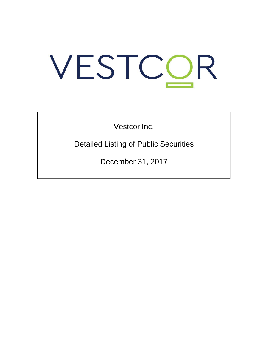# VESTCOR

Vestcor Inc.

Detailed Listing of Public Securities

December 31, 2017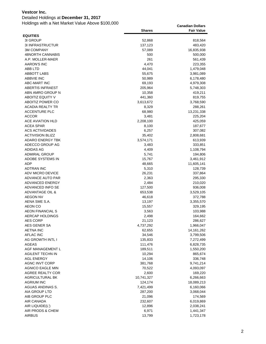# Detailed Holdings at **December 31, 2017**

|                                   | <b>Shares</b>   | <b>Fair Value</b>      |
|-----------------------------------|-----------------|------------------------|
| <b>EQUITIES</b>                   |                 |                        |
| 31 GROUP                          | 52,868          | 818,564                |
| <b>3I INFRASTRUCTUR</b>           | 137,123         | 483,420                |
| <b>3M COMPANY</b>                 | 57,089          | 16,835,938             |
| 48NORTH CANNABIS                  | 500             | 500,000                |
| A.P. MOLLER-MAER                  | 261             | 561,439                |
| <b>AARON'S INC</b>                | 4,470           | 223,355                |
| ABB LTD                           | 44,041          | 1,479,048              |
| <b>ABBOTT LABS</b>                | 55,675          | 3,981,089              |
| <b>ABBVIE INC</b>                 | 50,989          | 6,178,480              |
| <b>ABC-MART INC</b>               | 69,193          | 4,979,308              |
| <b>ABERTIS INFRAEST</b>           | 205,964         | 5,748,303              |
| ABN AMRO GROUP N                  | 10,358          | 419,211                |
| <b>ABOITIZ EQUITY V</b>           | 441,360         | 819,755                |
| ABOITIZ POWER CO                  | 3,613,672       | 3,768,590              |
| <b>ACADIA REALTY TR</b>           | 8,329           | 288,261                |
| <b>ACCENTURE PLC</b>              | 68,980          | 13,231,338             |
| <b>ACCOR</b>                      | 3,481           | 225,204                |
| ACE AVIATION HLD                  | 2,208,100       | 425,059                |
| ACEA SPAR                         | 8,100           | 187,677                |
| <b>ACS ACTIVIDADES</b>            | 6,257           | 307,082                |
| <b>ACTIVISION BLIZZ</b>           | 35,402          | 2,808,681              |
| <b>ADARO ENERGY TBK</b>           | 3,574,171       | 613,939                |
| ADECCO GROUP AG                   | 3,483           | 333,851                |
| <b>ADIDAS AG</b>                  | 4,409           | 1,108,794              |
| <b>ADMIRAL GROUP</b>              | 5,741           | 194,806                |
| ADOBE SYSTEMS IN<br>ADP           | 15,767          | 3,461,912              |
| <b>ADTRAN INC</b>                 | 48,665<br>5,310 | 11,605,141<br>128,739  |
| ADV MICRO DEVICE                  | 26,231          | 337,864                |
| ADVANCE AUTO PAR                  | 2,363           | 295,330                |
| ADVANCED ENERGY                   | 2,484           | 210,020                |
| ADVANCED INFO SE                  | 127,500         | 936,008                |
| <b>ADVANTAGE OIL &amp;</b>        | 653,538         | 3,529,105              |
| <b>AEGON NV</b>                   | 46,618          | 372,788                |
| AENA SME S.A.                     | 13,197          | 3,355,570              |
| AEON CO                           | 15,557          | 329,195                |
| <b>AEON FINANCIAL S</b>           | 3,563           | 103,988                |
| AERCAP HOLDINGS                   | 2,498           | 164,662                |
| <b>AES CORP</b>                   | 21,123          | 286,627                |
| AES GENER SA                      | 4,737,292       | 1,966,047              |
| <b>AETNA INC</b>                  | 62,655          | 14, 161, 262           |
| <b>AFLAC INC</b>                  | 34,546          | 3,799,506              |
| AG GROWTH INTL I                  | 135,833         | 7,272,499              |
| <b>AGEAS</b>                      | 111,476         | 6,828,735              |
| AGF MANAGEMENT L                  | 189,511         | 1,550,200              |
| AGILENT TECHN IN                  | 10,294          | 865,674                |
| <b>AGL ENERGY</b>                 | 14,106          | 336,748                |
| <b>AGNC INVT CORP</b>             | 381,768         | 9,741,214              |
| AGNICO EAGLE MIN                  | 70,522          | 4,093,097              |
| <b>AGREE REALTY COR</b>           | 2,600           | 169,220                |
| <b>AGRICULTURAL BK</b>            | 10,741,327      | 6,266,663              |
| <b>AGRIUM INC</b>                 | 124,174         | 18,089,213             |
| AGUAS ANDINAS S.                  | 7,421,499       | 6,160,066              |
| AIA GROUP LTD                     | 287,200         | 3,068,044              |
| AIB GROUP PLC                     | 21,096          | 174,569                |
| AIR CANADA                        | 232,607         | 6,019,869              |
| AIR LIQUIDE(L')                   | 12,896          | 2,038,241              |
| AIR PRODS & CHEM<br><b>AIRBUS</b> | 6,971<br>13,799 | 1,441,347<br>1,723,178 |
|                                   |                 |                        |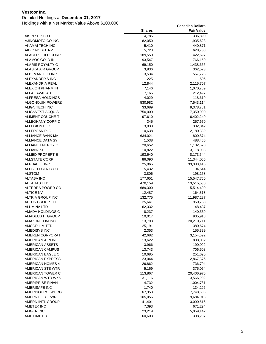### Detailed Holdings at **December 31, 2017**

|                                             | <b>Shares</b>     | <b>Fair Value</b>      |
|---------------------------------------------|-------------------|------------------------|
| AISIN SEIKI CO                              | 4,785             | 336,890                |
| AJINOMOTO CO INC                            | 82,050            | 1,935,628              |
| AKAMAI TECH INC                             | 5,410             | 440,871                |
| <b>AKZO NOBEL NV</b>                        | 5,723             | 628,738                |
| ALACER GOLD CORP                            | 189,550           | 422,697                |
| ALAMOS GOLD IN                              | 93,547            | 766,150                |
| ALARIS ROYALTY C                            | 69,150            | 1,438,666              |
| ALASKA AIR GROUP                            | 3,936             | 362,523                |
| ALBEMARLE CORP                              | 3,534             | 567,726                |
| ALEXANDER'S INC                             | 225               | 111,596                |
| ALEXANDRIA REAL                             | 12,844            | 2,115,707              |
| <b>ALEXION PHARM IN</b>                     | 7,146             | 1,070,759              |
| ALFA LAVAL AB                               | 7,165             | 212,497                |
| ALFRESA HOLDINGS                            | 4,029             | 118,619                |
| ALGONQUIN POWER&                            | 530,982           | 7,543,114              |
| ALIGN TECH INC                              | 33,689            | 9,378,781              |
| ALIGNVEST ACQUIS                            | 750,000           | 7,350,000              |
| ALIMENT COUCHE-T                            | 97,610            | 6,402,240              |
| ALLEGHANY CORP D                            | 345               | 257,670                |
| ALLEGION PLC                                | 3,038             | 302,842                |
| ALLERGAN PLC                                | 10,638            | 2,180,339              |
| ALLIANCE BANK MA                            | 634,021           | 800,874                |
| <b>ALLIANCE DATA SY</b>                     | 1,538             | 488,465                |
| <b>ALLIANT ENERGY C</b>                     | 20,652            | 1,102,573              |
| ALLIANZ SE                                  | 10,822            | 3,118,033              |
| <b>ALLIED PROPERTIE</b>                     | 193,640           | 8,173,544              |
| ALLSTATE CORP                               | 86,090            | 11,344,055             |
| ALPHABET INC                                | 25,065            | 33,383,415             |
| ALPS ELECTRIC CO                            | 5,432             | 194,544                |
| <b>ALSTOM</b>                               | 3,806             | 198,158                |
| ALTABA INC                                  | 177,651           | 15,547,760             |
| ALTAGAS LTD                                 | 470,159           | 13,515,530             |
| ALTERRA POWER CO                            | 689,300           | 5,514,400              |
| <b>ALTICE NV</b>                            | 12,487            | 164,313                |
| <b>ALTRIA GROUP INC</b>                     | 132,775           | 11,987,287             |
| ALTUS GROUP LTD                             | 25,641            | 950,768                |
| <b>ALUMINA LTD</b>                          | 62,332            | 148,437                |
| AMADA HOLDINGS C                            | 8,237             | 140,539                |
| <b>AMADEUS IT GROUP</b>                     | 10,017            | 905,918                |
| AMAZON COM INC                              | 13,793            | 20,210,711             |
| <b>AMCOR LIMITED</b>                        | 25,191            | 380,674                |
| <b>AMEDISYS INC</b>                         | 2,353             | 155,399                |
| AMEREN CORPORATI                            | 42,682            | 3,154,692              |
| <b>AMERICAN AIRLINE</b>                     | 13,622            | 888,032                |
| <b>AMERICAN ASSETS</b>                      | 3,966             | 190,022                |
| AMERICAN CAMPUS                             | 13,743            | 706,508                |
| AMERICAN EAGLE O                            | 10,685            | 251,690                |
| AMERICAN EXPRESS                            | 23,044            | 2,867,376              |
| AMERICAN HOMES 4                            | 26,862<br>5,169   | 736,704                |
| AMERICAN STS WTR<br>AMERICAN TOWER C        | 113,867           | 375,054<br>20,406,976  |
|                                             |                   |                        |
| AMERICAN WTR WKS<br><b>AMERIPRISE FINAN</b> | 31,116            | 3,566,902              |
| AMERISAFE INC                               | 4,732             | 1,004,781              |
| AMERISOURCE-BERG                            | 1,740             | 134,296                |
| AMERN ELEC PWR I                            | 67,353<br>105,056 | 7,748,685              |
| AMERN INTL GROUP                            | 41,401            | 9,684,013<br>3,090,616 |
| AMETEK INC                                  | 7,393             | 671,294                |
| AMGEN INC                                   | 23,219            | 5,059,142              |
| <b>AMP LIMITED</b>                          | 60,603            | 308,237                |
|                                             |                   |                        |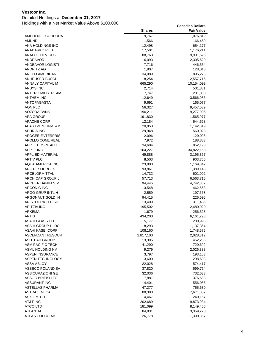### Detailed Holdings at **December 31, 2017**

|                         | <b>Shares</b> | <b>Fair Value</b> |
|-------------------------|---------------|-------------------|
| AMPHENOL CORPORA        | 9,767         | 1,076,819         |
| <b>AMUNDI</b>           | 1,566         | 166,459           |
| ANA HOLDINGS INC        | 12,498        | 654,177           |
| <b>ANADARKO PETE</b>    | 17,501        | 1,176,211         |
| ANALOG DEVICES I        | 88,763        | 9,901,526         |
| ANDEAVOR                | 16,093        | 2,305,520         |
| ANDEAVOR LOGISTI        | 7,716         | 446,554           |
| ANDRITZ AG              | 1,807         | 128,010           |
| ANGLO AMERICAN          | 34,089        | 895,276           |
| ANHEUSER-BUSCH I        | 18,254        | 2,557,715         |
| ANNALY CAPITAL M        | 665,290       | 10,154,099        |
| ANSYS INC               | 2,714         | 501,881           |
| <b>ANTERO MIDSTREAM</b> | 7,747         | 281,880           |
| <b>ANTHEM INC</b>       | 12,649        | 3,566,086         |
| <b>ANTOFAGASTA</b>      | 9,691         | 165,077           |
| AON PLC                 | 56,327        | 9,457,039         |
| AOZORA BANK             | 190,211       | 9,277,005         |
| APA GROUP               | 191,830       | 1,565,977         |
| APACHE CORP             | 12,184        | 644,528           |
| APARTMENT INVT&M        | 20,858        | 1,142,319         |
| APHRIA INC              | 29,948        | 560,028           |
| <b>APOGEE ENTERPRIS</b> | 2,096         | 120,095           |
| APOLLO COML REAL        | 7,972         | 188,883           |
| <b>APPLE HOSPITALIT</b> | 34,684        | 852,198           |
| <b>APPLE INC</b>        | 164,227       | 34,822,158        |
| APPLIED MATERIAL        | 49,888        | 3,195,367         |
| <b>APTIV PLC</b>        | 8,503         | 903,765           |
| AQUA AMERICA INC        | 23,800        | 1,169,847         |
| ARC RESOURCES           | 93,861        | 1,389,143         |
| ARCELORMITTAL           | 14,732        | 601,002           |
| ARCH CAP GROUP L        | 57,713        | 6,563,716         |
| ARCHER DANIELS M        | 94,445        | 4,742,862         |
| ARCONIC INC             | 13,548        | 462,568           |
| ARGO GRUP INTL H        | 2,559         | 197,668           |
| ARGONAUT GOLD IN        | 94,415        | 226,596           |
| <b>ARISTOCRAT LEISU</b> | 13,409        | 311,436           |
| ARITZIA INC             | 195,502       | 2,480,920         |
| ARKEMA                  | 1,679         | 256,528           |
| <b>ARTIS</b>            | 434,200       | 6,161,298         |
| ASAHI GLASS CO          | 5,177         | 280,996           |
| <b>ASAHI GROUP HLDG</b> | 18,293        | 1,137,364         |
| ASAHI KASEI CORP        | 108,160       | 1,748,575         |
| ASCENDANT RESOUR        | 2,817,100     | 2,028,312         |
| <b>ASHTEAD GROUP</b>    | 13,395        | 452,255           |
| <b>ASM PACIFIC TECH</b> | 41,290        | 720,692           |
| ASML HOLDING NV         | 9,279         | 2,026,388         |
| <b>ASPEN INSURANCE</b>  | 3,797         | 193,153           |
| ASPEN TECHNOLOGY        | 3,600         | 298,603           |
| ASSA ABLOY              | 22,028        | 574,417           |
| ASSECO POLAND SA        | 37,820        | 599,764           |
| ASSICURAZIONI GE        | 32,036        | 732,633           |
| <b>ASSOC BRITISH FO</b> | 7,881         | 376,688           |
| <b>ASSURANT INC</b>     | 4,401         | 556,055           |
| ASTELLAS PHARMA         | 47,277        | 755,630           |
| ASTRAZENECA             | 88,388        | 7,671,837         |
| ASX LIMITED             | 4,467         | 240,157           |
| <b>AT&amp;T INC</b>     | 202,689       | 9,873,934         |
| ATCO LTD                | 181,099       | 8,149,455         |
| ATLANTIA                | 84,831        | 3,359,270         |
| ATLAS COPCO AB          | 26,778        | 1,390,867         |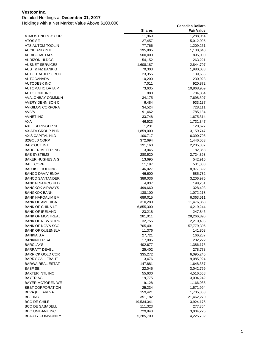### Detailed Holdings at **December 31, 2017**

|                                    | <b>Shares</b>      | <b>Fair Value</b>       |
|------------------------------------|--------------------|-------------------------|
| ATMOS ENERGY COR                   | 11,969             | 1,288,054               |
| ATOS SE                            | 27,457             | 5,012,995               |
| ATS AUTOM TOOLIN                   | 77,766             | 1,209,261               |
| <b>AUCKLAND INTL</b>               | 195,805            | 1,130,640               |
| <b>AURICO METALS</b>               | 500,000            | 895,000                 |
| <b>AURIZON HLDGS</b>               | 54,152             | 263,221                 |
| <b>AUSNET SERVICES</b>             | 1,608,187          | 2,844,707               |
| AUST & NZ BANK G                   | 70,303             | 1,980,088               |
| AUTO TRADER GROU                   | 23,355             | 139,656                 |
| <b>AUTOCANADA</b>                  | 10,200             | 230,928                 |
| <b>AUTODESK INC</b>                | 7,011              | 920,872                 |
| <b>AUTOMATIC DATA P</b>            | 73,635             | 10,868,959              |
| <b>AUTOZONE INC</b>                | 880                | 784,354                 |
| AVALONBAY COMMUN                   | 34,175             | 7,698,507               |
| AVERY DENNISON C                   | 6,484              | 933,137                 |
| <b>AVIGILON CORPORA</b>            | 34,524             | 728,111                 |
| <b>AVIVA</b>                       | 91,462             | 785,184                 |
| <b>AVNET INC</b>                   | 33,748             | 1,675,314               |
| AXA                                | 46,523             | 1,731,347               |
| AXEL SPRINGER SE                   | 1,231              | 120,627                 |
| AXIATA GROUP BHD                   | 1,859,000          | 3,159,747               |
| AXIS CAPITAL HLD                   | 100,717            | 6,390,705               |
| <b>B2GOLD CORP</b>                 | 372,694            | 1,446,053               |
| <b>BABCOCK INTL</b>                | 191,160            | 2,285,837               |
| <b>BADGER METER INC</b>            | 3,045              | 182,368                 |
| <b>BAE SYSTEMS</b>                 | 280,520            | 2,724,393               |
| <b>BAKER HUGHES A G</b>            | 13,695             | 542,916                 |
| <b>BALL CORP</b>                   | 11,197             | 531,008                 |
| <b>BALOISE HOLDING</b>             | 46,027             | 8,977,392               |
| <b>BANCO DAVIVIENDA</b>            | 46,600             | 585,732                 |
| <b>BANCO SANTANDER</b>             | 389,036            | 3,206,975               |
| <b>BANDAI NAMCO HLD</b>            | 4,837              | 198,251                 |
| <b>BANGKOK AIRWAYS</b>             | 499,660            | 328,403                 |
| <b>BANGKOK BANK</b>                | 138,100            | 1,072,213               |
| <b>BANK HAPOALIM BM</b>            | 689,015            | 6,363,511               |
| <b>BANK OF AMERICA</b>             | 310,280            | 11,476,353              |
| <b>BANK OF CHINA LT</b>            | 6,855,300          | 4,219,244               |
| <b>BANK OF IRELAND</b>             | 23,218             | 247,846                 |
| <b>BANK OF MONTREAL</b>            | 281,011            | 28,266,896              |
| <b>BANK OF NEW YORK</b>            | 32,755             | 2,210,435               |
| <b>BANK OF NOVA SCO</b>            | 705,401            | 57,779,396              |
| <b>BANK OF QUEENSLA</b>            | 11,376             | 141,808                 |
| BANKIA S.A                         | 27,721             | 166,287                 |
| <b>BANKINTER SA</b>                | 17,005             | 202,222                 |
| <b>BARCLAYS</b>                    | 402,677            | 1,386,175               |
| <b>BARRATT DEVEL</b>               | 25,402             | 278,778                 |
| <b>BARRICK GOLD COR</b>            | 335,272            | 6,095,245               |
| <b>BARRY CALLEBAUT</b>             | 3,476              | 9,085,924               |
| <b>BARWA REAL ESTAT</b>            | 147,881            | 1,648,357               |
| <b>BASF SE</b>                     | 22,045             | 3,042,799               |
| <b>BAXTER INTL INC</b>             | 55,630             | 4,516,658               |
| <b>BAYER AG</b>                    | 19,775             | 3,094,242               |
| <b>BAYER MOTOREN WE</b>            | 9,128              | 1,166,085               |
| <b>BB&amp;T CORPORATION</b>        | 25,234             | 1,571,994               |
|                                    |                    |                         |
| BBVA (BILB-VIZ-A<br><b>BCE INC</b> | 159,421<br>351,182 | 1,705,853               |
| <b>BCO DE CHILE</b>                | 19,534,341         | 21,462,270<br>3,924,175 |
| <b>BCO DE SABADELL</b>             |                    |                         |
| <b>BDO UNIBANK INC</b>             | 111,323<br>729,843 | 277,364<br>3,004,225    |
| <b>BEAUTY COMMUNITY</b>            |                    |                         |
|                                    | 5,285,700          | 4,225,732               |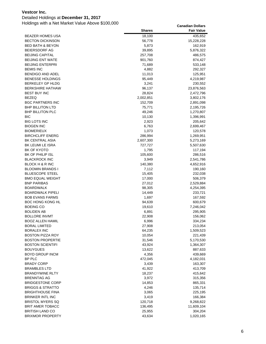### Detailed Holdings at **December 31, 2017**

|                             | <b>Shares</b> | <b>Fair Value</b> |
|-----------------------------|---------------|-------------------|
| <b>BEAZER HOMES USA</b>     | 18,100        | 435,652           |
| <b>BECTON DICKINSON</b>     | 56,778        | 15,228,228        |
| <b>BED BATH &amp; BEYON</b> | 5,873         | 162,919           |
| <b>BEIERSDORF AG</b>        | 39,895        | 5,876,322         |
| <b>BEIJING CAPITAL</b>      | 257,708       | 486,575           |
| <b>BEIJING ENT WATE</b>     | 901,760       | 874,427           |
| <b>BEIJING ENTERPRI</b>     | 71,689        | 533,148           |
| <b>BEMIS INC</b>            | 4,882         | 292,327           |
| <b>BENDIGO AND ADEL</b>     | 11,013        | 125,951           |
| <b>BENESSE HOLDINGS</b>     | 95,449        | 4,219,987         |
| <b>BERKELEY GP HLDG</b>     | 3,241         | 230,552           |
| <b>BERKSHIRE HATHAW</b>     | 96,137        | 23,876,563        |
| <b>BEST BUY INC</b>         | 28,824        | 2,472,796         |
| <b>BEZEQ</b>                | 2,002,851     | 3,802,176         |
| <b>BGC PARTNERS INC</b>     | 152,709       | 2,891,098         |
| <b>BHP BILLITON LTD</b>     | 75,771        | 2,195,726         |
| <b>BHP BILLITON PLC</b>     | 49,246        | 1,270,807         |
| BIC                         | 10,130        | 1,396,991         |
| <b>BIG LOTS INC</b>         | 2,923         | 205,642           |
| <b>BIOGEN INC</b>           | 6,763         | 2,699,467         |
| <b>BIOMERIEUX</b>           | 1,073         | 120,578           |
| <b>BIRCHCLIFF ENERG</b>     | 286,994       | 1,269,951         |
| BK CENTRAL ASIA             | 2,607,300     | 5,273,169         |
| BK LEUMI LE ISRA            | 727,727       | 5,507,630         |
| BK OF KYOTO                 | 1,795         | 117,194           |
| BK OF PHILIP ISL            | 105,600       | 286,516           |
| <b>BLACKROCK INC</b>        | 3,949         | 2,541,786         |
| BLOCK H & R INC             | 140,380       | 4,652,916         |
| <b>BLOOMIN BRANDS I</b>     | 7,112         | 190,160           |
| <b>BLUESCOPE STEEL</b>      | 15,405        | 232,038           |
| <b>BMO EQUAL WEIGHT</b>     | 17,000        | 506,379           |
| <b>BNP PARIBAS</b>          | 27,012        | 2,529,884         |
| <b>BOARDWALK</b>            | 98,305        | 4,254,395         |
| <b>BOARDWALK PIPELI</b>     | 14,449        | 233,721           |
| <b>BOB EVANS FARMS</b>      | 1,697         | 167,592           |
| <b>BOC HONG KONG HL</b>     | 94,639        | 600,679           |
| <b>BOEING CO</b>            | 19,610        | 7,246,042         |
| <b>BOLIDEN AB</b>           | 6,891         | 295,905           |
| <b>BOLLORE INVMT</b>        | 22,908        | 156,062           |
| <b>BOOZ ALLEN HAMIL</b>     | 6,996         | 334,234           |
| <b>BORAL LIMITED</b>        | 27,908        | 213,054           |
| <b>BORALEX INC</b>          | 64,235        | 1,509,523         |
| <b>BOSTON PIZZA ROY</b>     | 10,054        | 221,439           |
| <b>BOSTON PROPERTIE</b>     | 31,546        | 5,170,530         |
| <b>BOSTON SCIENTIFI</b>     | 43,924        | 1,364,307         |
| <b>BOUYGUES</b>             | 13,622        | 887,633           |
| <b>BOYD GROUP INCM</b>      | 4,356         | 439,669           |
| BP PLC                      | 472,045       | 4,182,031         |
| <b>BRADY CORP</b>           | 3,439         | 163,307           |
| <b>BRAMBLES LTD</b>         | 41,922        | 413,709           |
| <b>BRANDYWINE RLTY</b>      | 18,237        | 415,642           |
| <b>BRENNTAG AG</b>          | 3,972         | 315,356           |
| <b>BRIDGESTONE CORP</b>     | 14,853        | 865,331           |
| <b>BRIGGS &amp; STRATTO</b> | 4,246         | 135,714           |
| <b>BRIGHTHOUSE FINA</b>     | 3,065         | 225,195           |
| <b>BRINKER INTL INC</b>     | 3,419         | 166,384           |
| <b>BRISTOL MYERS SQ</b>     | 120,718       | 9,268,822         |
| <b>BRIT AMER TOBACC</b>     | 136,495       | 11,609,104        |
| <b>BRITISH LAND CO</b>      | 25,955        | 304,204           |
| <b>BRIXMOR PROPERTY</b>     | 43,634        | 1,020,165         |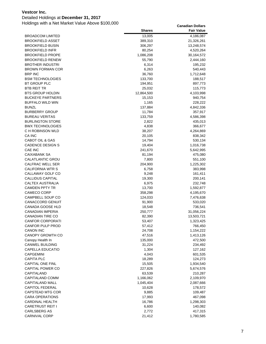### Detailed Holdings at **December 31, 2017**

| <b>BROADCOM LIMITED</b><br>13,005<br>4,186,087<br><b>BROOKFIELD ASSET</b><br>389,310<br>21,326,261<br><b>BROOKFIELD BUSIN</b><br>306,297<br>13,248,574<br><b>BROOKFIELD INFR</b><br>80,254<br>4,520,264<br><b>BROOKFIELD PROPE</b><br>1,086,208<br>30,164,572<br><b>BROOKFIELD RENEW</b><br>55,790<br>2,444,160<br><b>BROTHER INDUSTRI</b><br>6,314<br>195,232<br><b>BROWN FORMAN COR</b><br>6,263<br>540,443<br><b>BRP INC</b><br>36,760<br>1,712,648<br><b>BSM TECHNOLOGIES</b><br>133,700<br>188,517<br>BT GROUP PLC<br>194,951<br>897,773<br>BTB REIT TR<br>25,032<br>115,773<br><b>BTS GROUP HOLDIN</b><br>12,864,500<br>4,103,998<br><b>BUCKEYE PARTNERS</b><br>15,153<br>940,754<br>1,165<br><b>BUFFALO WILD WIN</b><br>228,222<br><b>BUNZL</b><br>137,884<br>4,842,336<br><b>BURBERRY GROUP</b><br>11,784<br>357,917<br><b>BUREAU VERITAS</b><br>133,759<br>4,586,398<br><b>BURLINGTON STORE</b><br>2,822<br>435,013<br><b>BWX TECHNOLOGIES</b><br>4,838<br>366,677<br>C H ROBINSON WLD<br>38,207<br>4,264,869<br>CA INC<br>20,105<br>838,342<br>CABOT OIL & GAS<br>14,794<br>530,134<br><b>CADENCE DESIGN S</b><br>19,404<br>1,016,738<br>CAE INC<br>241,670<br>5,642,995<br>CAIXABANK SA<br>81,194<br>475,080<br>CALATLANTIC GROU<br>7,800<br>551,100<br>CALFRAC WELL SER<br>204,900<br>1,225,302<br><b>CALIFORNIA WTR S</b><br>6,758<br>383,998<br>CALLAWAY GOLF CO<br>9,248<br>161,411<br><b>CALLIDUS CAPITAL</b><br>19,300<br>200,141<br>CALTEX AUSTRALIA<br>6,975<br>232,748<br><b>CAMDEN PPTY TR</b><br>13,700<br>1,592,877<br>CAMECO CORP<br>358,298<br>4,195,670<br>CAMPBELL SOUP CO<br>124,033<br>7,476,638<br><b>CANACCORD GENUIT</b><br>91,900<br>533,020<br><b>CANADA GOOSE HLD</b><br>18,548<br>736,541<br><b>CANADIAN IMPERIA</b><br>250,777<br>31,056,224<br><b>CANADIAN TIRE CO</b><br>82,390<br>13,503,721<br><b>CANFOR CORPORATI</b><br>53,407<br>1,323,425<br><b>CANFOR PULP PROD</b><br>57,412<br>766,450<br><b>CANON INC</b><br>24,708<br>1,154,222<br>CANOPY GROWTH CO<br>47,516<br>1,413,126<br>Canopy Health In<br>135,000<br>472,500<br>CANWEL BUILDING<br>31,224<br>234,492<br>CAPELLA EDUCATIO<br>1,304<br>127,162<br><b>CAPGEMINI</b><br>4,043<br>601,535<br><b>CAPITA PLC</b><br>18,289<br>124,273<br><b>CAPITAL ONE FINL</b><br>15,505<br>1,934,540<br>CAPITAL POWER CO<br>227,826<br>5,674,576<br>CAPITALAND<br>63,539<br>210,287<br><b>CAPITALAND COMM</b><br>1,166,062<br>2,109,970<br><b>CAPITALAND MALL</b><br>1,045,404<br>2,087,666<br><b>CAPITOL FEDERAL</b><br>10,628<br>178,572<br>CAPSTEAD MTG COR<br>9,885<br>109,487<br><b>CARA OPERATIONS</b><br>17,993<br>467,098<br><b>CARDINAL HEALTH</b><br>16,786<br>1,298,303<br><b>CARETRUST REIT I</b><br>6,600<br>140,082<br>CARLSBERG AS<br>2,772<br>417,315<br>CARNIVAL CORP<br>21,412<br>1,780,585 | <b>Shares</b> | <b>Fair Value</b> |
|-----------------------------------------------------------------------------------------------------------------------------------------------------------------------------------------------------------------------------------------------------------------------------------------------------------------------------------------------------------------------------------------------------------------------------------------------------------------------------------------------------------------------------------------------------------------------------------------------------------------------------------------------------------------------------------------------------------------------------------------------------------------------------------------------------------------------------------------------------------------------------------------------------------------------------------------------------------------------------------------------------------------------------------------------------------------------------------------------------------------------------------------------------------------------------------------------------------------------------------------------------------------------------------------------------------------------------------------------------------------------------------------------------------------------------------------------------------------------------------------------------------------------------------------------------------------------------------------------------------------------------------------------------------------------------------------------------------------------------------------------------------------------------------------------------------------------------------------------------------------------------------------------------------------------------------------------------------------------------------------------------------------------------------------------------------------------------------------------------------------------------------------------------------------------------------------------------------------------------------------------------------------------------------------------------------------------------------------------------------------------------------------------------------------------------------------------------------------------------------------------------------------------------------------------------------------------------------------------------------------------------------------------------------------------------------------------------------------------------------------------------------------------------------------------------|---------------|-------------------|
|                                                                                                                                                                                                                                                                                                                                                                                                                                                                                                                                                                                                                                                                                                                                                                                                                                                                                                                                                                                                                                                                                                                                                                                                                                                                                                                                                                                                                                                                                                                                                                                                                                                                                                                                                                                                                                                                                                                                                                                                                                                                                                                                                                                                                                                                                                                                                                                                                                                                                                                                                                                                                                                                                                                                                                                                     |               |                   |
|                                                                                                                                                                                                                                                                                                                                                                                                                                                                                                                                                                                                                                                                                                                                                                                                                                                                                                                                                                                                                                                                                                                                                                                                                                                                                                                                                                                                                                                                                                                                                                                                                                                                                                                                                                                                                                                                                                                                                                                                                                                                                                                                                                                                                                                                                                                                                                                                                                                                                                                                                                                                                                                                                                                                                                                                     |               |                   |
|                                                                                                                                                                                                                                                                                                                                                                                                                                                                                                                                                                                                                                                                                                                                                                                                                                                                                                                                                                                                                                                                                                                                                                                                                                                                                                                                                                                                                                                                                                                                                                                                                                                                                                                                                                                                                                                                                                                                                                                                                                                                                                                                                                                                                                                                                                                                                                                                                                                                                                                                                                                                                                                                                                                                                                                                     |               |                   |
|                                                                                                                                                                                                                                                                                                                                                                                                                                                                                                                                                                                                                                                                                                                                                                                                                                                                                                                                                                                                                                                                                                                                                                                                                                                                                                                                                                                                                                                                                                                                                                                                                                                                                                                                                                                                                                                                                                                                                                                                                                                                                                                                                                                                                                                                                                                                                                                                                                                                                                                                                                                                                                                                                                                                                                                                     |               |                   |
|                                                                                                                                                                                                                                                                                                                                                                                                                                                                                                                                                                                                                                                                                                                                                                                                                                                                                                                                                                                                                                                                                                                                                                                                                                                                                                                                                                                                                                                                                                                                                                                                                                                                                                                                                                                                                                                                                                                                                                                                                                                                                                                                                                                                                                                                                                                                                                                                                                                                                                                                                                                                                                                                                                                                                                                                     |               |                   |
|                                                                                                                                                                                                                                                                                                                                                                                                                                                                                                                                                                                                                                                                                                                                                                                                                                                                                                                                                                                                                                                                                                                                                                                                                                                                                                                                                                                                                                                                                                                                                                                                                                                                                                                                                                                                                                                                                                                                                                                                                                                                                                                                                                                                                                                                                                                                                                                                                                                                                                                                                                                                                                                                                                                                                                                                     |               |                   |
|                                                                                                                                                                                                                                                                                                                                                                                                                                                                                                                                                                                                                                                                                                                                                                                                                                                                                                                                                                                                                                                                                                                                                                                                                                                                                                                                                                                                                                                                                                                                                                                                                                                                                                                                                                                                                                                                                                                                                                                                                                                                                                                                                                                                                                                                                                                                                                                                                                                                                                                                                                                                                                                                                                                                                                                                     |               |                   |
|                                                                                                                                                                                                                                                                                                                                                                                                                                                                                                                                                                                                                                                                                                                                                                                                                                                                                                                                                                                                                                                                                                                                                                                                                                                                                                                                                                                                                                                                                                                                                                                                                                                                                                                                                                                                                                                                                                                                                                                                                                                                                                                                                                                                                                                                                                                                                                                                                                                                                                                                                                                                                                                                                                                                                                                                     |               |                   |
|                                                                                                                                                                                                                                                                                                                                                                                                                                                                                                                                                                                                                                                                                                                                                                                                                                                                                                                                                                                                                                                                                                                                                                                                                                                                                                                                                                                                                                                                                                                                                                                                                                                                                                                                                                                                                                                                                                                                                                                                                                                                                                                                                                                                                                                                                                                                                                                                                                                                                                                                                                                                                                                                                                                                                                                                     |               |                   |
|                                                                                                                                                                                                                                                                                                                                                                                                                                                                                                                                                                                                                                                                                                                                                                                                                                                                                                                                                                                                                                                                                                                                                                                                                                                                                                                                                                                                                                                                                                                                                                                                                                                                                                                                                                                                                                                                                                                                                                                                                                                                                                                                                                                                                                                                                                                                                                                                                                                                                                                                                                                                                                                                                                                                                                                                     |               |                   |
|                                                                                                                                                                                                                                                                                                                                                                                                                                                                                                                                                                                                                                                                                                                                                                                                                                                                                                                                                                                                                                                                                                                                                                                                                                                                                                                                                                                                                                                                                                                                                                                                                                                                                                                                                                                                                                                                                                                                                                                                                                                                                                                                                                                                                                                                                                                                                                                                                                                                                                                                                                                                                                                                                                                                                                                                     |               |                   |
|                                                                                                                                                                                                                                                                                                                                                                                                                                                                                                                                                                                                                                                                                                                                                                                                                                                                                                                                                                                                                                                                                                                                                                                                                                                                                                                                                                                                                                                                                                                                                                                                                                                                                                                                                                                                                                                                                                                                                                                                                                                                                                                                                                                                                                                                                                                                                                                                                                                                                                                                                                                                                                                                                                                                                                                                     |               |                   |
|                                                                                                                                                                                                                                                                                                                                                                                                                                                                                                                                                                                                                                                                                                                                                                                                                                                                                                                                                                                                                                                                                                                                                                                                                                                                                                                                                                                                                                                                                                                                                                                                                                                                                                                                                                                                                                                                                                                                                                                                                                                                                                                                                                                                                                                                                                                                                                                                                                                                                                                                                                                                                                                                                                                                                                                                     |               |                   |
|                                                                                                                                                                                                                                                                                                                                                                                                                                                                                                                                                                                                                                                                                                                                                                                                                                                                                                                                                                                                                                                                                                                                                                                                                                                                                                                                                                                                                                                                                                                                                                                                                                                                                                                                                                                                                                                                                                                                                                                                                                                                                                                                                                                                                                                                                                                                                                                                                                                                                                                                                                                                                                                                                                                                                                                                     |               |                   |
|                                                                                                                                                                                                                                                                                                                                                                                                                                                                                                                                                                                                                                                                                                                                                                                                                                                                                                                                                                                                                                                                                                                                                                                                                                                                                                                                                                                                                                                                                                                                                                                                                                                                                                                                                                                                                                                                                                                                                                                                                                                                                                                                                                                                                                                                                                                                                                                                                                                                                                                                                                                                                                                                                                                                                                                                     |               |                   |
|                                                                                                                                                                                                                                                                                                                                                                                                                                                                                                                                                                                                                                                                                                                                                                                                                                                                                                                                                                                                                                                                                                                                                                                                                                                                                                                                                                                                                                                                                                                                                                                                                                                                                                                                                                                                                                                                                                                                                                                                                                                                                                                                                                                                                                                                                                                                                                                                                                                                                                                                                                                                                                                                                                                                                                                                     |               |                   |
|                                                                                                                                                                                                                                                                                                                                                                                                                                                                                                                                                                                                                                                                                                                                                                                                                                                                                                                                                                                                                                                                                                                                                                                                                                                                                                                                                                                                                                                                                                                                                                                                                                                                                                                                                                                                                                                                                                                                                                                                                                                                                                                                                                                                                                                                                                                                                                                                                                                                                                                                                                                                                                                                                                                                                                                                     |               |                   |
|                                                                                                                                                                                                                                                                                                                                                                                                                                                                                                                                                                                                                                                                                                                                                                                                                                                                                                                                                                                                                                                                                                                                                                                                                                                                                                                                                                                                                                                                                                                                                                                                                                                                                                                                                                                                                                                                                                                                                                                                                                                                                                                                                                                                                                                                                                                                                                                                                                                                                                                                                                                                                                                                                                                                                                                                     |               |                   |
|                                                                                                                                                                                                                                                                                                                                                                                                                                                                                                                                                                                                                                                                                                                                                                                                                                                                                                                                                                                                                                                                                                                                                                                                                                                                                                                                                                                                                                                                                                                                                                                                                                                                                                                                                                                                                                                                                                                                                                                                                                                                                                                                                                                                                                                                                                                                                                                                                                                                                                                                                                                                                                                                                                                                                                                                     |               |                   |
|                                                                                                                                                                                                                                                                                                                                                                                                                                                                                                                                                                                                                                                                                                                                                                                                                                                                                                                                                                                                                                                                                                                                                                                                                                                                                                                                                                                                                                                                                                                                                                                                                                                                                                                                                                                                                                                                                                                                                                                                                                                                                                                                                                                                                                                                                                                                                                                                                                                                                                                                                                                                                                                                                                                                                                                                     |               |                   |
|                                                                                                                                                                                                                                                                                                                                                                                                                                                                                                                                                                                                                                                                                                                                                                                                                                                                                                                                                                                                                                                                                                                                                                                                                                                                                                                                                                                                                                                                                                                                                                                                                                                                                                                                                                                                                                                                                                                                                                                                                                                                                                                                                                                                                                                                                                                                                                                                                                                                                                                                                                                                                                                                                                                                                                                                     |               |                   |
|                                                                                                                                                                                                                                                                                                                                                                                                                                                                                                                                                                                                                                                                                                                                                                                                                                                                                                                                                                                                                                                                                                                                                                                                                                                                                                                                                                                                                                                                                                                                                                                                                                                                                                                                                                                                                                                                                                                                                                                                                                                                                                                                                                                                                                                                                                                                                                                                                                                                                                                                                                                                                                                                                                                                                                                                     |               |                   |
|                                                                                                                                                                                                                                                                                                                                                                                                                                                                                                                                                                                                                                                                                                                                                                                                                                                                                                                                                                                                                                                                                                                                                                                                                                                                                                                                                                                                                                                                                                                                                                                                                                                                                                                                                                                                                                                                                                                                                                                                                                                                                                                                                                                                                                                                                                                                                                                                                                                                                                                                                                                                                                                                                                                                                                                                     |               |                   |
|                                                                                                                                                                                                                                                                                                                                                                                                                                                                                                                                                                                                                                                                                                                                                                                                                                                                                                                                                                                                                                                                                                                                                                                                                                                                                                                                                                                                                                                                                                                                                                                                                                                                                                                                                                                                                                                                                                                                                                                                                                                                                                                                                                                                                                                                                                                                                                                                                                                                                                                                                                                                                                                                                                                                                                                                     |               |                   |
|                                                                                                                                                                                                                                                                                                                                                                                                                                                                                                                                                                                                                                                                                                                                                                                                                                                                                                                                                                                                                                                                                                                                                                                                                                                                                                                                                                                                                                                                                                                                                                                                                                                                                                                                                                                                                                                                                                                                                                                                                                                                                                                                                                                                                                                                                                                                                                                                                                                                                                                                                                                                                                                                                                                                                                                                     |               |                   |
|                                                                                                                                                                                                                                                                                                                                                                                                                                                                                                                                                                                                                                                                                                                                                                                                                                                                                                                                                                                                                                                                                                                                                                                                                                                                                                                                                                                                                                                                                                                                                                                                                                                                                                                                                                                                                                                                                                                                                                                                                                                                                                                                                                                                                                                                                                                                                                                                                                                                                                                                                                                                                                                                                                                                                                                                     |               |                   |
|                                                                                                                                                                                                                                                                                                                                                                                                                                                                                                                                                                                                                                                                                                                                                                                                                                                                                                                                                                                                                                                                                                                                                                                                                                                                                                                                                                                                                                                                                                                                                                                                                                                                                                                                                                                                                                                                                                                                                                                                                                                                                                                                                                                                                                                                                                                                                                                                                                                                                                                                                                                                                                                                                                                                                                                                     |               |                   |
|                                                                                                                                                                                                                                                                                                                                                                                                                                                                                                                                                                                                                                                                                                                                                                                                                                                                                                                                                                                                                                                                                                                                                                                                                                                                                                                                                                                                                                                                                                                                                                                                                                                                                                                                                                                                                                                                                                                                                                                                                                                                                                                                                                                                                                                                                                                                                                                                                                                                                                                                                                                                                                                                                                                                                                                                     |               |                   |
|                                                                                                                                                                                                                                                                                                                                                                                                                                                                                                                                                                                                                                                                                                                                                                                                                                                                                                                                                                                                                                                                                                                                                                                                                                                                                                                                                                                                                                                                                                                                                                                                                                                                                                                                                                                                                                                                                                                                                                                                                                                                                                                                                                                                                                                                                                                                                                                                                                                                                                                                                                                                                                                                                                                                                                                                     |               |                   |
|                                                                                                                                                                                                                                                                                                                                                                                                                                                                                                                                                                                                                                                                                                                                                                                                                                                                                                                                                                                                                                                                                                                                                                                                                                                                                                                                                                                                                                                                                                                                                                                                                                                                                                                                                                                                                                                                                                                                                                                                                                                                                                                                                                                                                                                                                                                                                                                                                                                                                                                                                                                                                                                                                                                                                                                                     |               |                   |
|                                                                                                                                                                                                                                                                                                                                                                                                                                                                                                                                                                                                                                                                                                                                                                                                                                                                                                                                                                                                                                                                                                                                                                                                                                                                                                                                                                                                                                                                                                                                                                                                                                                                                                                                                                                                                                                                                                                                                                                                                                                                                                                                                                                                                                                                                                                                                                                                                                                                                                                                                                                                                                                                                                                                                                                                     |               |                   |
|                                                                                                                                                                                                                                                                                                                                                                                                                                                                                                                                                                                                                                                                                                                                                                                                                                                                                                                                                                                                                                                                                                                                                                                                                                                                                                                                                                                                                                                                                                                                                                                                                                                                                                                                                                                                                                                                                                                                                                                                                                                                                                                                                                                                                                                                                                                                                                                                                                                                                                                                                                                                                                                                                                                                                                                                     |               |                   |
|                                                                                                                                                                                                                                                                                                                                                                                                                                                                                                                                                                                                                                                                                                                                                                                                                                                                                                                                                                                                                                                                                                                                                                                                                                                                                                                                                                                                                                                                                                                                                                                                                                                                                                                                                                                                                                                                                                                                                                                                                                                                                                                                                                                                                                                                                                                                                                                                                                                                                                                                                                                                                                                                                                                                                                                                     |               |                   |
|                                                                                                                                                                                                                                                                                                                                                                                                                                                                                                                                                                                                                                                                                                                                                                                                                                                                                                                                                                                                                                                                                                                                                                                                                                                                                                                                                                                                                                                                                                                                                                                                                                                                                                                                                                                                                                                                                                                                                                                                                                                                                                                                                                                                                                                                                                                                                                                                                                                                                                                                                                                                                                                                                                                                                                                                     |               |                   |
|                                                                                                                                                                                                                                                                                                                                                                                                                                                                                                                                                                                                                                                                                                                                                                                                                                                                                                                                                                                                                                                                                                                                                                                                                                                                                                                                                                                                                                                                                                                                                                                                                                                                                                                                                                                                                                                                                                                                                                                                                                                                                                                                                                                                                                                                                                                                                                                                                                                                                                                                                                                                                                                                                                                                                                                                     |               |                   |
|                                                                                                                                                                                                                                                                                                                                                                                                                                                                                                                                                                                                                                                                                                                                                                                                                                                                                                                                                                                                                                                                                                                                                                                                                                                                                                                                                                                                                                                                                                                                                                                                                                                                                                                                                                                                                                                                                                                                                                                                                                                                                                                                                                                                                                                                                                                                                                                                                                                                                                                                                                                                                                                                                                                                                                                                     |               |                   |
|                                                                                                                                                                                                                                                                                                                                                                                                                                                                                                                                                                                                                                                                                                                                                                                                                                                                                                                                                                                                                                                                                                                                                                                                                                                                                                                                                                                                                                                                                                                                                                                                                                                                                                                                                                                                                                                                                                                                                                                                                                                                                                                                                                                                                                                                                                                                                                                                                                                                                                                                                                                                                                                                                                                                                                                                     |               |                   |
|                                                                                                                                                                                                                                                                                                                                                                                                                                                                                                                                                                                                                                                                                                                                                                                                                                                                                                                                                                                                                                                                                                                                                                                                                                                                                                                                                                                                                                                                                                                                                                                                                                                                                                                                                                                                                                                                                                                                                                                                                                                                                                                                                                                                                                                                                                                                                                                                                                                                                                                                                                                                                                                                                                                                                                                                     |               |                   |
|                                                                                                                                                                                                                                                                                                                                                                                                                                                                                                                                                                                                                                                                                                                                                                                                                                                                                                                                                                                                                                                                                                                                                                                                                                                                                                                                                                                                                                                                                                                                                                                                                                                                                                                                                                                                                                                                                                                                                                                                                                                                                                                                                                                                                                                                                                                                                                                                                                                                                                                                                                                                                                                                                                                                                                                                     |               |                   |
|                                                                                                                                                                                                                                                                                                                                                                                                                                                                                                                                                                                                                                                                                                                                                                                                                                                                                                                                                                                                                                                                                                                                                                                                                                                                                                                                                                                                                                                                                                                                                                                                                                                                                                                                                                                                                                                                                                                                                                                                                                                                                                                                                                                                                                                                                                                                                                                                                                                                                                                                                                                                                                                                                                                                                                                                     |               |                   |
|                                                                                                                                                                                                                                                                                                                                                                                                                                                                                                                                                                                                                                                                                                                                                                                                                                                                                                                                                                                                                                                                                                                                                                                                                                                                                                                                                                                                                                                                                                                                                                                                                                                                                                                                                                                                                                                                                                                                                                                                                                                                                                                                                                                                                                                                                                                                                                                                                                                                                                                                                                                                                                                                                                                                                                                                     |               |                   |
|                                                                                                                                                                                                                                                                                                                                                                                                                                                                                                                                                                                                                                                                                                                                                                                                                                                                                                                                                                                                                                                                                                                                                                                                                                                                                                                                                                                                                                                                                                                                                                                                                                                                                                                                                                                                                                                                                                                                                                                                                                                                                                                                                                                                                                                                                                                                                                                                                                                                                                                                                                                                                                                                                                                                                                                                     |               |                   |
|                                                                                                                                                                                                                                                                                                                                                                                                                                                                                                                                                                                                                                                                                                                                                                                                                                                                                                                                                                                                                                                                                                                                                                                                                                                                                                                                                                                                                                                                                                                                                                                                                                                                                                                                                                                                                                                                                                                                                                                                                                                                                                                                                                                                                                                                                                                                                                                                                                                                                                                                                                                                                                                                                                                                                                                                     |               |                   |
|                                                                                                                                                                                                                                                                                                                                                                                                                                                                                                                                                                                                                                                                                                                                                                                                                                                                                                                                                                                                                                                                                                                                                                                                                                                                                                                                                                                                                                                                                                                                                                                                                                                                                                                                                                                                                                                                                                                                                                                                                                                                                                                                                                                                                                                                                                                                                                                                                                                                                                                                                                                                                                                                                                                                                                                                     |               |                   |
|                                                                                                                                                                                                                                                                                                                                                                                                                                                                                                                                                                                                                                                                                                                                                                                                                                                                                                                                                                                                                                                                                                                                                                                                                                                                                                                                                                                                                                                                                                                                                                                                                                                                                                                                                                                                                                                                                                                                                                                                                                                                                                                                                                                                                                                                                                                                                                                                                                                                                                                                                                                                                                                                                                                                                                                                     |               |                   |
|                                                                                                                                                                                                                                                                                                                                                                                                                                                                                                                                                                                                                                                                                                                                                                                                                                                                                                                                                                                                                                                                                                                                                                                                                                                                                                                                                                                                                                                                                                                                                                                                                                                                                                                                                                                                                                                                                                                                                                                                                                                                                                                                                                                                                                                                                                                                                                                                                                                                                                                                                                                                                                                                                                                                                                                                     |               |                   |
|                                                                                                                                                                                                                                                                                                                                                                                                                                                                                                                                                                                                                                                                                                                                                                                                                                                                                                                                                                                                                                                                                                                                                                                                                                                                                                                                                                                                                                                                                                                                                                                                                                                                                                                                                                                                                                                                                                                                                                                                                                                                                                                                                                                                                                                                                                                                                                                                                                                                                                                                                                                                                                                                                                                                                                                                     |               |                   |
|                                                                                                                                                                                                                                                                                                                                                                                                                                                                                                                                                                                                                                                                                                                                                                                                                                                                                                                                                                                                                                                                                                                                                                                                                                                                                                                                                                                                                                                                                                                                                                                                                                                                                                                                                                                                                                                                                                                                                                                                                                                                                                                                                                                                                                                                                                                                                                                                                                                                                                                                                                                                                                                                                                                                                                                                     |               |                   |
|                                                                                                                                                                                                                                                                                                                                                                                                                                                                                                                                                                                                                                                                                                                                                                                                                                                                                                                                                                                                                                                                                                                                                                                                                                                                                                                                                                                                                                                                                                                                                                                                                                                                                                                                                                                                                                                                                                                                                                                                                                                                                                                                                                                                                                                                                                                                                                                                                                                                                                                                                                                                                                                                                                                                                                                                     |               |                   |
|                                                                                                                                                                                                                                                                                                                                                                                                                                                                                                                                                                                                                                                                                                                                                                                                                                                                                                                                                                                                                                                                                                                                                                                                                                                                                                                                                                                                                                                                                                                                                                                                                                                                                                                                                                                                                                                                                                                                                                                                                                                                                                                                                                                                                                                                                                                                                                                                                                                                                                                                                                                                                                                                                                                                                                                                     |               |                   |
|                                                                                                                                                                                                                                                                                                                                                                                                                                                                                                                                                                                                                                                                                                                                                                                                                                                                                                                                                                                                                                                                                                                                                                                                                                                                                                                                                                                                                                                                                                                                                                                                                                                                                                                                                                                                                                                                                                                                                                                                                                                                                                                                                                                                                                                                                                                                                                                                                                                                                                                                                                                                                                                                                                                                                                                                     |               |                   |
|                                                                                                                                                                                                                                                                                                                                                                                                                                                                                                                                                                                                                                                                                                                                                                                                                                                                                                                                                                                                                                                                                                                                                                                                                                                                                                                                                                                                                                                                                                                                                                                                                                                                                                                                                                                                                                                                                                                                                                                                                                                                                                                                                                                                                                                                                                                                                                                                                                                                                                                                                                                                                                                                                                                                                                                                     |               |                   |
|                                                                                                                                                                                                                                                                                                                                                                                                                                                                                                                                                                                                                                                                                                                                                                                                                                                                                                                                                                                                                                                                                                                                                                                                                                                                                                                                                                                                                                                                                                                                                                                                                                                                                                                                                                                                                                                                                                                                                                                                                                                                                                                                                                                                                                                                                                                                                                                                                                                                                                                                                                                                                                                                                                                                                                                                     |               |                   |
|                                                                                                                                                                                                                                                                                                                                                                                                                                                                                                                                                                                                                                                                                                                                                                                                                                                                                                                                                                                                                                                                                                                                                                                                                                                                                                                                                                                                                                                                                                                                                                                                                                                                                                                                                                                                                                                                                                                                                                                                                                                                                                                                                                                                                                                                                                                                                                                                                                                                                                                                                                                                                                                                                                                                                                                                     |               |                   |
|                                                                                                                                                                                                                                                                                                                                                                                                                                                                                                                                                                                                                                                                                                                                                                                                                                                                                                                                                                                                                                                                                                                                                                                                                                                                                                                                                                                                                                                                                                                                                                                                                                                                                                                                                                                                                                                                                                                                                                                                                                                                                                                                                                                                                                                                                                                                                                                                                                                                                                                                                                                                                                                                                                                                                                                                     |               |                   |
|                                                                                                                                                                                                                                                                                                                                                                                                                                                                                                                                                                                                                                                                                                                                                                                                                                                                                                                                                                                                                                                                                                                                                                                                                                                                                                                                                                                                                                                                                                                                                                                                                                                                                                                                                                                                                                                                                                                                                                                                                                                                                                                                                                                                                                                                                                                                                                                                                                                                                                                                                                                                                                                                                                                                                                                                     |               |                   |
|                                                                                                                                                                                                                                                                                                                                                                                                                                                                                                                                                                                                                                                                                                                                                                                                                                                                                                                                                                                                                                                                                                                                                                                                                                                                                                                                                                                                                                                                                                                                                                                                                                                                                                                                                                                                                                                                                                                                                                                                                                                                                                                                                                                                                                                                                                                                                                                                                                                                                                                                                                                                                                                                                                                                                                                                     |               |                   |
|                                                                                                                                                                                                                                                                                                                                                                                                                                                                                                                                                                                                                                                                                                                                                                                                                                                                                                                                                                                                                                                                                                                                                                                                                                                                                                                                                                                                                                                                                                                                                                                                                                                                                                                                                                                                                                                                                                                                                                                                                                                                                                                                                                                                                                                                                                                                                                                                                                                                                                                                                                                                                                                                                                                                                                                                     |               |                   |
|                                                                                                                                                                                                                                                                                                                                                                                                                                                                                                                                                                                                                                                                                                                                                                                                                                                                                                                                                                                                                                                                                                                                                                                                                                                                                                                                                                                                                                                                                                                                                                                                                                                                                                                                                                                                                                                                                                                                                                                                                                                                                                                                                                                                                                                                                                                                                                                                                                                                                                                                                                                                                                                                                                                                                                                                     |               |                   |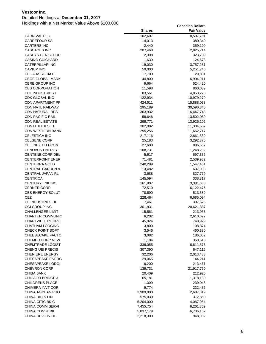### Detailed Holdings at **December 31, 2017**

|                                               | <b>Shares</b>    | <b>Fair Value</b>     |
|-----------------------------------------------|------------------|-----------------------|
| <b>CARNIVAL PLC</b>                           | 102,607          | 8,507,751             |
| <b>CARREFOUR SA</b>                           | 14,013           | 380,340               |
| <b>CARTERS INC</b>                            | 2,440            | 359,190               |
| <b>CASCADES INC</b>                           | 207,468          | 2,825,714             |
| <b>CASEYS GEN STORE</b>                       | 2,308            | 323,709               |
| <b>CASINO GUICHARD-</b>                       | 1,639            | 124,678               |
| CATERPILLAR INC                               | 19,030           | 3,757,281             |
| CAVIUM INC                                    | 50,000           | 5,251,740             |
| <b>CBL &amp; ASSOCIATE</b>                    | 17,700           | 129,831               |
| <b>CBOE GLOBAL MARK</b>                       | 44,809           | 6,994,911             |
| <b>CBRE GROUP INC</b>                         | 9,664            | 524,420               |
| <b>CBS CORPORATION</b>                        | 11,598           | 860,039               |
| <b>CCL INDUSTRIES I</b>                       | 83,561           | 4,853,223             |
| CDK GLOBAL INC                                | 122,934          | 10,979,270            |
| <b>CDN APARTMENT PP</b>                       | 424,511          | 15,888,033            |
| <b>CDN NATL RAILWAY</b>                       | 295,189          | 30,596,340            |
| <b>CDN NATURAL RES</b>                        | 363,932          | 16,447,748            |
| <b>CDN PACIFIC RAIL</b>                       | 58,648           | 13,502,089            |
| <b>CDN REAL ESTATE</b>                        | 299,771          | 13,926,102            |
| <b>CDN UTILITIES LT</b>                       | 302,982          | 11,334,557            |
| <b>CDN WESTERN BANK</b>                       | 295,256          | 11,662,717            |
| <b>CELESTICA INC</b>                          | 217,116          | 2,861,589             |
| <b>CELGENE CORP</b>                           | 25,183           | 3,292,875             |
| <b>CELLNEX TELECOM</b>                        | 27,600           | 886,567               |
| <b>CENOVUS ENERGY</b>                         | 108,731          | 1,248,232             |
| <b>CENTENE CORP DEL</b>                       | 5,517            | 697,336               |
| <b>CENTERPOINT ENER</b>                       | 71,481           | 2,539,982             |
| <b>CENTERRA GOLD</b>                          | 240,289          | 1,547,461             |
| <b>CENTRAL GARDEN &amp;</b>                   | 13,482           | 637,008               |
| <b>CENTRAL JAPAN RL</b>                       | 3,688            | 827,779               |
| <b>CENTRICA</b>                               | 145,594          | 338,817               |
| <b>CENTURYLINK INC</b>                        | 161,807          | 3,381,638             |
| <b>CERNER CORP</b><br><b>CES ENERGY SOLUT</b> | 72,510           | 6,122,476             |
| CEZ                                           | 78,590           | 513,389               |
| <b>CF INDUSTRIES HL</b>                       | 228,464<br>7,461 | 6,685,094             |
| <b>CGI GROUP INC</b>                          | 301,931          | 397,675<br>20,621,887 |
| <b>CHALLENGER LIMIT</b>                       | 15,561           | 213,953               |
| <b>CHARTER COMMUNIC</b>                       | 6,202            | 2,610,677             |
| <b>CHARTWELL RETIRE</b>                       | 45,924           | 748,929               |
| <b>CHATHAM LODGING</b>                        | 3,800            | 108,874               |
| <b>CHECK POINT SOFT</b>                       | 3,546            | 460,380               |
| CHEESECAKE FACTO                              | 3,082            | 186,052               |
| <b>CHEMED CORP NEW</b>                        | 1,184            | 360,518               |
| <b>CHEMTRADE LOGIST</b>                       | 339,055          | 6,611,573             |
| CHENG UEI PRECIS                              | 307,390          | 647,116               |
| <b>CHENIERE ENERGY</b>                        | 32,206           | 2,013,483             |
| <b>CHESAPEAKE ENERG</b>                       | 29,065           | 144,211               |
| <b>CHESAPEAKE LODGI</b>                       | 6,200            | 213,461               |
| <b>CHEVRON CORP</b>                           | 139,731          | 21,917,760            |
| CHIBA BANK                                    | 20,409           | 212,925               |
| <b>CHICAGO BRIDGE &amp;</b>                   | 65,181           | 1,318,130             |
| <b>CHILDRENS PLACE</b>                        | 1,309            | 239,046               |
| CHIMERA INVT COR                              | 9,774            | 232,435               |
| CHINA AOYUAN PRO                              | 3,909,000        | 2,687,819             |
| CHINA BILLS FIN                               | 575,030          | 372,850               |
| CHINA CITIC BK C                              | 5,204,000        | 4,087,054             |
| <b>CHINA COMM SERVI</b>                       | 7,455,754        | 6,261,809             |
| CHINA CONST BK                                | 5,837,179        | 6,736,162             |
| CHINA DEV FIN HL                              | 2,218,300        | 948,002               |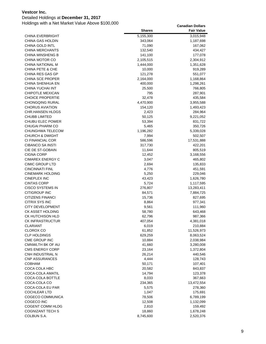Detailed Holdings at **December 31, 2017**

|                                           | <b>Shares</b>   | <b>Fair Value</b>    |
|-------------------------------------------|-----------------|----------------------|
| <b>CHINA EVERBRIGHT</b>                   | 5,155,300       | 3,015,948            |
| CHINA GAS HOLDIN                          | 343,064         | 1,187,698            |
| CHINA GOLD INTL                           | 71,090          | 167,062              |
| <b>CHINA MERCHANTS</b>                    | 132,540         | 434,427              |
| <b>CHINA MINSHENG B</b>                   | 141,100         | 177,078              |
| CHINA MOTOR CO                            | 2,105,515       | 2,304,912            |
| <b>CHINA NATIONAL M</b>                   | 1,444,000       | 1,351,628            |
| <b>CHINA PETE &amp; CHE</b>               | 10,000          | 919,289              |
| CHINA RES GAS GP                          | 121,278         | 551,077              |
| <b>CHINA SCE PROPER</b>                   | 2,164,000       | 1,168,864            |
| CHINA SHENHUA EN                          | 400,000         | 1,298,261            |
| CHINA YUCHAI INT                          | 25,500          | 766,805              |
| <b>CHIPOTLE MEXICAN</b>                   | 795             | 287,901              |
| <b>CHOICE PROPERTIE</b>                   | 32,478          | 435,584              |
| <b>CHONGQING RURAL</b>                    | 4,470,900       | 3,955,588            |
| <b>CHORUS AVIATION</b>                    | 154,120         | 1,493,423            |
| <b>CHR.HANSEN HLDGS</b>                   | 2,423           | 284,964              |
| <b>CHUBB LIMITED</b>                      | 50,125          | 9,221,052            |
| <b>CHUBU ELEC POWER</b>                   | 53,394          | 831,722              |
| CHUGAI PHARM CO                           | 5,465           | 350,726              |
| CHUNGHWA TELECOM                          | 1,196,282       | 5,339,028            |
| <b>CHURCH &amp; DWIGHT</b>                | 7,994           | 502,507              |
| <b>CI FINANCIAL COR</b>                   | 586,596         | 17,531,888           |
| <b>CIBANCO SA INSTI</b>                   | 317,730         | 422,201              |
| CIE DE ST-GOBAIN                          | 11,644          | 805,519              |
| <b>CIGNA CORP</b>                         | 12,452          | 3,168,556            |
| <b>CIMAREX ENERGY C</b>                   | 3,047           | 465,802              |
| <b>CIMIC GROUP LTD</b>                    | 2,694           | 135,833              |
| <b>CINCINNATI FINL</b>                    | 4,776           | 451,591              |
| <b>CINEMARK HOLDING</b>                   | 5,250           | 229,046              |
| <b>CINEPLEX INC</b>                       | 43,423          | 1,626,780            |
| <b>CINTAS CORP</b>                        | 5,724           | 1,117,595            |
| CISCO SYSTEMS IN                          | 276,807         | 13,283,411           |
| CITIGROUP INC                             | 84,571          | 7,884,725            |
| <b>CITIZENS FINANCI</b>                   | 15,736          | 827,695              |
| CITRIX SYS INC                            | 8,864           | 977,341              |
| CITY DEVELOPMENT                          | 9,561           | 111,960              |
| CK ASSET HOLDING                          | 58,780          | 643,468              |
| CK HUTCHISON HLD                          | 62,796          | 987,366              |
| <b>CK INFRASTRUCTUR</b>                   | 407,054         | 4,381,018            |
| <b>CLARIANT</b>                           | 6,019           | 210,884              |
| <b>CLOROX CO</b>                          | 61,852          | 11,526,973           |
| <b>CLP HOLDINGS</b>                       | 629,259         | 8,063,524            |
| CME GROUP INC                             | 10,884          | 2,038,984            |
| CMNWLTH BK OF AU                          | 41,660          | 3,280,008            |
| <b>CMS ENERGY CORP</b>                    | 23,164          | 1,372,804            |
| CNH INDUSTRIAL N<br><b>CNP ASSURANCES</b> | 26,214          | 440,546              |
|                                           | 4,444           | 128,743              |
| <b>COBHAM</b><br>COCA COLA HBC            | 50,171          | 107,401              |
|                                           | 20,582          | 843,837              |
| COCA-COLA AMATIL<br>COCA-COLA BOTTLE      | 14,794          | 123,378              |
| COCA-COLA CO                              | 8,033           | 367,663              |
| COCA-COLA EU PAR                          | 234,365         | 13,472,554           |
| <b>COCHLEAR LTD</b>                       | 5,575           | 278,360              |
| COGECO COMMUNICA                          | 1,047<br>78,506 | 175,691<br>6,789,199 |
| COGECO INC                                | 12,508          | 1,132,099            |
| COGENT COMM HLDG                          | 2,810           | 159,492              |
| <b>COGNIZANT TECH S</b>                   | 18,860          | 1,678,248            |
| COLBUN S.A.                               | 8,745,600       | 2,520,376            |
|                                           |                 |                      |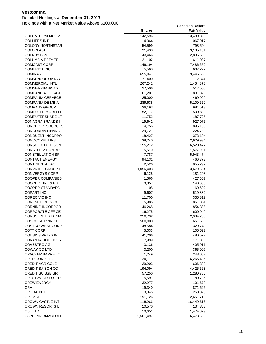### Detailed Holdings at **December 31, 2017**

|                             | <b>Shares</b> | <b>Fair Value</b> |
|-----------------------------|---------------|-------------------|
| <b>COLGATE PALMOLIV</b>     | 142,596       | 13,480,325        |
| <b>COLLIERS INTL</b>        | 14,064        | 1,067,917         |
| <b>COLONY NORTHSTAR</b>     | 54,599        | 798,504           |
| <b>COLOPLAST</b>            | 31,438        | 3,135,134         |
| <b>COLRUYT SA</b>           | 43,466        | 2,835,590         |
| <b>COLUMBIA PPTY TR</b>     | 21,102        | 611,987           |
| <b>COMCAST CORP</b>         | 149,194       | 7,486,652         |
| <b>COMERICA INC</b>         | 5,563         | 607,227           |
| <b>COMINAR</b>              | 655,941       | 9,445,550         |
| COMM BK OF QATAR            | 71,400        | 712,344           |
| <b>COMMERCIAL INTL</b>      | 267,241       | 1,454,878         |
| <b>COMMERZBANK AG</b>       | 27,506        | 517,506           |
| <b>COMPANHIA DE SAN</b>     | 61,201        | 801,325           |
| <b>COMPANIA CERVECE</b>     | 25,000        | 469,999           |
| <b>COMPANIA DE MINA</b>     | 289,638       | 5,109,659         |
| <b>COMPASS GROUP</b>        | 36,193        | 981,513           |
| <b>COMPUTER MODELLI</b>     | 52,177        | 500,899           |
| <b>COMPUTERSHARE LT</b>     | 11,752        | 187,725           |
| CONAGRA BRANDS I            | 19,642        | 927,075           |
| <b>CONCHO RESOURCES</b>     | 4,756         | 895,166           |
| <b>CONCORDIA FINANC</b>     | 29,721        | 224,789           |
| CONDUENT INCORPO            | 18,427        | 373,104           |
| <b>CONOCOPHILLIPS</b>       | 38,240        | 2,629,934         |
| <b>CONSOLDTD EDISON</b>     | 155,212       | 16,520,472        |
| <b>CONSTELLATION BR</b>     | 5,510         | 1,577,991         |
| <b>CONSTELLATION SF</b>     | 7,787         | 5,943,474         |
| <b>CONTACT ENERGY</b>       | 94,131        | 466,373           |
| CONTINENTAL AG              | 2,526         | 855,297           |
| CONVATEC GROUP P            | 1,056,403     | 3,679,534         |
| <b>CONVERGYS CORP</b>       | 6,128         | 181,203           |
| <b>COOPER COMPANIES</b>     | 1,566         | 427,507           |
| <b>COOPER TIRE &amp; RU</b> | 3,357         | 148,688           |
| COOPER-STANDARD             | 1,105         | 169,602           |
| <b>COPART INC</b>           | 9,607         | 519,882           |
| <b>CORECIVIC INC</b>        | 11,700        | 335,819           |
| <b>CORESITE RLTY CO</b>     | 5,985         | 861,351           |
| <b>CORNING INCORPOR</b>     | 46,265        | 1,854,388         |
| <b>CORPORATE OFFICE</b>     | 16,275        | 600,949           |
| <b>CORUS ENTERTAINM</b>     | 250,792       | 2,934,266         |
| <b>COSCO SHIPPING P</b>     | 500,000       | 651,535           |
| COSTCO WHSL CORP            | 48,584        | 11,329,743        |
| COTT CORP                   | 5,033         | 105,592           |
| <b>COUSINS PPTYS IN</b>     | 41,206        | 480,577           |
| <b>COVANTA HOLDINGS</b>     | 7,999         | 171,883           |
| <b>COVESTRO AG</b>          | 3,136         | 405,911           |
| COWAY CO LTD                | 3,200         | 365,907           |
| <b>CRACKER BARREL O</b>     | 1,249         | 248,652           |
| <b>CREDICORP LTD</b>        | 24,111        | 6,266,435         |
| <b>CREDIT AGRICOLE</b>      | 29,203        | 606,333           |
| <b>CREDIT SAISON CO</b>     | 194,094       | 4,425,563         |
| <b>CREDIT SUISSE GR</b>     | 57,250        | 1,280,786         |
| CRESTWOOD EQ. PR            | 5,591         | 180,735           |
| <b>CREW ENERGY</b>          | 32,277        | 101,673           |
| <b>CRH</b>                  | 19,340        | 871,626           |
| <b>CRODA INTL</b>           | 3,345         | 250,820           |
| <b>CROMBIE</b>              | 191,126       | 2,651,715         |
| <b>CROWN CASTLE INT</b>     | 118,266       | 16,449,616        |
| <b>CROWN RESORTS LT</b>     | 10,570        | 134,868           |
| <b>CSL LTD</b>              | 10,651        | 1,474,879         |
| <b>CSPC PHARMACEUTI</b>     | 2,561,497     | 6,478,550         |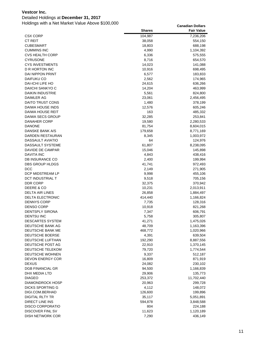### Detailed Holdings at **December 31, 2017**

|                                          | <b>Shares</b>    | <b>Fair Value</b>    |
|------------------------------------------|------------------|----------------------|
| CSX CORP                                 | 104,987          | 7,236,206            |
| <b>CT REIT</b>                           | 38,058           | 554,150              |
| <b>CUBESMART</b>                         | 18,803           | 688,198              |
| <b>CUMMINS INC</b>                       | 4,990            | 1,104,392            |
| <b>CVS HEALTH CORP</b>                   | 6,336            | 575,555              |
| <b>CYRUSONE</b>                          | 8,716            | 654,570              |
| <b>CYS INVESTMENTS</b>                   | 14,023           | 141,088              |
| D R HORTON INC                           | 10,916           | 698,495              |
| DAI NIPPON PRINT                         | 6,577            | 183,833              |
| DAIFUKU CO                               | 2,562            | 174,965              |
| DAI-ICHI LIFE HO                         | 24,615           | 636,266              |
| DAIICHI SANKYO C                         | 14,204           | 463,999              |
| <b>DAIKIN INDUSTRIE</b>                  | 5,561            | 824,800              |
| DAIMLER AG                               | 23,061           | 2,456,495            |
| DAITO TRUST CONS                         | 1,480            | 378,199              |
| DAIWA HOUSE INDS                         | 12,576           | 605,246              |
| DAIWA HOUSE REIT                         | 163              | 485,332              |
| DAIWA SECS GROUP                         | 32,285           | 253,841              |
| <b>DANAHER CORP</b>                      | 19,580           | 2,280,533            |
| <b>DANONE</b>                            | 81,754           | 8,604,015            |
| DANSKE BANK A/S                          | 179,658          | 8,771,169            |
| DARDEN RESTAURAN                         | 8,345            | 1,003,972            |
| DASSAULT AVIATIO                         | 64               | 124,976              |
| DASSAULT SYSTEME                         | 61,807           | 8,238,095            |
| DAVIDE DE CAMPAR                         | 15,046           | 145,898              |
| <b>DAVITA INC</b>                        | 4,843            | 438,416              |
| DB INSURANCE CO                          | 2,400            | 199,994              |
| DBS GROUP HLDGS                          | 41,741           | 972,493              |
| DCC                                      | 2,149            | 271,905              |
| DCP MIDSTREAM LP                         | 9,998            | 455,106              |
| DCT INDUSTRIAL T                         | 9,518            | 705,156              |
| DDR CORP                                 | 32,375           | 370,942              |
| DEERE & CO                               | 10,231           | 2,013,911            |
| DELTA AIR LINES                          | 26,858           | 1,884,497            |
| <b>DELTA ELECTRONIC</b>                  | 414,440          | 1,166,824            |
| <b>DENNYS CORP</b>                       | 7,735            | 128,316              |
| <b>DENSO CORP</b>                        | 10,918           | 821,268              |
| <b>DENTSPLY SIRONA</b>                   | 7,347            | 606,791              |
| <b>DENTSU INC</b>                        | 5,758            | 305,807              |
| DESCARTES SYSTEM                         | 41,271           | 1,475,026            |
| DEUTSCHE BANK AG                         | 48,709           | 1,163,396            |
| DEUTSCHE BANK ME                         | 468,772          | 1,020,966            |
| DEUTSCHE BOERSE                          | 4,391            | 639,504              |
| DEUTSCHE LUFTHAN                         | 192,290          | 8,887,556            |
| DEUTSCHE POST AG                         | 22,910           | 1,370,145            |
| DEUTSCHE TELEKOM                         | 79,720           | 1,774,544            |
| DEUTSCHE WOHNEN<br>DEVON ENERGY COR      | 9,337            | 512,187              |
| <b>DEXUS</b>                             | 16,809<br>24,082 | 871,919<br>230,102   |
| DGB FINANCIAL GR                         | 94,500           |                      |
| DHX MEDIA LTD                            | 29,906           | 1,166,839<br>135,773 |
|                                          |                  |                      |
| <b>DIAGEO</b><br><b>DIAMONDROCK HOSP</b> | 253,372          | 11,702,440           |
| DICKS SPORTING G                         | 20,963<br>4,112  | 299,728<br>148,072   |
| DIGI.COM.BERHAD                          | 126,600          | 199,896              |
| DIGITAL RLTY TR                          | 35,117           | 5,051,891            |
| DIRECT LINE INS                          | 594,878          | 3,848,588            |
| DISCO CORPORATIO                         | 804              | 224,188              |
| <b>DISCOVER FINL SV</b>                  | 11,623           | 1,120,189            |
| <b>DISH NETWORK COR</b>                  | 7,290            | 436,149              |
|                                          |                  |                      |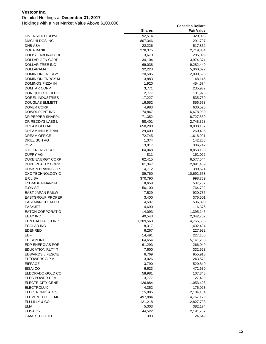### Detailed Holdings at **December 31, 2017**

|                                         | <b>Shares</b>     | <b>Fair Value</b>    |
|-----------------------------------------|-------------------|----------------------|
| DIVERSIFIED ROYA                        | 92,514            | 320,098              |
| DMCI HLDGS INC                          | 807,346           | 291,797              |
| <b>DNB ASA</b>                          | 22,226            | 517,852              |
| DOHA BANK                               | 278,375           | 2,719,834            |
| DOLBY LABORATORI                        | 3,670             | 285,096              |
| DOLLAR GEN CORP                         | 34,104            | 3,974,374            |
| DOLLAR TREE INC                         | 69,038            | 9,282,440            |
| DOLLARAMA                               | 32,223            | 5,060,622            |
| <b>DOMINION ENERGY</b>                  | 20,585            | 2,090,698            |
| <b>DOMINION ENRGY M</b>                 | 3,883             | 148,146              |
| DOMINOS PIZZA IN                        | 1,920             | 454,574              |
| <b>DOMTAR CORP</b>                      | 3,771             | 235,937              |
| DON QUIJOTE HLDG                        | 2,777             | 181,926              |
| DOREL INDUSTRIES                        | 17,227            | 535,760              |
| DOUGLAS EMMETT I                        | 16,552            | 856,573              |
| DOVER CORP                              | 4,983             | 630,526              |
| DOWDUPONT INC                           | 74,847            | 6,678,980            |
| DR PEPPER SNAPPL                        | 71,352            | 8,727,859            |
| DR REDDYS LABS L<br><b>DREAM GLOBAL</b> | 58,401            | 2,748,398            |
| DREAM INDUSTRIAL                        | 658,288<br>29,400 | 8,088,167<br>260,435 |
| <b>DREAM OFFICE</b>                     | 72,745            | 1,618,091            |
| DRILLISCH AG                            | 1,374             | 142,288              |
| <b>DSV</b>                              | 3,917             | 386,742              |
| DTE ENERGY CO                           | 64,048            | 8,853,198            |
| <b>DUFRY AG</b>                         | 811               | 151,092              |
| <b>DUKE ENERGY CORP</b>                 | 62,415            | 6,577,644            |
| DUKE REALTY CORP                        | 61,347            | 2,091,489            |
| <b>DUNKIN BRANDS GR</b>                 | 4,712             | 380,624              |
| DXC TECHNOLOGY C                        | 89,760            | 10,692,653           |
| E CL SA                                 | 370,790           | 998,769              |
| E*TRADE FINANCIA                        | 8,658             | 537,737              |
| E.ON SE                                 | 56,100            | 764,792              |
| EAST JAPAN RAILW                        | 7,529             | 920,736              |
| <b>EASTGROUP PROPER</b>                 | 3,400             | 376,501              |
| <b>EASTMAN CHEM CO</b>                  | 4,597             | 536,890              |
| <b>EASYJET</b>                          | 4,690             | 116,376              |
| <b>EATON CORPORATIO</b>                 | 14,093            | 1,395,145            |
| <b>EBAY INC</b>                         | 49,543            | 2,342,707            |
| <b>ECN CAPITAL CORP</b>                 | 1,209,560         | 4,765,666            |
| ECOLAB INC                              | 8,317             | 1,402,494            |
| <b>EDENRED</b>                          | 6,267             | 227,992              |
| EDF                                     | 14,491            | 227,180              |
| <b>EDISON INTL</b>                      | 64,654            | 5,141,238            |
| EDP ENERGIAS POR                        | 61,293            | 266,049              |
| EDUCATION RLTY T                        | 7,600             | 332,523              |
| <b>EDWARDS LIFESCIE</b>                 | 6,769             | 955,918              |
| EI TOWERS S.P.A.                        | 3,026             | 243,572              |
| <b>EIFFAGE</b>                          | 3,790             | 520,840              |
| EISAI CO<br>ELDORADO GOLD CO            | 6,623             | 472,630              |
| ELEC POWER DEV                          | 58,981<br>3,777   | 107,345<br>127,499   |
| <b>ELECTRICITY GENR</b>                 | 126,884           |                      |
| <b>ELECTROLUX</b>                       | 4,352             | 1,053,408<br>176,023 |
| <b>ELECTRONIC ARTS</b>                  | 15,985            | 2,104,184            |
| ELEMENT FLEET MG                        | 497,884           | 4,767,179            |
| ELI LILLY & CO                          | 121,218           | 12,827,793           |
| <b>ELIA</b>                             | 5,303             | 382,174              |
| ELISA OYJ                               | 44,522            | 2,191,757            |
| E-MART CO LTD                           | 393               | 124,649              |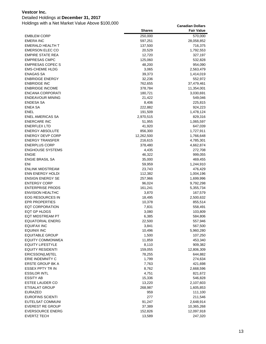### Detailed Holdings at **December 31, 2017**

|                         | <b>Shares</b> | <b>Fair Value</b> |
|-------------------------|---------------|-------------------|
| <b>EMBLEM CORP</b>      | 250,000       | 570,000           |
| EMERA INC               | 597,251       | 28,058,852        |
| EMERALD HEALTH T        | 137,500       | 716,375           |
| <b>EMERSON ELEC CO</b>  | 20,529        | 1,792,553         |
| <b>EMPIRE STATE REA</b> | 12,720        | 327,197           |
| <b>EMPRESAS CMPC</b>    | 125,060       | 532,828           |
| <b>EMPRESAS COPEC S</b> | 48,200        | 954,090           |
| <b>EMS-CHEMIE HLDG</b>  | 3,065         | 2,563,479         |
| <b>ENAGAS SA</b>        | 39,373        | 1,414,019         |
| <b>ENBRIDGE ENERGY</b>  | 32,236        | 552,972           |
| <b>ENBRIDGE INC</b>     | 762,655       | 37,479,461        |
| <b>ENBRIDGE INCOME</b>  | 378,784       | 11,354,001        |
| ENCANA CORPORATI        | 180,721       | 3,030,691         |
| <b>ENDEAVOUR MINING</b> | 21,422        | 549,046           |
| <b>ENDESA SA</b>        | 8,406         | 225,815           |
| <b>ENEA SA</b>          | 222,882       | 924,223           |
| ENEL                    | 191,509       | 1,478,124         |
| ENEL AMERICAS SA        | 2,970,515     | 829,316           |
| <b>ENERCARE INC</b>     | 51,955        | 1,065,597         |
| <b>ENERFLEX LTD</b>     | 41,920        | 647,039           |
| <b>ENERGY ABSOLUTE</b>  | 856,300       | 1,727,911         |
| <b>ENERGY DEVP CORP</b> | 12,262,500    | 1,766,648         |
| <b>ENERGY TRANSFER</b>  | 216,615       | 4,785,301         |
| <b>ENERPLUS CORP</b>    | 378,480       | 4,662,874         |
| <b>ENGHOUSE SYSTEMS</b> | 4,435         | 272,708           |
| <b>ENGIE</b>            | 46,322        | 999,055           |
| <b>ENGIE BRASIL SA</b>  | 35,000        | 469,455           |
| ENI                     | 59,959        | 1,244,910         |
| <b>ENLINK MIDSTREAM</b> | 23,743        | 476,429           |
| <b>ENN ENERGY HOLDI</b> | 112,382       | 1,004,196         |
| <b>ENSIGN ENERGY SE</b> | 257,966       | 1,699,996         |
| <b>ENTERGY CORP</b>     | 96,024        | 9,792,298         |
| <b>ENTERPRISE PRODS</b> | 161,241       | 5,355,734         |
| <b>ENVISION HEALTHC</b> | 3,870         | 167,579           |
| EOG RESOURCES IN        | 18,495        | 2,500,632         |
| <b>EPR PROPERTIES</b>   | 10,378        | 855,514           |
| <b>EQT CORPORATION</b>  | 7,831         | 558,491           |
| EQT GP HLDGS            | 3,080         | 103,809           |
| EQT MIDSTREAM PT        | 6,385         | 584,806           |
| <b>EQUATORIAL ENERG</b> | 22,500        | 557,946           |
| <b>EQUIFAX INC</b>      | 3,841         | 567,500           |
| <b>EQUINIX INC</b>      | 10,496        | 5,960,280         |
| <b>EQUITABLE GROUP</b>  | 1,500         | 107,250           |
| <b>EQUITY COMMONWEA</b> | 11,859        | 453,340           |
| <b>EQUITY LIFESTYLE</b> | 8,110         | 909,382           |
| <b>EQUITY RESIDENTI</b> | 159,055       | 12,806,309        |
| ERICSSON(LM)TEL         | 78,255        | 644,882           |
| ERIE INDEMNITY C        | 1,799         | 274,634           |
| <b>ERSTE GROUP BK A</b> | 7,763         | 421,698           |
| <b>ESSEX PPTY TR IN</b> | 8,762         | 2,668,596         |
| <b>ESSILOR INTL</b>     | 4,751         | 821,672           |
| <b>ESSITY AB</b>        | 15,336        | 546,828           |
| <b>ESTEE LAUDER CO</b>  | 13,220        | 2,107,603         |
| <b>ETISALAT GROUP</b>   | 268,987       | 1,605,853         |
| <b>EURAZEO</b>          | 959           | 111,100           |
| <b>EUROFINS SCIENTI</b> | 277           | 211,546           |
| EUTELSAT COMMUNI        | 91,247        | 2,648,914         |
| <b>EVEREST RE GROUP</b> | 37,389        | 10,365,268        |
| <b>EVERSOURCE ENERG</b> | 152,826       | 12,097,918        |
| <b>EVERTZ TECH</b>      | 13,589        | 247,320           |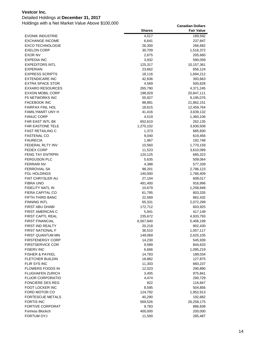### Detailed Holdings at **December 31, 2017**

|                                              | <b>Shares</b>        | <b>Fair Value</b>    |
|----------------------------------------------|----------------------|----------------------|
| <b>EVONIK INDUSTRIE</b>                      | 4,017                | 189,592              |
| <b>EXCHANGE INCOME</b>                       | 6,641                | 237,847              |
| <b>EXCO TECHNOLOGIE</b>                      | 26,300               | 266,682              |
| <b>EXELON CORP</b>                           | 30,709               | 1,516,372            |
| EXOR NV                                      | 2,675                | 205,660              |
| <b>EXPEDIA INC</b>                           | 3,932                | 590,059              |
| <b>EXPEDITORS INTL</b>                       | 125,317              | 10,157,361           |
| <b>EXPERIAN</b>                              | 23,662               | 656,124              |
| <b>EXPRESS SCRIPTS</b>                       | 18,116               | 1,694,212            |
| <b>EXTENDICARE INC</b>                       | 42,836               | 393,663              |
| <b>EXTRA SPACE STOR</b>                      | 4,569                | 500,628              |
| <b>EXXARO RESOURCES</b>                      | 265,790              | 4,371,245            |
| <b>EXXON MOBIL CORP</b>                      | 198,929              | 20,847,111           |
| <b>F5 NETWORKS INC</b>                       | 55,927               | 9,195,076            |
| <b>FACEBOOK INC</b>                          | 98,881               | 21,862,151           |
| <b>FAIRFAX FINL HOL</b>                      | 18,615               | 12,459,764           |
| <b>FAMILYMART UNY H</b><br><b>FANUC CORP</b> | 41,416               | 3,639,132            |
| <b>FAR EAST INTL BK</b>                      | 4,519                | 1,360,106            |
| <b>FAR EASTONE TELE</b>                      | 652,610<br>1,270,102 | 262,135<br>3,930,508 |
| <b>FAST RETAILING C</b>                      | 1,373                | 685,830              |
| <b>FASTENAL CO</b>                           | 9,040                | 619,456              |
| <b>FAURECIA</b>                              | 1,967                | 192,748              |
| FEDERAL RLTY INV                             | 10,560               | 1,770,159            |
| <b>FEDEX CORP</b>                            | 11,523               | 3,610,089            |
| <b>FENG TAY ENTRPRI</b>                      | 120,125              | 685,323              |
| <b>FERGUSON PLC</b>                          | 5,635                | 509,064              |
| <b>FERRARI NV</b>                            | 4,388                | 577,339              |
| <b>FERROVIAL SA</b>                          | 98,201               | 2,796,123            |
| <b>FGL HOLDINGS</b>                          | 140,000              | 1,766,409            |
| <b>FIAT CHRYSLER AU</b>                      | 27,104               | 608,017              |
| <b>FIBRA UNO</b>                             | 491,400              | 916,996              |
| FIDELITY NATL IN                             | 10,679               | 1,258,948            |
| FIERA CAPITAL CO                             | 61,795               | 803,335              |
| FIFTH THIRD BANC                             | 22,569               | 862,432              |
| <b>FINNING INTL</b>                          | 65,331               | 2,072,299            |
| <b>FIRST ABU DHABI</b>                       | 172,712              | 603,925              |
| <b>FIRST AMERICAN C</b>                      | 5,941                | 417,149              |
| <b>FIRST CAPTL REAL</b>                      | 235,672              | 4,933,793            |
| <b>FIRST FINANCIAL</b>                       | 6,567,840            | 5,406,199            |
| FIRST IND REALTY                             | 20,218               | 802,430              |
| <b>FIRST NATIONAL F</b>                      | 36,510               | 1,057,117            |
| FIRST QUANTUM MN                             | 149,069              | 2,625,105            |
| <b>FIRSTENERGY CORP</b>                      | 14,230               | 545,939              |
| <b>FIRSTSERVICE COR</b>                      | 9,589                | 844,633              |
| <b>FISERV INC</b>                            | 6,666                | 1,095,219            |
| <b>FISHER &amp; PAYKEL</b>                   | 14,783               | 189,034              |
| <b>FLETCHER BUILDIN</b>                      | 18,882               | 127,875              |
| FLIR SYS INC                                 | 11,303               | 660,237              |
| FLOWERS FOODS IN<br><b>FLUGHAFEN ZURICH</b>  | 12,023<br>3,405      | 290,890<br>975,841   |
| <b>FLUOR CORPORATIO</b>                      | 4,474                | 290,729              |
| <b>FONCIERE DES REG</b>                      | 822                  |                      |
| FOOT LOCKER INC                              | 8,595                | 116,847<br>504,856   |
| FORD MOTOR CO                                | 124,792              | 1,952,913            |
| <b>FORTESCUE METALS</b>                      | 40,290               | 192,682              |
| <b>FORTIS INC</b>                            | 569,526              | 26,258,175           |
| <b>FORTIVE CORPORAT</b>                      | 9,783                | 886,838              |
| Fortress Blockch                             | 400,000              | 200,000              |
| FORTUM OYJ                                   | 11,500               | 285,487              |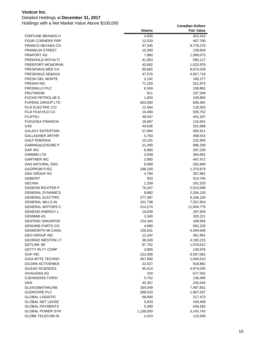### Detailed Holdings at **December 31, 2017**

|                                           | <b>Shares</b>     | <b>Fair Value</b>    |
|-------------------------------------------|-------------------|----------------------|
| FORTUNE BRANDS H                          | 4,926             | 422,414              |
| <b>FOUR CORNERS PRP</b>                   | 12,529            | 407,700              |
| FRANCO NEVADA CO                          | 97,345            | 9,779,279            |
| <b>FRANKLIN STREET</b>                    | 10,300            | 138,604              |
| <b>FRAPORT AG</b>                         | 7,880             | 1,089,073            |
| <b>FREEHOLD ROYALTI</b>                   | 41,853            | 590,127              |
| FREEPORT-MCMORAN                          | 43,062            | 1,022,978            |
| <b>FRESENIUS MED CA</b>                   | 65,682            | 8,674,539            |
| <b>FRESENIUS SE&amp;KGA</b>               | 47,576            | 4,657,718            |
| <b>FRESH DEL MONTE</b>                    | 3,102             | 185,277              |
| <b>FRESHII INC</b>                        | 71,100            | 521,874              |
| <b>FRESNILLO PLC</b>                      | 6,559             | 158,862              |
| <b>FRUTAROM</b>                           | 911               | 107,349              |
| <b>FUCHS PETROLUB S</b>                   | 1,650             | 109,850              |
| <b>FUFENG GROUP LTD</b>                   | 803,000           | 656,391              |
| <b>FUJI ELECTRIC CO</b>                   | 12,594            | 118,925              |
| FUJI FILM HLD CO                          | 10,460            | 535,752              |
| <b>FUJITSU</b>                            | 49,547            | 442,357              |
| <b>FUKUOKA FINANCIA</b>                   | 16,567            | 116,641              |
| G4S                                       | 44,636            | 201,998              |
| <b>GALAXY ENTERTAIN</b>                   | 57,994            | 582,811              |
| <b>GALLAGHER ARTHR</b>                    | 5,783             | 458,515              |
| <b>GALP ENERGIA</b>                       | 10,101            | 232,900              |
| <b>GAMING&amp;LEISURE P</b>               | 21,490            | 996,258              |
| <b>GAP INC</b>                            | 6,965             | 297,235              |
| <b>GARMIN LTD</b>                         | 3,549             | 264,891              |
| <b>GARTNER INC</b>                        | 2,900             | 447,472              |
| <b>GAS NATURAL SDG</b>                    | 9,069             | 262,660              |
| <b>GAZPROM PJSC</b>                       | 248,100           | 1,370,879            |
| <b>GEA GROUP AG</b>                       | 4,784             | 287,981              |
| <b>GEBERIT</b>                            | 933               | 514,745              |
| <b>GECINA</b>                             | 1,259             | 291,520              |
| <b>GEDEON RICHTER P</b>                   | 76,347            | 2,510,598            |
| <b>GENERAL DYNAMICS</b>                   | 8,882             | 2,264,135            |
| <b>GENERAL ELECTRIC</b>                   | 277,387           | 6,106,100            |
| <b>GENERAL MILLS IN</b>                   | 101,738           | 7,557,853            |
| <b>GENERAL MOTORS C</b>                   | 214,274           | 11,004,775           |
| <b>GENESIS ENERGY L</b>                   | 10,639            | 297,929              |
| <b>GENMAB AS</b>                          | 1,540             | 320,221              |
| <b>GENTING SINGAPOR</b>                   | 154,344           | 189,565              |
| <b>GENUINE PARTS CO</b>                   | 4,689             | 562,226              |
| <b>GENWORTH MI CANA</b>                   | 105,631           | 4,594,949            |
| <b>GEO GROUP INC</b>                      | 12,242            | 361,991              |
| <b>GEORGE WESTON LT</b>                   | 38,328            | 4,192,215            |
| <b>GETLINK SE</b>                         | 97,752            | 1,576,612            |
| <b>GETTY RLTY CORP</b>                    | 3,805             | 130,976              |
| <b>GGP INC</b><br><b>GIGA-BYTE TECHNO</b> | 222,008           | 6,567,082            |
| <b>GILDAN ACTIVEWEA</b>                   | 457,690<br>22,627 | 1,040,610<br>918,882 |
| <b>GILEAD SCIENCES</b>                    | 55,414            | 4,974,035            |
| GIVAUDAN AG                               | 234               | 677,542              |
| <b>GJENSIDIGE FORSI</b>                   | 5,752             | 136,485              |
| <b>GKN</b>                                | 45,357            | 245,545              |
| <b>GLAXOSMITHKLINE</b>                    | 334,049           | 7,487,851            |
| <b>GLENCORE PLC</b>                       | 288,533           | 1,907,267            |
| <b>GLOBAL LOGISTIC</b>                    | 68,830            | 217,473              |
| <b>GLOBAL NET LEASE</b>                   | 5,833             | 150,408              |
| <b>GLOBAL PAYMENTS</b>                    | 5,090             | 639,282              |
| <b>GLOBAL POWER SYN</b>                   | 1,136,000         | 3,143,743            |
| <b>GLOBE TELECOM IN</b>                   | 2,423             | 115,549              |
|                                           |                   |                      |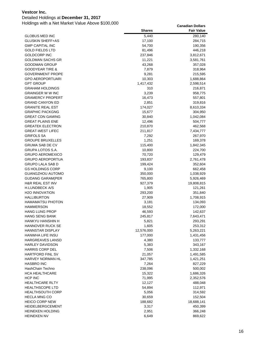### Detailed Holdings at **December 31, 2017**

|                            | <b>Shares</b> | <b>Fair Value</b> |
|----------------------------|---------------|-------------------|
| <b>GLOBUS MED INC</b>      | 5,440         | 280,140           |
| <b>GLUSKIN SHEFF+AS</b>    | 17,100        | 284,715           |
| <b>GMP CAPITAL INC</b>     | 54,700        | 190,356           |
| <b>GOLD FIELDS LTD</b>     | 81,496        | 446,218           |
| <b>GOLDCORP INC</b>        | 237,846       | 3,812,671         |
| <b>GOLDMAN SACHS GR</b>    | 11,221        | 3,581,761         |
| <b>GOODMAN GROUP</b>       | 43,268        | 357,028           |
| <b>GOODYEAR TIRE &amp;</b> | 7,879         | 318,964           |
| <b>GOVERNMENT PROPE</b>    | 9,281         | 215,595           |
| <b>GPO AEROPORTUARI</b>    | 10,303        | 1,688,864         |
| <b>GPT GROUP</b>           | 1,417,432     | 2,598,514         |
| <b>GRAHAM HOLDINGS</b>     | 310           | 216,871           |
| <b>GRAINGER W W INC</b>    | 3,239         | 958,775           |
| <b>GRAMERCY PROPERT</b>    | 16,473        | 557,801           |
| <b>GRAND CANYON ED</b>     | 2,851         | 319,816           |
| <b>GRANITE REAL EST</b>    | 174,027       | 8,610,334         |
| <b>GRAPHIC PACKGNG</b>     | 15,677        | 304,950           |
| <b>GREAT CDN GAMING</b>    | 30,840        | 1,042,084         |
| <b>GREAT PLAINS ENE</b>    | 12,496        | 504,777           |
| <b>GREATEK ELECTRON</b>    | 210,870       | 462,568           |
| <b>GREAT-WEST LIFEC</b>    | 211,817       | 7,434,777         |
| <b>GRIFOLS SA</b>          | 7,292         | 267,970           |
| <b>GROUPE BRUXELLES</b>    | 1,251         | 169,378           |
| <b>GRUMA SAB DE CV</b>     | 115,400       | 1,842,345         |
| GRUPA LOTOS S.A.           | 10,800        | 224,700           |
| <b>GRUPO AEROMEXICO</b>    | 70,720        | 129,479           |
| <b>GRUPO AEROPORTUA</b>    | 193,837       | 2,761,478         |
| <b>GRUPO LALA SAB D</b>    | 199,424       | 352,604           |
| <b>GS HOLDINGS CORP</b>    | 9,100         | 662,458           |
| <b>GUANGZHOU AUTOMO</b>    | 350,000       | 1,038,929         |
| <b>GUDANG GARAM(PER</b>    | 765,800       | 5,926,469         |
| H&R REAL EST INV           | 927,379       | 19,808,815        |
| <b>H.LUNDBECK A/S</b>      | 1,905         | 121,261           |
| <b>H2O INNOVATION</b>      | 293,200       | 351,840           |
| <b>HALLIBURTON</b>         | 27,909        | 1,708,915         |
| <b>HAMAMATSU PHOTON</b>    | 3,181         | 134,093           |
| <b>HAMMERSON</b>           | 18,552        | 172,000           |
| <b>HANG LUNG PROP</b>      | 46,593        | 142,637           |
| <b>HANG SENG BANK</b>      | 245,817       | 7,643,471         |
| HANKYU HANSHIN H           | 5,821         | 293,291           |
| <b>HANNOVER RUCK SE</b>    | 1,605         | 253,312           |
| <b>HANNSTAR DISPLAY</b>    | 12,576,000    | 5,263,221         |
| HANWHA LIFE INSU           | 177,000       | 1,431,456         |
| <b>HARGREAVES LANSD</b>    | 4,380         | 133,777           |
| <b>HARLEY DAVIDSON</b>     | 5,383         | 343,167           |
| <b>HARRIS CORP DEL</b>     | 7,506         | 1,332,168         |
| <b>HARTFORD FINL SV</b>    | 21,057        | 1,491,585         |
| <b>HARVEY NORMAN HL</b>    | 347,785       | 1,421,251         |
| <b>HASBRO INC</b>          | 7,264         | 827,229           |
| HashChain Techno           | 238,096       | 500,002           |
| <b>HCA HEALTHCARE</b>      | 15,322        | 1,686,326         |
| <b>HCP INC</b>             | 71,995        | 2,352,576         |
| <b>HEALTHCARE RLTY</b>     | 12,127        | 488,048           |
| <b>HEALTHSCOPE LTD</b>     | 54,894        | 112,971           |
| <b>HEALTHSOUTH CORP</b>    | 5,056         | 314,592           |
| <b>HECLA MNG CO</b>        | 30,659        | 152,504           |
| <b>HEICO CORP NEW</b>      | 188,682       | 18,688,141        |
| <b>HEIDELBERGCEMENT</b>    | 3,317         | 450,399           |
| <b>HEINEKEN HOLDING</b>    | 2,951         | 366,248           |
| <b>HEINEKEN NV</b>         | 6,649         | 869,622           |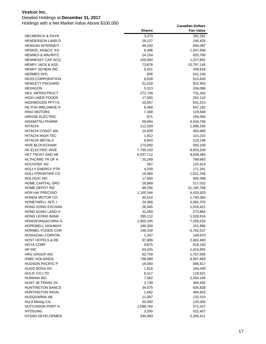### Detailed Holdings at **December 31, 2017**

|                             | <b>Shares</b> | <b>Fair Value</b> |
|-----------------------------|---------------|-------------------|
| <b>HELMERICH &amp; PAYN</b> | 3,473         | 281,281           |
| <b>HENDERSON LAND D</b>     | 29,127        | 240,425           |
| <b>HENGAN INTERNATI</b>     | 49,200        | 684,087           |
| <b>HENKEL AG&amp;CO, KG</b> | 6,496         | 1,047,658         |
| <b>HENNES &amp; MAURITZ</b> | 24,154        | 625,790           |
| <b>HENNESSY CAP ACQ</b>     | 100,000       | 1,227,891         |
| <b>HENRY JACK &amp; ASS</b> | 73,678        | 10,797,145        |
| HENRY SCHEIN INC            | 5,021         | 439,619           |
| <b>HERMES INTL</b>          | 806           | 541,150           |
| <b>HESS CORPORATION</b>     | 8,639         | 513,826           |
| <b>HEWLETT PACKARD</b>      | 51,018        | 922,950           |
| <b>HEXAGON</b>              | 5,313         | 334,086           |
| <b>HICL INFRASTRUCT</b>     | 272,749       | 731,343           |
| HIGH LINER FOODS            | 17,000        | 252,110           |
| <b>HIGHWOODS PPTYS</b>      | 10,057        | 641,513           |
| HILTON WRLDWDE H            | 6,468         | 647,192           |
| <b>HINO MOTORS</b>          | 7,368         | 119,648           |
| <b>HIROSE ELECTRIC</b>      | 871           | 159,556           |
| <b>HISAMITSU PHARM</b>      | 59,694        | 4,534,756         |
| <b>HITACHI</b>              | 112,269       | 1,096,245         |
| <b>HITACHI CONST MA</b>     | 10,839        | 493,680           |
| <b>HITACHI HIGH-TEC</b>     | 1,912         | 101,015           |
| <b>HITACHI METALS</b>       | 6,843         | 123,148           |
| <b>HIVE BLOCKCHAIN</b>      | 170,000       | 583,100           |
| HK ELECTRIC INVE            | 7,795,150     | 8,933,209         |
| HKT TRUST AND HK            | 6,037,712     | 9,638,484         |
| HLTHCARE TR OF A            | 20,249        | 769,663           |
| <b>HOCHTIEF AG</b>          | 567           | 125,914           |
| <b>HOLLY ENERGY PTR</b>     | 4,209         | 171,341           |
| <b>HOLLYFRONTIER CO</b>     | 16,069        | 1,031,246         |
| <b>HOLOGIC INC</b>          | 17,650        | 945,398           |
| <b>HOME CAPITAL GRO</b>     | 29,869        | 517,032           |
| HOME DEPOT INC              | 89,256        | 21,195,768        |
| <b>HON HAI PRECISIO</b>     | 1,100,344     | 4,410,503         |
| <b>HONDA MOTOR CO</b>       | 40,514        | 1,740,283         |
| HONEYWELL INTL I            | 24,368        | 4,682,370         |
| <b>HONG KONG EXCHAN</b>     | 26,445        | 1,016,412         |
| HONG KONG LAND H            | 31,059        | 273,964           |
| <b>HONG LEONG BANK</b>      | 290,112       | 1,526,916         |
| <b>HONGKONG&amp;CHINA G</b> | 2,955,245     | 7,256,534         |
| <b>HOPEWELL HIGHWAY</b>     | 190,300       | 151,896           |
| HORMEL FOODS COR            | 148,318       | 6,762,537         |
| <b>HOSHIZAKI CORPOR</b>     | 1,347         | 149,670           |
| <b>HOST HOTELS &amp; RE</b> | 97,808        | 2,462,483         |
| <b>HOYA CORP</b>            | 9,875         | 618,150           |
| HP INC                      | 53,425        | 1,415,855         |
| HRG GROUP INC               | 82,759        | 1,757,595         |
| <b>HSBC HOLDINGS</b>        | 736,089       | 9,567,983         |
| <b>HUDSON PACIFIC P</b>     | 16,000        | 686,617           |
| HUGO BOSS AG                | 1,818         | 194,039           |
| HULIC CO LTD                | 8,417         | 118,521           |
| <b>HUMANA INC</b>           | 7,562         | 2,354,184         |
| HUNT JB TRANS SV            | 2,739         | 394,592           |
| <b>HUNTINGTON BANCS</b>     | 34,575        | 635,628           |
| <b>HUNTINGTON INGAL</b>     | 1,642         | 484,916           |
| HUSQVARNA AB                | 11,087        | 132,510           |
| Hut 8 Mining Cor            | 50,000        | 125,000           |
| HUTCHISON PORT H            | 1,098,760     | 571,327           |
| <b>HYOSUNG</b>              | 3,200         | 522,457           |
| HYSAN DEVELOPMEN            | 340,993       | 2,265,411         |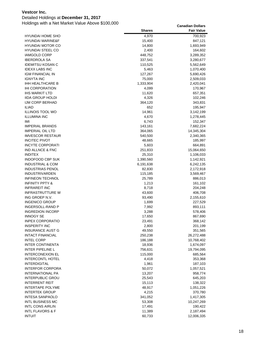### Detailed Holdings at **December 31, 2017**

|                                                    | <b>Shares</b>  | <b>Fair Value</b>  |
|----------------------------------------------------|----------------|--------------------|
| <b>HYUNDAI HOME SHO</b>                            | 4,970          | 700,923            |
| <b>HYUNDAI MARINE&amp;F</b>                        | 15,400         | 847,121            |
| <b>HYUNDAI MOTOR CO</b>                            | 14,800         | 1,693,949          |
| <b>HYUNDAI STEEL CO</b>                            | 2,400          | 164,602            |
| <b>IAMGOLD CORP</b>                                | 448,752        | 3,289,352          |
| <b>IBERDROLA SA</b>                                | 337,541        | 3,280,677          |
| <b>IDEMITSU KOSAN C</b>                            | 110,525        | 5,562,649          |
| <b>IDEXX LABS INC</b>                              | 5,463          | 1,070,400          |
| IGM FINANCIAL IN                                   | 127,267        | 5,690,426          |
| <b>IGNYTA INC</b>                                  | 75,000         | 2,509,033          |
| IHH HEALTHCARE B                                   | 1,333,904      | 2,420,041          |
| <b>IHI CORPORATION</b>                             | 4,099          | 170,967            |
| <b>IHS MARKIT LTD</b>                              | 11,620         | 657,351            |
| <b>IIDA GROUP HOLDI</b>                            | 4,326          | 102,246            |
| <b>IJM CORP BERHAD</b>                             | 364,120        | 343,831            |
| <b>ILIAD</b>                                       | 652            | 195,947            |
| <b>ILLINOIS TOOL WO</b>                            | 14,961         | 3,142,199          |
| <b>ILLUMINA INC</b>                                | 4,670          | 1,278,445          |
| IMI                                                | 6,743          | 152,347            |
| <b>IMPERIAL BRANDS</b>                             | 143,161        | 7,682,224          |
| <b>IMPERIAL OIL LTD</b>                            | 364,065        | 14,345,304         |
| <b>IMVESCOR RESTAUR</b>                            | 540,500        | 2,340,365          |
| <b>INCITEC PIVOT</b>                               | 48,665         | 185,997            |
| <b>INCYTE CORPORATI</b>                            | 5,603          | 664,891            |
| <b>IND ALLNCE &amp; FNC</b>                        | 251,833        | 15,064,650         |
| <b>INDITEX</b>                                     | 25,310         | 1,106,033          |
| <b>INDOFOOD CBP SUK</b>                            | 1,390,560      | 1,142,921          |
| <b>INDUSTRIAL &amp; COM</b>                        | 6,191,638      | 6,242,135          |
| <b>INDUSTRIAS PENOL</b>                            | 82,830         | 2,172,918          |
| <b>INDUSTRIVARDEN</b>                              | 115,185        | 3,569,467          |
| <b>INFINEON TECHNOL</b>                            | 25,789         | 886,013            |
| <b>INFINITY PPTY &amp;</b>                         | 1,213          | 161,102            |
| <b>INFRAREIT INC</b>                               | 8,718          | 204,248            |
| <b>INFRASTRUTTURE W</b>                            | 43,600         | 406,708            |
| ING GROEP N.V.                                     | 93,490         | 2,155,610          |
| <b>INGENICO GROUP</b>                              | 1,699          | 227,529            |
| INGERSOLL-RAND P                                   | 7,992          | 893,111            |
| <b>INGREDION INCORP</b>                            | 3,288          | 578,406            |
| <b>INNOGY SE</b>                                   | 17,650         | 867,690            |
| <b>INPEX CORPORATIO</b>                            | 23,491         | 368,142            |
| <b>INSPERITY INC</b>                               | 2,800          | 201,199            |
| <b>INSURANCE AUST G</b>                            | 49,550         | 351,565            |
| <b>INTACT FINANCIAL</b>                            | 250,238        | 26,272,488         |
| <b>INTEL CORP</b>                                  | 186,188        | 10,768,402         |
| <b>INTER CONTINENTA</b>                            | 18,936         | 1,674,097          |
| <b>INTER PIPELINE L</b><br><b>INTERCONEXION EL</b> | 756,631        | 19,794,095         |
| <b>INTERCONTL HOTEL</b>                            | 115,000        | 685,564            |
| <b>INTERDIGITAL</b>                                | 4,418<br>1,961 | 353,368<br>187,103 |
| <b>INTERFOR CORPORA</b>                            | 50,072         | 1,057,521          |
| INTERNATIONAL PA                                   | 13,207         | 958,774            |
| <b>INTERPUBLIC GROU</b>                            | 25,543         | 645,203            |
| <b>INTERRENT REIT</b>                              | 15,113         | 138,322            |
| <b>INTERTAPE POLYME</b>                            | 48,917         | 1,051,226          |
| <b>INTERTEK GROUP</b>                              | 4,215          | 370,780            |
| <b>INTESA SANPAOLO</b>                             | 341,052        | 1,417,305          |
| <b>INTL BUSINESS MC</b>                            | 53,308         | 10,247,269         |
| <b>INTL CONS AIRLIN</b>                            | 17,491         | 190,422            |
| <b>INTL FLAVORS &amp; F</b>                        | 11,389         | 2,187,494          |
| <b>INTUIT</b>                                      | 60,733         | 12,006,335         |
|                                                    |                |                    |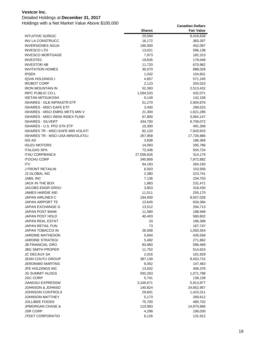### Detailed Holdings at **December 31, 2017**

|                                       | <b>Shares</b>  | <b>Fair Value</b>  |
|---------------------------------------|----------------|--------------------|
| <b>INTUITIVE SURGIC</b>               | 20,594         | 9,416,639          |
| <b>INV LA CONSTRUCC</b>               | 16,172         | 383,357            |
| <b>INVERSIONES AGUA</b>               | 190,000        | 452,097            |
| <b>INVESCO LTD</b>                    | 13,021         | 596,138            |
| <b>INVESCO MORTGAGE</b>               | 7,973          | 182,313            |
| <b>INVESTEC</b>                       | 19,635         | 178,048            |
| <b>INVESTOR AB</b>                    | 11,720         | 670,962            |
| <b>INVITATION HOMES</b>               | 30,070         | 888,028            |
| <b>IPSEN</b>                          | 1,032          | 154,601            |
| IQVIA HOLDINGS I                      | 4,657          | 571,245            |
| <b>IROBOT CORP</b>                    | 2,123          | 204,023            |
| <b>IRON MOUNTAIN IN</b>               | 52,393         | 2,513,432          |
| <b>IRPC PUBLIC COL</b>                | 1,594,520      | 432,071            |
| <b>ISETAN MITSUKOSH</b>               | 9,149          | 142,158            |
| <b>ISHARES - GLB INFRASTR ETF</b>     | 51,270         | 2,904,876          |
| <b>ISHARES - MSCI EAFE ETF</b>        | 3,400          | 299,523            |
| <b>ISHARES - MSCI EMRG MKTS MIN V</b> | 21,300         | 1,621,286          |
| ISHARES - MSCI INDIA INDEX FUND       | 67,800         | 3,064,147          |
| <b>ISHARES - SILVERT</b>              | 434,700        | 8,709,072          |
| ISHARES - U.S. PFD STK ETF            | 10,300         | 491,308            |
| ISHARES TR - MSCI EAFE MIN VOLATI     | 82,120         | 7,503,933          |
| ISHARES TR - MSCI USA MINVOLATILI     | 267,958        | 17,726,966         |
| <b>ISS AS</b>                         | 3,838          | 186,369            |
| <b>ISUZU MOTORS</b>                   | 14,093         | 295,786            |
| <b>ITALGAS SPA</b>                    | 72,436         | 554,724            |
| <b>ITAU CORPBANCA</b>                 | 27,556,626     | 314,179            |
| <b>ITOCHU CORP</b><br><b>ITV</b>      | 340,858        | 7,972,882          |
| J FRONT RETAILIN                      | 94,183         | 264,193            |
| <b>J2 GLOBAL INC</b>                  | 6,503<br>2,380 | 153,556<br>223,741 |
| <b>JABIL INC</b>                      | 7,136          | 234,703            |
| JACK IN THE BOX                       | 1,883          | 231,471            |
| JACOBS ENGR GROU                      | 3,853          | 318,430            |
| JAMES HARDIE IND                      | 11,511         | 255,170            |
| JAPAN AIRLINES C                      | 194,930        | 9,557,028          |
| JAPAN AIRPORT TE                      | 13,645         | 634,384            |
| <b>JAPAN EXCHANGE G</b>               | 13,512         | 294,713            |
| JAPAN POST BANK                       | 11,580         | 188,948            |
| JAPAN POST HOLD                       | 40,403         | 580,602            |
| JAPAN REAL ESTAT                      | 33             | 196,368            |
| <b>JAPAN RETAIL FUN</b>               | 73             | 167,747            |
| <b>JAPAN TOBACCO IN</b>               | 26,008         | 1,050,354          |
| JARDINE MATHESON                      | 5,604          | 426,558            |
| <b>JARDINE STRATEGI</b>               | 5,482          | 271,862            |
| <b>JB FINANCIAL GRO</b>               | 83,960         | 596,469            |
| <b>JBG SMITH PROPER</b>               | 11,752         | 514,624            |
| <b>JC DECAUX SA</b>                   | 2,016          | 101,929            |
| <b>JEAN COUTU GROUP</b>               | 387,130        | 9,453,715          |
| <b>JERONIMO MARTINS</b>               | 6,052          | 147,463            |
| JFE HOLDINGS INC                      | 13,502         | 406,376            |
| <b>JG SUMMIT HLDGS</b>                | 592,263        | 1,071,788          |
| <b>JGC CORP</b>                       | 5,741          | 139,139            |
| <b>JIANGSU EXPRESSW</b>               | 3,100,671      | 5,913,977          |
| JOHNSON & JOHNSO                      | 140,824        | 24,652,957         |
| JOHNSON CONTROLS                      | 29,601         | 1,423,311          |
| JOHNSON MATTHEY                       | 5,173          | 269,612            |
| <b>JOLLIBEE FOODS</b>                 | 75,700         | 480,702            |
| JPMORGAN CHASE &                      | 110,983        | 14,870,666         |
| JSR CORP                              | 4,298          | 106,030            |
| <b>JTEKT CORPORATIO</b>               | 6,126          | 131,912            |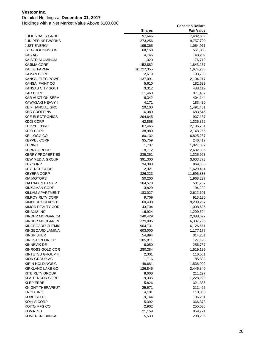### Detailed Holdings at **December 31, 2017**

| <b>JULIUS BAER GRUP</b><br>97,646<br>7,482,602<br><b>JUNIPER NETWORKS</b><br>273,256<br>9,757,720<br><b>JUST ENERGY</b><br>195,365<br>1,054,971<br>JXTG HOLDINGS IN<br>68,150<br>551,065<br>K&S AG<br>4,746<br>148,202<br>KAISER ALUMINUM<br>1,320<br>176,719<br>KAJIMA CORP<br>152,882<br>1,843,267<br>KALBE FARMA<br>10,727,355<br>1,674,233<br><b>KAMAN CORP</b><br>2,619<br>193,738<br>KANSAI ELEC POWE<br>137,091<br>2,104,217<br><b>KANSAI PAINT CO</b><br>5,610<br>182,699<br>KANSAS CITY SOUT<br>3,312<br>438,119<br>KAO CORP<br>11,463<br>971,402<br><b>KAR AUCTION SERV</b><br>6,342<br>404,144<br>KAWASAKI HEAVY I<br>4,171<br>183,480<br>20,100<br><b>KB FINANCIAL GRO</b><br>1,491,461<br><b>KBC GROEP NV</b><br>6,389<br>683,546<br><b>KCE ELECTRONICS</b><br>294,645<br>937,137<br><b>KDDI CORP</b><br>42,858<br>1,336,872<br><b>KEIKYU CORP</b><br>87,466<br>2,106,201<br><b>KEIO CORP</b><br>38,980<br>2,148,266<br><b>KELLOGG CO</b><br>80,132<br>6,825,287<br><b>KEPPEL CORP</b><br>35,759<br>246,417<br><b>KERING</b><br>1,737<br>1,027,062<br><b>KERRY GROUP</b><br>18,712<br>2,632,305<br><b>KERRY PROPERTIES</b><br>235,351<br>1,325,923<br><b>KEW MEDIA GROUP</b><br>391,300<br>3,603,873<br><b>KEYCORP</b><br>34,398<br>869,306<br><b>KEYENCE CORP</b><br>2,321<br>1,629,464<br><b>KEYERA CORP</b><br>326,223<br>11,596,888<br>KIA MOTORS<br>50,200<br>1,968,227<br>KIATNAKIN BANK P<br>164,570<br>501,287<br><b>KIKKOMAN CORP</b><br>3,829<br>194,202<br>KILLAM APARTMENT<br>183,027<br>2,612,101<br>KILROY RLTY CORP<br>9,709<br>913,130<br>KIMBERLY CLARK C<br>60,438<br>9,209,267<br>KIMCO REALTY COR<br>43,704<br>1,008,635<br><b>KINAXIS INC</b><br>16,924<br>1,299,594<br>KINDER MORGAN CA<br>140,429<br>2,388,697<br>KINDER MORGAN IN<br>279,906<br>6,337,298<br>KINGBOARD CHEMIC<br>904,731<br>6,126,651<br>KINGBOARD LAMINA<br>603,000<br>1,177,177<br><b>KINGFISHER</b><br>54,894<br>314,201<br>KINGSTON FIN GP<br>105,811<br>127,195<br>KINNEVIK DE<br>6,050<br>256,737<br>KINROSS GOLD COR<br>280,284<br>1,519,139<br>KINTETSU GROUP H<br>2,301<br>110,561<br>KION GROUP AG<br>1,716<br>185,838<br>KIRIN HOLDINGS C<br>48,681<br>1,538,002<br>KIRKLAND LAKE GO<br>126,845<br>2,446,840<br>KITE RLTY GROUP<br>8,600<br>211,197<br><b>KLA-TENCOR CORP</b><br>9,335<br>1,228,929<br><b>KLEPIERRE</b><br>5,826<br>321,386<br>KNIGHT THERAPEUT<br>25,571<br>212,495<br><b>KNOLL INC</b><br>4,101<br>118,388<br>KOBE STEEL<br>9,144<br>106,281<br>KOHLS CORP<br>5,392<br>366,373<br>KOITO MFG CO<br>2,902<br>255,638<br><b>KOMATSU</b><br>21,159<br>959,721 |                | <b>Shares</b> | <b>Fair Value</b> |
|---------------------------------------------------------------------------------------------------------------------------------------------------------------------------------------------------------------------------------------------------------------------------------------------------------------------------------------------------------------------------------------------------------------------------------------------------------------------------------------------------------------------------------------------------------------------------------------------------------------------------------------------------------------------------------------------------------------------------------------------------------------------------------------------------------------------------------------------------------------------------------------------------------------------------------------------------------------------------------------------------------------------------------------------------------------------------------------------------------------------------------------------------------------------------------------------------------------------------------------------------------------------------------------------------------------------------------------------------------------------------------------------------------------------------------------------------------------------------------------------------------------------------------------------------------------------------------------------------------------------------------------------------------------------------------------------------------------------------------------------------------------------------------------------------------------------------------------------------------------------------------------------------------------------------------------------------------------------------------------------------------------------------------------------------------------------------------------------------------------------------------------------------------------------------------------------------------------------------------------------------------------------------------------------------------------------------------------------------------------------------------------------------------------------------------------------------------------------------------------------------------------------------------------------------------------------------------------------|----------------|---------------|-------------------|
|                                                                                                                                                                                                                                                                                                                                                                                                                                                                                                                                                                                                                                                                                                                                                                                                                                                                                                                                                                                                                                                                                                                                                                                                                                                                                                                                                                                                                                                                                                                                                                                                                                                                                                                                                                                                                                                                                                                                                                                                                                                                                                                                                                                                                                                                                                                                                                                                                                                                                                                                                                                             |                |               |                   |
|                                                                                                                                                                                                                                                                                                                                                                                                                                                                                                                                                                                                                                                                                                                                                                                                                                                                                                                                                                                                                                                                                                                                                                                                                                                                                                                                                                                                                                                                                                                                                                                                                                                                                                                                                                                                                                                                                                                                                                                                                                                                                                                                                                                                                                                                                                                                                                                                                                                                                                                                                                                             |                |               |                   |
|                                                                                                                                                                                                                                                                                                                                                                                                                                                                                                                                                                                                                                                                                                                                                                                                                                                                                                                                                                                                                                                                                                                                                                                                                                                                                                                                                                                                                                                                                                                                                                                                                                                                                                                                                                                                                                                                                                                                                                                                                                                                                                                                                                                                                                                                                                                                                                                                                                                                                                                                                                                             |                |               |                   |
|                                                                                                                                                                                                                                                                                                                                                                                                                                                                                                                                                                                                                                                                                                                                                                                                                                                                                                                                                                                                                                                                                                                                                                                                                                                                                                                                                                                                                                                                                                                                                                                                                                                                                                                                                                                                                                                                                                                                                                                                                                                                                                                                                                                                                                                                                                                                                                                                                                                                                                                                                                                             |                |               |                   |
|                                                                                                                                                                                                                                                                                                                                                                                                                                                                                                                                                                                                                                                                                                                                                                                                                                                                                                                                                                                                                                                                                                                                                                                                                                                                                                                                                                                                                                                                                                                                                                                                                                                                                                                                                                                                                                                                                                                                                                                                                                                                                                                                                                                                                                                                                                                                                                                                                                                                                                                                                                                             |                |               |                   |
|                                                                                                                                                                                                                                                                                                                                                                                                                                                                                                                                                                                                                                                                                                                                                                                                                                                                                                                                                                                                                                                                                                                                                                                                                                                                                                                                                                                                                                                                                                                                                                                                                                                                                                                                                                                                                                                                                                                                                                                                                                                                                                                                                                                                                                                                                                                                                                                                                                                                                                                                                                                             |                |               |                   |
|                                                                                                                                                                                                                                                                                                                                                                                                                                                                                                                                                                                                                                                                                                                                                                                                                                                                                                                                                                                                                                                                                                                                                                                                                                                                                                                                                                                                                                                                                                                                                                                                                                                                                                                                                                                                                                                                                                                                                                                                                                                                                                                                                                                                                                                                                                                                                                                                                                                                                                                                                                                             |                |               |                   |
|                                                                                                                                                                                                                                                                                                                                                                                                                                                                                                                                                                                                                                                                                                                                                                                                                                                                                                                                                                                                                                                                                                                                                                                                                                                                                                                                                                                                                                                                                                                                                                                                                                                                                                                                                                                                                                                                                                                                                                                                                                                                                                                                                                                                                                                                                                                                                                                                                                                                                                                                                                                             |                |               |                   |
|                                                                                                                                                                                                                                                                                                                                                                                                                                                                                                                                                                                                                                                                                                                                                                                                                                                                                                                                                                                                                                                                                                                                                                                                                                                                                                                                                                                                                                                                                                                                                                                                                                                                                                                                                                                                                                                                                                                                                                                                                                                                                                                                                                                                                                                                                                                                                                                                                                                                                                                                                                                             |                |               |                   |
|                                                                                                                                                                                                                                                                                                                                                                                                                                                                                                                                                                                                                                                                                                                                                                                                                                                                                                                                                                                                                                                                                                                                                                                                                                                                                                                                                                                                                                                                                                                                                                                                                                                                                                                                                                                                                                                                                                                                                                                                                                                                                                                                                                                                                                                                                                                                                                                                                                                                                                                                                                                             |                |               |                   |
|                                                                                                                                                                                                                                                                                                                                                                                                                                                                                                                                                                                                                                                                                                                                                                                                                                                                                                                                                                                                                                                                                                                                                                                                                                                                                                                                                                                                                                                                                                                                                                                                                                                                                                                                                                                                                                                                                                                                                                                                                                                                                                                                                                                                                                                                                                                                                                                                                                                                                                                                                                                             |                |               |                   |
|                                                                                                                                                                                                                                                                                                                                                                                                                                                                                                                                                                                                                                                                                                                                                                                                                                                                                                                                                                                                                                                                                                                                                                                                                                                                                                                                                                                                                                                                                                                                                                                                                                                                                                                                                                                                                                                                                                                                                                                                                                                                                                                                                                                                                                                                                                                                                                                                                                                                                                                                                                                             |                |               |                   |
|                                                                                                                                                                                                                                                                                                                                                                                                                                                                                                                                                                                                                                                                                                                                                                                                                                                                                                                                                                                                                                                                                                                                                                                                                                                                                                                                                                                                                                                                                                                                                                                                                                                                                                                                                                                                                                                                                                                                                                                                                                                                                                                                                                                                                                                                                                                                                                                                                                                                                                                                                                                             |                |               |                   |
|                                                                                                                                                                                                                                                                                                                                                                                                                                                                                                                                                                                                                                                                                                                                                                                                                                                                                                                                                                                                                                                                                                                                                                                                                                                                                                                                                                                                                                                                                                                                                                                                                                                                                                                                                                                                                                                                                                                                                                                                                                                                                                                                                                                                                                                                                                                                                                                                                                                                                                                                                                                             |                |               |                   |
|                                                                                                                                                                                                                                                                                                                                                                                                                                                                                                                                                                                                                                                                                                                                                                                                                                                                                                                                                                                                                                                                                                                                                                                                                                                                                                                                                                                                                                                                                                                                                                                                                                                                                                                                                                                                                                                                                                                                                                                                                                                                                                                                                                                                                                                                                                                                                                                                                                                                                                                                                                                             |                |               |                   |
|                                                                                                                                                                                                                                                                                                                                                                                                                                                                                                                                                                                                                                                                                                                                                                                                                                                                                                                                                                                                                                                                                                                                                                                                                                                                                                                                                                                                                                                                                                                                                                                                                                                                                                                                                                                                                                                                                                                                                                                                                                                                                                                                                                                                                                                                                                                                                                                                                                                                                                                                                                                             |                |               |                   |
|                                                                                                                                                                                                                                                                                                                                                                                                                                                                                                                                                                                                                                                                                                                                                                                                                                                                                                                                                                                                                                                                                                                                                                                                                                                                                                                                                                                                                                                                                                                                                                                                                                                                                                                                                                                                                                                                                                                                                                                                                                                                                                                                                                                                                                                                                                                                                                                                                                                                                                                                                                                             |                |               |                   |
|                                                                                                                                                                                                                                                                                                                                                                                                                                                                                                                                                                                                                                                                                                                                                                                                                                                                                                                                                                                                                                                                                                                                                                                                                                                                                                                                                                                                                                                                                                                                                                                                                                                                                                                                                                                                                                                                                                                                                                                                                                                                                                                                                                                                                                                                                                                                                                                                                                                                                                                                                                                             |                |               |                   |
|                                                                                                                                                                                                                                                                                                                                                                                                                                                                                                                                                                                                                                                                                                                                                                                                                                                                                                                                                                                                                                                                                                                                                                                                                                                                                                                                                                                                                                                                                                                                                                                                                                                                                                                                                                                                                                                                                                                                                                                                                                                                                                                                                                                                                                                                                                                                                                                                                                                                                                                                                                                             |                |               |                   |
|                                                                                                                                                                                                                                                                                                                                                                                                                                                                                                                                                                                                                                                                                                                                                                                                                                                                                                                                                                                                                                                                                                                                                                                                                                                                                                                                                                                                                                                                                                                                                                                                                                                                                                                                                                                                                                                                                                                                                                                                                                                                                                                                                                                                                                                                                                                                                                                                                                                                                                                                                                                             |                |               |                   |
|                                                                                                                                                                                                                                                                                                                                                                                                                                                                                                                                                                                                                                                                                                                                                                                                                                                                                                                                                                                                                                                                                                                                                                                                                                                                                                                                                                                                                                                                                                                                                                                                                                                                                                                                                                                                                                                                                                                                                                                                                                                                                                                                                                                                                                                                                                                                                                                                                                                                                                                                                                                             |                |               |                   |
|                                                                                                                                                                                                                                                                                                                                                                                                                                                                                                                                                                                                                                                                                                                                                                                                                                                                                                                                                                                                                                                                                                                                                                                                                                                                                                                                                                                                                                                                                                                                                                                                                                                                                                                                                                                                                                                                                                                                                                                                                                                                                                                                                                                                                                                                                                                                                                                                                                                                                                                                                                                             |                |               |                   |
|                                                                                                                                                                                                                                                                                                                                                                                                                                                                                                                                                                                                                                                                                                                                                                                                                                                                                                                                                                                                                                                                                                                                                                                                                                                                                                                                                                                                                                                                                                                                                                                                                                                                                                                                                                                                                                                                                                                                                                                                                                                                                                                                                                                                                                                                                                                                                                                                                                                                                                                                                                                             |                |               |                   |
|                                                                                                                                                                                                                                                                                                                                                                                                                                                                                                                                                                                                                                                                                                                                                                                                                                                                                                                                                                                                                                                                                                                                                                                                                                                                                                                                                                                                                                                                                                                                                                                                                                                                                                                                                                                                                                                                                                                                                                                                                                                                                                                                                                                                                                                                                                                                                                                                                                                                                                                                                                                             |                |               |                   |
|                                                                                                                                                                                                                                                                                                                                                                                                                                                                                                                                                                                                                                                                                                                                                                                                                                                                                                                                                                                                                                                                                                                                                                                                                                                                                                                                                                                                                                                                                                                                                                                                                                                                                                                                                                                                                                                                                                                                                                                                                                                                                                                                                                                                                                                                                                                                                                                                                                                                                                                                                                                             |                |               |                   |
|                                                                                                                                                                                                                                                                                                                                                                                                                                                                                                                                                                                                                                                                                                                                                                                                                                                                                                                                                                                                                                                                                                                                                                                                                                                                                                                                                                                                                                                                                                                                                                                                                                                                                                                                                                                                                                                                                                                                                                                                                                                                                                                                                                                                                                                                                                                                                                                                                                                                                                                                                                                             |                |               |                   |
|                                                                                                                                                                                                                                                                                                                                                                                                                                                                                                                                                                                                                                                                                                                                                                                                                                                                                                                                                                                                                                                                                                                                                                                                                                                                                                                                                                                                                                                                                                                                                                                                                                                                                                                                                                                                                                                                                                                                                                                                                                                                                                                                                                                                                                                                                                                                                                                                                                                                                                                                                                                             |                |               |                   |
|                                                                                                                                                                                                                                                                                                                                                                                                                                                                                                                                                                                                                                                                                                                                                                                                                                                                                                                                                                                                                                                                                                                                                                                                                                                                                                                                                                                                                                                                                                                                                                                                                                                                                                                                                                                                                                                                                                                                                                                                                                                                                                                                                                                                                                                                                                                                                                                                                                                                                                                                                                                             |                |               |                   |
|                                                                                                                                                                                                                                                                                                                                                                                                                                                                                                                                                                                                                                                                                                                                                                                                                                                                                                                                                                                                                                                                                                                                                                                                                                                                                                                                                                                                                                                                                                                                                                                                                                                                                                                                                                                                                                                                                                                                                                                                                                                                                                                                                                                                                                                                                                                                                                                                                                                                                                                                                                                             |                |               |                   |
|                                                                                                                                                                                                                                                                                                                                                                                                                                                                                                                                                                                                                                                                                                                                                                                                                                                                                                                                                                                                                                                                                                                                                                                                                                                                                                                                                                                                                                                                                                                                                                                                                                                                                                                                                                                                                                                                                                                                                                                                                                                                                                                                                                                                                                                                                                                                                                                                                                                                                                                                                                                             |                |               |                   |
|                                                                                                                                                                                                                                                                                                                                                                                                                                                                                                                                                                                                                                                                                                                                                                                                                                                                                                                                                                                                                                                                                                                                                                                                                                                                                                                                                                                                                                                                                                                                                                                                                                                                                                                                                                                                                                                                                                                                                                                                                                                                                                                                                                                                                                                                                                                                                                                                                                                                                                                                                                                             |                |               |                   |
|                                                                                                                                                                                                                                                                                                                                                                                                                                                                                                                                                                                                                                                                                                                                                                                                                                                                                                                                                                                                                                                                                                                                                                                                                                                                                                                                                                                                                                                                                                                                                                                                                                                                                                                                                                                                                                                                                                                                                                                                                                                                                                                                                                                                                                                                                                                                                                                                                                                                                                                                                                                             |                |               |                   |
|                                                                                                                                                                                                                                                                                                                                                                                                                                                                                                                                                                                                                                                                                                                                                                                                                                                                                                                                                                                                                                                                                                                                                                                                                                                                                                                                                                                                                                                                                                                                                                                                                                                                                                                                                                                                                                                                                                                                                                                                                                                                                                                                                                                                                                                                                                                                                                                                                                                                                                                                                                                             |                |               |                   |
|                                                                                                                                                                                                                                                                                                                                                                                                                                                                                                                                                                                                                                                                                                                                                                                                                                                                                                                                                                                                                                                                                                                                                                                                                                                                                                                                                                                                                                                                                                                                                                                                                                                                                                                                                                                                                                                                                                                                                                                                                                                                                                                                                                                                                                                                                                                                                                                                                                                                                                                                                                                             |                |               |                   |
|                                                                                                                                                                                                                                                                                                                                                                                                                                                                                                                                                                                                                                                                                                                                                                                                                                                                                                                                                                                                                                                                                                                                                                                                                                                                                                                                                                                                                                                                                                                                                                                                                                                                                                                                                                                                                                                                                                                                                                                                                                                                                                                                                                                                                                                                                                                                                                                                                                                                                                                                                                                             |                |               |                   |
|                                                                                                                                                                                                                                                                                                                                                                                                                                                                                                                                                                                                                                                                                                                                                                                                                                                                                                                                                                                                                                                                                                                                                                                                                                                                                                                                                                                                                                                                                                                                                                                                                                                                                                                                                                                                                                                                                                                                                                                                                                                                                                                                                                                                                                                                                                                                                                                                                                                                                                                                                                                             |                |               |                   |
|                                                                                                                                                                                                                                                                                                                                                                                                                                                                                                                                                                                                                                                                                                                                                                                                                                                                                                                                                                                                                                                                                                                                                                                                                                                                                                                                                                                                                                                                                                                                                                                                                                                                                                                                                                                                                                                                                                                                                                                                                                                                                                                                                                                                                                                                                                                                                                                                                                                                                                                                                                                             |                |               |                   |
|                                                                                                                                                                                                                                                                                                                                                                                                                                                                                                                                                                                                                                                                                                                                                                                                                                                                                                                                                                                                                                                                                                                                                                                                                                                                                                                                                                                                                                                                                                                                                                                                                                                                                                                                                                                                                                                                                                                                                                                                                                                                                                                                                                                                                                                                                                                                                                                                                                                                                                                                                                                             |                |               |                   |
|                                                                                                                                                                                                                                                                                                                                                                                                                                                                                                                                                                                                                                                                                                                                                                                                                                                                                                                                                                                                                                                                                                                                                                                                                                                                                                                                                                                                                                                                                                                                                                                                                                                                                                                                                                                                                                                                                                                                                                                                                                                                                                                                                                                                                                                                                                                                                                                                                                                                                                                                                                                             |                |               |                   |
|                                                                                                                                                                                                                                                                                                                                                                                                                                                                                                                                                                                                                                                                                                                                                                                                                                                                                                                                                                                                                                                                                                                                                                                                                                                                                                                                                                                                                                                                                                                                                                                                                                                                                                                                                                                                                                                                                                                                                                                                                                                                                                                                                                                                                                                                                                                                                                                                                                                                                                                                                                                             |                |               |                   |
|                                                                                                                                                                                                                                                                                                                                                                                                                                                                                                                                                                                                                                                                                                                                                                                                                                                                                                                                                                                                                                                                                                                                                                                                                                                                                                                                                                                                                                                                                                                                                                                                                                                                                                                                                                                                                                                                                                                                                                                                                                                                                                                                                                                                                                                                                                                                                                                                                                                                                                                                                                                             |                |               |                   |
|                                                                                                                                                                                                                                                                                                                                                                                                                                                                                                                                                                                                                                                                                                                                                                                                                                                                                                                                                                                                                                                                                                                                                                                                                                                                                                                                                                                                                                                                                                                                                                                                                                                                                                                                                                                                                                                                                                                                                                                                                                                                                                                                                                                                                                                                                                                                                                                                                                                                                                                                                                                             |                |               |                   |
|                                                                                                                                                                                                                                                                                                                                                                                                                                                                                                                                                                                                                                                                                                                                                                                                                                                                                                                                                                                                                                                                                                                                                                                                                                                                                                                                                                                                                                                                                                                                                                                                                                                                                                                                                                                                                                                                                                                                                                                                                                                                                                                                                                                                                                                                                                                                                                                                                                                                                                                                                                                             |                |               |                   |
|                                                                                                                                                                                                                                                                                                                                                                                                                                                                                                                                                                                                                                                                                                                                                                                                                                                                                                                                                                                                                                                                                                                                                                                                                                                                                                                                                                                                                                                                                                                                                                                                                                                                                                                                                                                                                                                                                                                                                                                                                                                                                                                                                                                                                                                                                                                                                                                                                                                                                                                                                                                             |                |               |                   |
|                                                                                                                                                                                                                                                                                                                                                                                                                                                                                                                                                                                                                                                                                                                                                                                                                                                                                                                                                                                                                                                                                                                                                                                                                                                                                                                                                                                                                                                                                                                                                                                                                                                                                                                                                                                                                                                                                                                                                                                                                                                                                                                                                                                                                                                                                                                                                                                                                                                                                                                                                                                             |                |               |                   |
|                                                                                                                                                                                                                                                                                                                                                                                                                                                                                                                                                                                                                                                                                                                                                                                                                                                                                                                                                                                                                                                                                                                                                                                                                                                                                                                                                                                                                                                                                                                                                                                                                                                                                                                                                                                                                                                                                                                                                                                                                                                                                                                                                                                                                                                                                                                                                                                                                                                                                                                                                                                             |                |               |                   |
|                                                                                                                                                                                                                                                                                                                                                                                                                                                                                                                                                                                                                                                                                                                                                                                                                                                                                                                                                                                                                                                                                                                                                                                                                                                                                                                                                                                                                                                                                                                                                                                                                                                                                                                                                                                                                                                                                                                                                                                                                                                                                                                                                                                                                                                                                                                                                                                                                                                                                                                                                                                             |                |               |                   |
|                                                                                                                                                                                                                                                                                                                                                                                                                                                                                                                                                                                                                                                                                                                                                                                                                                                                                                                                                                                                                                                                                                                                                                                                                                                                                                                                                                                                                                                                                                                                                                                                                                                                                                                                                                                                                                                                                                                                                                                                                                                                                                                                                                                                                                                                                                                                                                                                                                                                                                                                                                                             |                |               |                   |
|                                                                                                                                                                                                                                                                                                                                                                                                                                                                                                                                                                                                                                                                                                                                                                                                                                                                                                                                                                                                                                                                                                                                                                                                                                                                                                                                                                                                                                                                                                                                                                                                                                                                                                                                                                                                                                                                                                                                                                                                                                                                                                                                                                                                                                                                                                                                                                                                                                                                                                                                                                                             |                |               |                   |
|                                                                                                                                                                                                                                                                                                                                                                                                                                                                                                                                                                                                                                                                                                                                                                                                                                                                                                                                                                                                                                                                                                                                                                                                                                                                                                                                                                                                                                                                                                                                                                                                                                                                                                                                                                                                                                                                                                                                                                                                                                                                                                                                                                                                                                                                                                                                                                                                                                                                                                                                                                                             |                |               |                   |
|                                                                                                                                                                                                                                                                                                                                                                                                                                                                                                                                                                                                                                                                                                                                                                                                                                                                                                                                                                                                                                                                                                                                                                                                                                                                                                                                                                                                                                                                                                                                                                                                                                                                                                                                                                                                                                                                                                                                                                                                                                                                                                                                                                                                                                                                                                                                                                                                                                                                                                                                                                                             |                |               |                   |
|                                                                                                                                                                                                                                                                                                                                                                                                                                                                                                                                                                                                                                                                                                                                                                                                                                                                                                                                                                                                                                                                                                                                                                                                                                                                                                                                                                                                                                                                                                                                                                                                                                                                                                                                                                                                                                                                                                                                                                                                                                                                                                                                                                                                                                                                                                                                                                                                                                                                                                                                                                                             |                |               |                   |
|                                                                                                                                                                                                                                                                                                                                                                                                                                                                                                                                                                                                                                                                                                                                                                                                                                                                                                                                                                                                                                                                                                                                                                                                                                                                                                                                                                                                                                                                                                                                                                                                                                                                                                                                                                                                                                                                                                                                                                                                                                                                                                                                                                                                                                                                                                                                                                                                                                                                                                                                                                                             |                |               |                   |
|                                                                                                                                                                                                                                                                                                                                                                                                                                                                                                                                                                                                                                                                                                                                                                                                                                                                                                                                                                                                                                                                                                                                                                                                                                                                                                                                                                                                                                                                                                                                                                                                                                                                                                                                                                                                                                                                                                                                                                                                                                                                                                                                                                                                                                                                                                                                                                                                                                                                                                                                                                                             |                |               |                   |
|                                                                                                                                                                                                                                                                                                                                                                                                                                                                                                                                                                                                                                                                                                                                                                                                                                                                                                                                                                                                                                                                                                                                                                                                                                                                                                                                                                                                                                                                                                                                                                                                                                                                                                                                                                                                                                                                                                                                                                                                                                                                                                                                                                                                                                                                                                                                                                                                                                                                                                                                                                                             |                |               |                   |
|                                                                                                                                                                                                                                                                                                                                                                                                                                                                                                                                                                                                                                                                                                                                                                                                                                                                                                                                                                                                                                                                                                                                                                                                                                                                                                                                                                                                                                                                                                                                                                                                                                                                                                                                                                                                                                                                                                                                                                                                                                                                                                                                                                                                                                                                                                                                                                                                                                                                                                                                                                                             |                |               |                   |
|                                                                                                                                                                                                                                                                                                                                                                                                                                                                                                                                                                                                                                                                                                                                                                                                                                                                                                                                                                                                                                                                                                                                                                                                                                                                                                                                                                                                                                                                                                                                                                                                                                                                                                                                                                                                                                                                                                                                                                                                                                                                                                                                                                                                                                                                                                                                                                                                                                                                                                                                                                                             |                |               |                   |
|                                                                                                                                                                                                                                                                                                                                                                                                                                                                                                                                                                                                                                                                                                                                                                                                                                                                                                                                                                                                                                                                                                                                                                                                                                                                                                                                                                                                                                                                                                                                                                                                                                                                                                                                                                                                                                                                                                                                                                                                                                                                                                                                                                                                                                                                                                                                                                                                                                                                                                                                                                                             |                |               |                   |
|                                                                                                                                                                                                                                                                                                                                                                                                                                                                                                                                                                                                                                                                                                                                                                                                                                                                                                                                                                                                                                                                                                                                                                                                                                                                                                                                                                                                                                                                                                                                                                                                                                                                                                                                                                                                                                                                                                                                                                                                                                                                                                                                                                                                                                                                                                                                                                                                                                                                                                                                                                                             | KOMERCNI BANKA | 5,530         | 298,206           |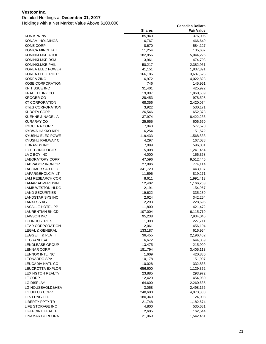### Detailed Holdings at **December 31, 2017**

|                                      | <b>Shares</b>     | <b>Fair Value</b>    |
|--------------------------------------|-------------------|----------------------|
| KON KPN NV                           | 85,940            | 376,005              |
| KONAMI HOLDINGS                      | 6,767             | 466,649              |
| <b>KONE CORP</b>                     | 8,670             | 584,127              |
| KONICA MINOLTA I                     | 11,254            | 135,687              |
| <b>KONINKLIJKE AHOL</b>              | 182,856           | 5,044,226            |
| KONINKLIJKE DSM                      | 3,961             | 474,793              |
| KONINKLIJKE PHIL                     | 50,217            | 2,382,961            |
| KOREA ELEC POWER                     | 41,151            | 1,837,391            |
| KOREA ELECTRIC P                     | 166,186           | 3,687,625            |
| <b>KOREA ZINC</b>                    | 6,972             | 4,022,823            |
| <b>KOSE CORPORATION</b>              | 746               | 145,951              |
| <b>KP TISSUE INC</b>                 | 31,401            | 425,922              |
| <b>KRAFT HEINZ CO</b>                | 19,097            | 1,860,609            |
| <b>KROGER CO</b>                     | 28,453            | 978,598              |
| <b>KT CORPORATION</b>                | 68,356            | 2,420,074            |
| <b>KT&amp;G CORPORATION</b>          | 3,922             | 530,171              |
| <b>KUBOTA CORP</b>                   | 26,546            | 652,373              |
| KUEHNE & NAGEL A                     | 37,974            | 8,422,236            |
| <b>KURARAY CO</b>                    | 25,655            | 606,650              |
| <b>KYOCERA CORP</b>                  | 7,043             | 577,570              |
| KYOWA HAKKO KIRI                     | 6,254             | 151,572              |
| KYUSHU ELEC POWE                     | 119,433           | 1,568,833            |
| KYUSHU RAILWAY C                     | 4,297             | 167,038              |
| <b>L BRANDS INC</b>                  | 7,899             | 596,001              |
| <b>L3 TECHNOLOGIES</b>               | 5,008             | 1,241,464            |
| LA Z BOY INC                         | 4,000             | 156,368              |
| <b>LABORATORY CORP</b>               | 47,596            | 9,512,445            |
| LABRADOR IRON OR                     | 27,896            | 774,114              |
| LACOMER SAB DE C                     | 341,720           | 443,137              |
| LAFARGEHOLCIM LT                     | 11,596            | 819,271              |
| LAM RESEARCH COR                     | 8,611             | 1,991,413            |
| LAMAR ADVERTISIN                     | 12,402            | 1,166,263            |
| LAMB WESTON HLDG                     | 2,191             | 154,967              |
| <b>LAND SECURITIES</b>               | 19,622            | 335,239              |
| <b>LANDSTAR SYS INC</b>              | 2,624             | 342,254              |
| LANXESS AG                           | 2,293             | 228,695              |
| LASALLE HOTEL PP                     | 11,800            | 421,472              |
| LAURENTIAN BK CD                     | 107,004           | 6,115,719            |
| <b>LAWSON INC</b>                    | 95,238            | 7,934,045            |
| LCI INDUSTRIES                       | 1,398             | 227,711              |
| <b>LEAR CORPORATION</b>              | 2,061             | 456,194              |
| <b>LEGAL &amp; GENERAL</b>           | 133,187           | 616,954              |
| LEGGETT & PLATT                      | 36,455            | 2,196,462            |
| <b>LEGRAND SA</b>                    | 6,672             | 644,359              |
| LENDLEASE GROUP                      | 13,475            | 215,909              |
| <b>LENNAR CORP</b>                   | 181,794           | 3,405,113            |
| LENNOX INTL INC                      | 1,609             | 420,880              |
| <b>LEONARDO SPA</b>                  | 10,178            | 151,907              |
| LEUCADIA NATL CO<br>LEUCROTTA EXPLOR | 10,028            | 332,836              |
| <b>LEXINGTON REALTY</b>              | 656,600           | 1,129,352            |
| LF CORP                              | 23,885            | 293,972<br>454,980   |
| <b>LG DISPLAY</b>                    | 12,420            |                      |
|                                      | 64,600            | 2,260,635            |
| LG HOUSEHOLD&HEA                     | 3,058             | 2,498,156            |
| LG UPLUS CORP<br>LI & FUNG LTD       | 248,600           | 4,073,388            |
| <b>LIBERTY PPTY TR</b>               | 180,349<br>21,748 | 124,008              |
| LIFE STORAGE INC                     | 4,800             | 1,182,674<br>535,681 |
| LIFEPOINT HEALTH                     | 2,605             | 162,544              |
| LINAMAR CORPORAT                     | 21,069            | 1,542,461            |
|                                      |                   |                      |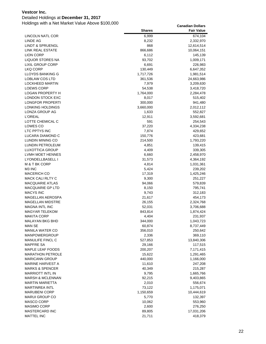Detailed Holdings at **December 31, 2017**

|                             | <b>Shares</b> | <b>Fair Value</b> |
|-----------------------------|---------------|-------------------|
| LINCOLN NATL COR            | 6,999         | 674,104           |
| LINDE AG                    | 8,232         | 2,332,970         |
| <b>LINDT &amp; SPRUENGL</b> | 868           | 12,614,514        |
| LINK REAL ESTATE            | 866,686       | 10,064,151        |
| LION CORP                   | 6,112         | 145,139           |
| <b>LIQUOR STORES NA</b>     | 93,702        | 1,009,171         |
| <b>LIXIL GROUP CORP</b>     | 6,691         | 226,983           |
| LKQ CORP                    | 130,449       | 6,647,352         |
| LLOYDS BANKING G            | 1,717,726     | 1,981,514         |
| LOBLAW COS LTD              | 361,536       | 24,663,986        |
| LOCKHEED MARTIN             | 7,979         | 3,209,630         |
| <b>LOEWS CORP</b>           | 54,538        | 3,418,720         |
| <b>LOGAN PROPERTY H</b>     | 1,764,000     | 2,284,478         |
| LONDON STOCK EXC            | 8,017         | 515,402           |
| LONGFOR PROPERTI            | 300,000       | 941,480           |
| LONKING HOLDINGS            | 3,660,000     | 2,012,112         |
| LONZA GROUP AG              | 1,633         | 552,827           |
| <b>L'OREAL</b>              | 12,911        | 3,592,681         |
| LOTTE CHEMICAL C            | 591           | 254,543           |
| LOWES CO                    | 37,220        | 4,334,238         |
| LTC PPTYS INC               | 7,874         | 429,652           |
| LUCARA DIAMOND C            | 150,776       | 423,681           |
| LUNDIN MINING CO            | 214,500       | 1,793,220         |
| LUNDIN PETROLEUM            | 4,851         | 139,415           |
| LUXOTTICA GROUP             | 4,409         | 339,305           |
| LVMH MOET HENNES            | 6,660         | 2,458,970         |
| LYONDELLBASELL I            | 31,573        | 4,364,192         |
| M & T BK CORP               | 4,814         | 1,031,361         |
| M3 INC                      | 5,424         | 239,202           |
| <b>MACERICH CO</b>          | 17,319        | 1,425,246         |
| <b>MACK CALI RLTY C</b>     | 9,300         | 251,227           |
| <b>MACQUARIE ATLAS</b>      | 94,066        | 579,839           |
| MACQUARIE GP LTD            | 8,150         | 795,741           |
| <b>MACYS INC</b>            | 9,743         | 312,183           |
| <b>MAGELLAN AEROSPA</b>     | 21,617        | 454,173           |
| <b>MAGELLAN MIDSTRE</b>     | 26,155        | 2,324,768         |
| <b>MAGNA INTL INC</b>       | 52,031        | 3,706,688         |
| <b>MAGYAR TELEKOM</b>       | 843,814       | 1,874,424         |
| <b>MAKITA CORP</b>          | 4,404         | 231,937           |
| MALAYAN BKG BHD             | 344,000       | 1,043,723         |
| MAN SE                      | 60,874        | 8,737,449         |
| <b>MANILA WATER CO</b>      | 356,010       | 250,642           |
| <b>MANPOWERGROUP</b>        | 2,336         | 369,110           |
| MANULIFE FINCL C            | 527,853       | 13,840,306        |
| <b>MAPFRE SA</b>            | 29,166        | 117,515           |
| <b>MAPLE LEAF FOODS</b>     | 200,207       | 7,171,415         |
| <b>MARATHON PETROLE</b>     | 15,622        | 1,291,465         |
| <b>MARICANN GROUP</b>       | 440,000       | 1,166,000         |
| MARINE HARVEST A            | 11,610        | 247,208           |
| <b>MARKS &amp; SPENCER</b>  | 40,349        | 215,287           |
| <b>MARRIOTT INTL IN</b>     | 9,795         | 1,665,766         |
| <b>MARSH &amp; MCLENNAN</b> | 92,215        | 9,403,865         |
| <b>MARTIN MARIETTA</b>      | 2,010         | 556,674           |
| <b>MARTINREA INTL</b>       | 73,122        | 1,175,071         |
| <b>MARUBENI CORP</b>        | 1,150,659     | 10,444,619        |
| <b>MARUI GROUP CO</b>       | 5,770         | 132,397           |
| MASCO CORP                  | 10,062        | 553,960           |
| <b>MASIMO CORP</b>          | 2,600         | 276,250           |
| <b>MASTERCARD INC</b>       | 89,805        | 17,031,206        |
| <b>MATTEL INC</b>           | 21,711        | 418,379           |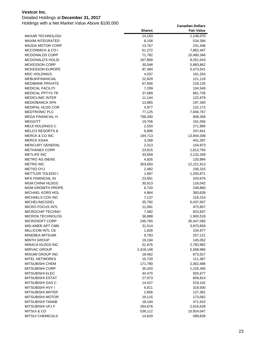### Detailed Holdings at **December 31, 2017**

|                                         | <b>Shares</b>    | <b>Fair Value</b>    |
|-----------------------------------------|------------------|----------------------|
| <b>MAXAR TECHNOLOGI</b>                 | 14,163           | 1,146,070            |
| <b>MAXIM INTEGRATED</b>                 | 8,158            | 534,384              |
| <b>MAZDA MOTOR CORP</b>                 | 13,767           | 231,446              |
| <b>MCCORMICK &amp; CO I</b>             | 61,272           | 7,862,447            |
| <b>MCDONALDS CORP</b>                   | 71,782           | 15,480,346           |
| MCDONALD'S HOLDI                        | 167,868          | 9,251,543            |
| <b>MCKESSON CORP</b>                    | 30,048           | 5,883,862            |
| <b>MCKESSON EUROPE</b>                  | 87,484           | 3,473,541            |
| <b>MDC HOLDINGS</b>                     | 4,037            | 161,254              |
| <b>MEBUKIFINANCIAL</b>                  | 22,829           | 121,118              |
| <b>MEDIBANK PRIVATE</b>                 | 67,656           | 218,135              |
| <b>MEDICAL FACILITI</b>                 | 7,299            | 104,549              |
| <b>MEDICAL PPTYS TR</b>                 | 37,689           | 661,735              |
| <b>MEDICLINIC INTER</b>                 | 11,144           | 122,679              |
| <b>MEDIOBANCA SPA</b>                   | 13,865           | 197,340              |
| <b>MEDIPAL HLDG COR</b>                 | 4,977            | 122,172              |
| <b>MEDTRONIC PLC</b>                    | 77,125           | 7,846,767            |
| <b>MEGA FINANCIAL H</b>                 | 798,300          | 808,358              |
| <b>MEGGITT</b>                          | 19,706           | 161,056              |
| <b>MEIJI HOLDINGS C</b>                 | 2,550            | 271,995              |
| <b>MELCO RESORTS &amp;</b>              | 6,806            | 247,641              |
| <b>MERCK &amp; CO INC</b>               | 194,713          | 13,844,308           |
| <b>MERCK KGAA</b>                       | 3,268            | 441,287              |
| <b>MERCURY GENERAL</b>                  | 2,313            | 154,873              |
| <b>METHANEX CORP</b>                    | 23,815           | 1,813,750            |
| <b>METLIFE INC</b>                      | 33,659           | 2,132,269            |
| METRO AG (NEW)                          | 4,826            | 120,894              |
| <b>METRO INC</b>                        | 303,650          | 12,221,913           |
| METSO OYJ                               | 2,482            | 106,315              |
| <b>METTLER TOLEDO I</b>                 | 1,667            | 1,293,971            |
| <b>MFA FINANCIAL IN</b>                 | 23,951           | 243,676              |
| <b>MGM CHINA HLDGS</b>                  | 30,613           | 116,042              |
| <b>MGM GROWTH PROPE</b>                 | 6,720            | 248,860              |
| MICHAEL KORS HOL                        | 4,864            | 383,639              |
| MICHAELS COS INC                        | 7,137            | 216,314              |
| MICHELIN(CGDE)                          | 35,792           | 6,437,837            |
| <b>MICRO FOCUS INTL</b>                 | 11,081           | 473,857              |
| <b>MICROCHIP TECHNO</b>                 | 7,482            | 823,837              |
| <b>MICRON TECHNOLOG</b>                 | 36,888           | 1,900,518            |
| MICROSOFT CORP                          | 246,760          | 26,447,083           |
| MID-AMER APT CMN                        | 31,514           | 3,970,659            |
| MILLICOM INTL CE                        | 1,828            | 154,977<br>257,121   |
| MINEBEA MITSUMI<br><b>MINTH GROUP</b>   | 9,783            |                      |
|                                         | 19,194           | 145,052<br>2,783,982 |
| MIRACA HLDGS INC<br><b>MIRVAC GROUP</b> | 51,876           |                      |
| <b>MISUMI GROUP INC</b>                 | 2,418,148        | 5,568,966            |
| <b>MITEL NETWORKS</b>                   | 18,462<br>10,729 | 673,527<br>111,367   |
| <b>MITSUBISHI CHEM</b>                  | 171,780          | 2,362,486            |
| <b>MITSUBISHI CORP</b>                  | 35,420           | 1,226,395            |
| MITSUBISHI ELEC                         | 44,470           | 925,677              |
| <b>MITSUBISHI ESTAT</b>                 | 27,973           | 609,814              |
| <b>MITSUBISHI GAS C</b>                 | 14,427           | 519,102              |
| <b>MITSUBISHI HVY I</b>                 | 6,811            | 318,930              |
| MITSUBISHI MATER                        | 2,856            | 127,381              |
| <b>MITSUBISHI MOTOR</b>                 | 19,115           | 173,062              |
| MITSUBISHI TANAB                        | 18,194           | 471,910              |
| MITSUBISHI UFJ F                        | 284,676          | 2,616,639            |
| <b>MITSUI &amp; CO</b>                  | 536,112          | 10,924,047           |
| <b>MITSUI CHEMICALS</b>                 | 14,629           | 589,828              |
|                                         |                  |                      |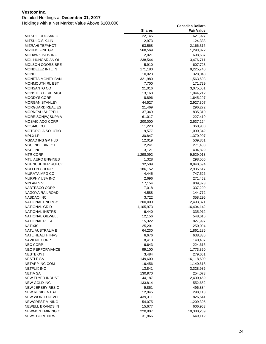### Detailed Holdings at **December 31, 2017**

|                                           | <b>Shares</b>    | <b>Fair Value</b>     |
|-------------------------------------------|------------------|-----------------------|
| MITSUI FUDOSAN C                          | 22,145           | 621,927               |
| MITSUI O.S.K.LIN                          | 2,973            | 124,333               |
| <b>MIZRAHI TEFAHOT</b>                    | 93,568           | 2,166,316             |
| <b>MIZUHO FINL GP</b>                     | 568,569          | 1,293,872             |
| <b>MOHAWK INDS INC</b>                    | 2,021            | 698,637               |
| <b>MOL HUNGARIAN OI</b>                   | 238,544          | 3,476,711             |
| <b>MOLSON COORS BRE</b>                   | 5,910            | 607,723               |
| MONDELEZ INTL IN                          | 171,180          | 9,225,740             |
| <b>MONDI</b>                              | 10,023           | 328,043               |
| <b>MONETA MONEY BAN</b>                   | 321,980          | 1,563,603             |
| <b>MONMOUTH RL EST</b>                    | 7,700            | 171,729               |
| <b>MONSANTO CO</b>                        | 21,016           | 3,075,051             |
| <b>MONSTER BEVERAGE</b>                   | 13,168           | 1,044,212             |
| MOODYS CORP                               | 8,896            | 1,645,297             |
| <b>MORGAN STANLEY</b>                     | 44,527           | 2,927,307             |
| <b>MORGUARD REAL ES</b>                   | 21,469           | 296,272               |
| MORNEAU SHEPELL                           | 37,349           | 835,310               |
| MORRISON(W)SUPMA                          | 61,017           | 227,419               |
| <b>MOSAIC ACQ CORP</b>                    | 200,000          | 2,537,224             |
| MOSAIC CO                                 | 11,228           | 360,988               |
| MOTOROLA SOLUTIO                          | 9,577            | 1,090,342             |
| <b>MPLX LP</b>                            | 30,847           | 1,370,907             |
| MS&AD INS GP HLD                          | 12,019           | 509,861               |
| <b>MSC INDL DIRECT</b>                    | 2,241            | 271,408               |
| <b>MSCI INC</b>                           | 3,121            | 494,829               |
| <b>MTR CORP</b>                           | 1,298,092        | 9,529,013             |
| MTU AERO ENGINES                          | 1,328            | 298,506               |
| <b>MUENCHENER RUECK</b>                   | 32,509           | 8,840,694             |
| <b>MULLEN GROUP</b>                       | 186,152          | 2,935,617             |
| <b>MURATA MFG CO</b>                      | 4,445            | 747,526               |
| MURPHY USA INC                            | 2,696            | 271,452               |
| <b>MYLAN N V</b>                          | 17,154           | 909,373               |
| NABTESCO CORP                             | 7,018            | 337,209               |
| NAGOYA RAILROAD                           | 4,588            | 144,772               |
| <b>NASDAQ INC</b>                         | 3,722            | 358,295               |
| <b>NATIONAL ENERGY</b>                    | 200,000          | 2,493,371             |
| <b>NATIONAL GRID</b>                      | 1,105,973        | 16,404,142            |
| <b>NATIONAL INSTRS</b>                    | 6,440            | 335,912               |
| NATIONAL OILWELL                          | 12,156           | 548,616               |
| NATIONAL RETAIL                           | 15,322           | 827,997               |
| <b>NATIXIS</b>                            | 25,201           | 250,094               |
| NATL AUSTRALIA B                          | 64,230           | 1,861,286             |
| NATL HEALTH INVS                          | 6,676            | 638,336               |
| <b>NAVIENT CORP</b>                       | 8,413            | 140,407               |
| <b>NEC CORP</b><br><b>NEO PERFORMANCE</b> | 6,643            | 224,616               |
| <b>NESTE OYJ</b>                          | 99,100           | 1,773,890             |
| <b>NESTLE SA</b>                          | 3,484<br>149,600 | 279,651<br>16,118,609 |
| NETAPP INC COM                            | 16,456           | 1,140,618             |
| NETFLIX INC                               | 13,841           | 3,328,986             |
| NETIA SA                                  | 130,970          | 254,073               |
| NEW FLYER INDUST                          | 44,187           | 2,400,459             |
| NEW GOLD INC                              | 133,814          |                       |
| NEW JERSEY RES C                          | 9,861            | 552,652<br>496,884    |
| <b>NEW RESIDENTIAL</b>                    | 12,945           | 298,113               |
| NEW WORLD DEVEL                           | 439,311          | 826,641               |
| NEWCREST MINING                           | 54,075           | 1,209,305             |
| NEWELL BRANDS IN                          | 15,677           | 606,953               |
| NEWMONT MINING C                          | 220,807          | 10,380,289            |
| <b>NEWS CORP NEW</b>                      | 31,866           | 649,112               |
|                                           |                  |                       |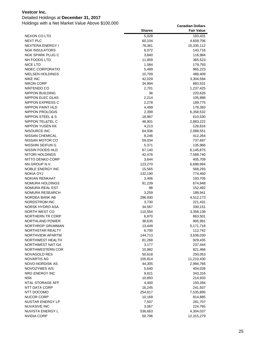### Detailed Holdings at **December 31, 2017**

|                         | <b>Shares</b> | <b>Fair Value</b> |
|-------------------------|---------------|-------------------|
| NEXON CO LTD            | 5,028         | 183,431           |
| <b>NEXT PLC</b>         | 60,104        | 4,609,706         |
| <b>NEXTERA ENERGY I</b> | 78,361        | 15,335,112        |
| <b>NGK INSULATORS</b>   | 6,072         | 143,716           |
| NGK SPARK PLUG C        | 3,840         | 116,984           |
| NH FOODS LTD            | 11,959        | 365,523           |
| NICE LTD                | 1,584         | 179,793           |
| NIDEC CORPORATIO        | 5,489         | 965,223           |
| NIELSEN HOLDINGS        | 10,709        | 488,409           |
| <b>NIKE INC</b>         | 42,029        | 3,304,594         |
| <b>NIKON CORP</b>       | 34,994        | 883,531           |
| NINTENDO CO             | 2,701         | 1,237,425         |
| <b>NIPPON BUILDING</b>  | 36            | 220,626           |
| NIPPON ELEC GLAS        | 2,214         | 105,888           |
| NIPPON EXPRESS C        | 2,278         | 189,775           |
| NIPPON PAINT HLD        | 4,499         | 178,393           |
| <b>NIPPON PROLOGIS</b>  | 2,399         | 6,358,532         |
| NIPPON STEEL & S        | 18,987        | 610,530           |
| NIPPON TEL&TEL C        | 48,901        | 2,883,222         |
| <b>NIPPON YUSEN KK</b>  | 4,213         | 128,816           |
| NISOURCE INC            | 64,936        | 2,088,551         |
| NISSAN CHEMICAL         | 8,246         | 412,264           |
| NISSAN MOTOR CO         | 59,034        | 737,697           |
| NISSHIN SEIFUN G        | 5,371         | 135,966           |
| NISSIN FOODS HLD        | 67,140        | 6,145,875         |
| NITORI HOLDINGS         | 42,476        | 7,589,740         |
| NITTO DENKO CORP        | 3,644         | 405,709           |
| NN GROUP N.V.           | 123,270       | 6,698,994         |
| NOBLE ENERGY INC        | 15,565        | 568,293           |
| NOKIA OYJ               | 132,190       | 774,460           |
| <b>NOKIAN RENKAAT</b>   | 3,406         | 193,705           |
| NOMURA HOLDINGS         | 91,239        | 674,948           |
| NOMURA REAL EST         | 98            | 152,492           |
| NOMURA RESEARCH         | 3,259         | 189,941           |
| NORDEA BANK AB          | 296,930       | 4,512,173         |
| NORDSTROM INC           | 3,730         | 221,431           |
| NORSK HYDRO ASA         | 34,567        | 330,151           |
| NORTH WEST CO           | 110,554       | 3,358,136         |
| NORTHERN TR CORP        | 6,870         | 863,501           |
| NORTHLAND POWER         | 38,635        | 905,991           |
| NORTHROP GRUMMAN        | 13,449        | 5,171,718         |
| NORTHSTAR REALTY        | 6,700         | 112,742           |
| NORTHVIEW APARTM        | 144,713       | 3,636,030         |
| NORTHWEST HEALTH        | 81,268        | 929,435           |
| NORTHWEST NAT GA        | 3,177         | 237,444           |
| NORTHWESTERN COR        | 10,982        | 821,466           |
| NOVAGOLD RES            | 50,618        | 250,053           |
| <b>NOVARTIS AG</b>      | 105,814       | 11,210,430        |
| NOVO-NORDISK AS         | 44,305        | 2,994,766         |
| NOVOZYMES A/S           | 5,640         | 404,026           |
| <b>NRG ENERGY INC</b>   | 9,621         | 343,316           |
| <b>NSK</b>              | 10,893        | 214,933           |
| NTAL STORAGE AFF        | 4,400         | 150,284           |
| NTT DATA CORP           | 16,245        | 241,937           |
| NTT DOCOMO              | 254,617       | 7,535,895         |
| <b>NUCOR CORP</b>       | 10,169        | 814,885           |
| NUSTAR ENERGY LP        | 7,507         | 281,707           |
| <b>NUVASIVE INC</b>     | 3,067         | 224,765           |
| NUVISTA ENERGY L        | 536,663       | 4,304,037         |
| <b>NVIDIA CORP</b>      | 50,796        | 12,315,279        |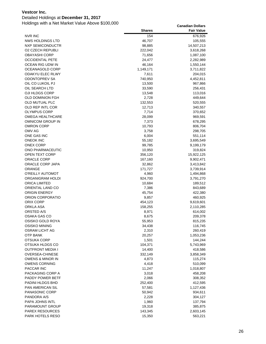### Detailed Holdings at **December 31, 2017**

|                         | <b>Shares</b>    | <b>Fair Value</b>    |
|-------------------------|------------------|----------------------|
| <b>NVR INC</b>          | 154              | 676,926              |
| <b>NWS HOLDINGS LTD</b> | 46,707           | 105,555              |
| NXP SEMICONDUCTR        | 98,885           | 14,507,213           |
| <b>O2 CZECH REPUBLI</b> | 222,042          | 3,618,268            |
| OBAYASHI CORP           | 71,656           | 1,087,100            |
| <b>OCCIDENTAL PETE</b>  | 24,477           | 2,282,989            |
| OCEAN RIG UDW IN        | 46,164           | 1,550,144            |
| OCEANAGOLD CORP         | 1,149,171        | 3,711,822            |
| ODAKYU ELEC RLWY        | 7,611            | 204,015              |
| ODONTOPREV SA           | 740,950          | 4,452,811            |
| OIL CO LUKOIL PJ        | 13,500           | 967,866              |
| OIL SEARCH LTD          | 33,590           | 256,431              |
| OJI HLDGS CORP          | 13,548           | 113,016              |
| OLD DOMINION FGH        | 2,728            | 449,644              |
| OLD MUTUAL PLC          | 132,553          | 520,555              |
| OLD REP INTL COR        | 12,713           | 340,557              |
| OLYMPUS CORP            | 7,714            | 370,652              |
| OMEGA HEALTHCARE        | 28,099           | 969,591              |
| <b>OMNICOM GROUP IN</b> | 7,373            | 678,295              |
| OMRON CORP              | 10,793           | 806,704              |
| OMV AG                  | 3,758            | 298,705              |
| ONE GAS INC             | 6,004            | 551,114              |
| <b>ONEOK INC</b>        | 55,182           | 3,695,549            |
| ONEX CORP               | 99,785           | 9,199,179            |
| ONO PHARMACEUTIC        | 10,950           | 319,824              |
| OPEN TEXT CORP          | 356,120          | 15,922,125           |
| ORACLE CORP             | 167,160          | 9,902,471            |
| ORACLE CORP JAPA        | 32,862           | 3,413,842            |
| ORANGE                  | 171,727          | 3,739,914            |
| O'REILLY AUTOMOT        | 4,960            | 1,494,868            |
| ORGANIGRAM HOLDI        | 924,700          | 3,791,270            |
| ORICA LIMITED           | 10,684           | 189,512              |
| ORIENTAL LAND CO        | 7,386            | 843,689              |
| ORIGIN ENERGY           | 45,754           | 422,380              |
| ORION CORPORATIO        | 9,857            | 460,925              |
| ORIX CORP               | 454,123          | 9,619,601            |
| ORKLA ASA               | 158,255          | 2,110,285            |
| ORSTED A/S              | 8,971            | 614,002              |
| OSAKA GAS CO            | 8,675            | 209,378              |
| OSISKO GOLD ROYA        | 55,953           | 815,235              |
| OSISKO MINING           | 34,438           | 116,745              |
| OSRAM LICHT AG          | 2,310            | 260,419              |
| OTP BANK<br>OTSUKA CORP | 20,257           | 1,053,236            |
| OTSUKA HLDGS CO         | 1,501<br>104,371 | 144,244<br>5,743,969 |
| OUTFRONT MEDIA I        | 14,400           | 418,586              |
| OVERSEA-CHINESE         | 332,149          | 3,858,349            |
| OWENS & MINOR IN        | 4,873            | 115,274              |
| OWENS CORNING           | 4,418            | 510,099              |
| PACCAR INC              | 11,247           | 1,018,807            |
| PACKAGING CORP A        | 3,018            | 458,208              |
| PADDY POWER BETF        | 2,066            | 308,352              |
| PADINI HLDGS BHD        | 252,400          | 412,595              |
| <b>PAN AMERICAN SIL</b> | 57,581           | 1,127,436            |
| PANASONIC CORP          | 50,942           | 934,611              |
| PANDORA A/S             | 2,228            | 304,127              |
| PAPA JOHNS INTL         | 1,960            | 137,794              |
| PARAMOUNT GROUP         | 19,318           | 385,875              |
| PAREX RESOURCES         | 143,345          | 2,603,145            |
| PARK HOTELS RESO        | 15,350           | 563,221              |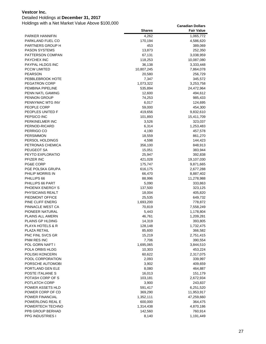### Detailed Holdings at **December 31, 2017**

|                                      | <b>Shares</b>     | <b>Fair Value</b>    |
|--------------------------------------|-------------------|----------------------|
| <b>PARKER HANNIFIN</b>               | 4,262             | 1,065,772            |
| PARKLAND FUEL CO                     | 170,194           | 4,586,620            |
| PARTNERS GROUP H                     | 453               | 389,069              |
| <b>PASON SYSTEMS</b>                 | 13,873            | 252,350              |
| PATTERSON COMPAN                     | 67,131            | 3,038,959            |
| <b>PAYCHEX INC</b>                   | 118,253           | 10,087,080           |
| PAYPAL HLDGS INC                     | 36,138            | 3,333,448            |
| <b>PCCW LIMITED</b>                  | 10,807,245        | 7,864,078            |
| <b>PEARSON</b>                       | 20,580            | 256,729              |
| PEBBLEBROOK HOTE                     | 7,347             | 345,572              |
| <b>PEGATRON CORP</b>                 | 1,073,322         | 3,253,758            |
| PEMBINA PIPELINE                     | 535,894           | 24,472,964           |
| PENN NATL GAMING                     | 12,600            | 494,612              |
| <b>PENNON GROUP</b>                  | 74,253            | 985,433              |
| PENNYMAC MTG INV                     | 6,017             | 124,695              |
| PEOPLE CORP                          | 59,000            | 454,300              |
| PEOPLES UNITED F                     | 419,656           | 9,832,610            |
| PEPSICO INC                          | 101,893           | 15,411,709           |
| PERKINELMER INC                      | 3,526             | 323,037              |
| PERNOD-RICARD                        | 6,314             | 1,253,483            |
| PERRIGO CO                           | 4,190             | 457,578              |
| <b>PERSIMMON</b>                     | 18,559            | 861,270              |
| PERSOL HOLDINGS                      | 4,598             | 144,423              |
| PETRONAS CHEMICA                     | 356,100           | 848,913              |
| PEUGEOT SA                           | 15,051            | 383,944              |
| PEYTO EXPLORATIO                     | 25,947            | 392,838              |
| PFIZER INC                           | 421,028           | 19,107,030           |
| PG&E CORP                            | 175,747           | 9,871,665            |
| PGE POLSKA GRUPA                     | 616,175           | 2,677,288            |
| PHILIP MORRIS IN                     | 66,470            | 8,887,402            |
| PHILLIPS 66                          | 88,996            | 11,278,988           |
| PHILLIPS 66 PART                     | 5,090             | 333,863              |
| PHOENIX ENERGY S                     | 137,500           | 323,125              |
| PHYSICIANS REALT                     | 18,004            | 405,820              |
| PIEDMONT OFFICE                      | 25,535            | 649,732              |
| PINE CLIFF ENERG                     | 1,693,200         | 778,872              |
| PINNACLE WEST CA                     | 70,819            | 7,558,249            |
| PIONEER NATURAL                      | 5,443             | 1,178,804            |
| PLAINS ALL AMERN<br>PLAINS GP HLDING | 46,761            | 1,209,281            |
| <b>PLAYA HOTELS &amp; R</b>          | 14,319            | 393,805              |
| PLAZA RETAIL                         | 128,148<br>85,600 | 1,732,475<br>366,582 |
| PNC FINL SVCS GR                     | 15,219            | 2,751,415            |
| PNM RES INC                          | 7,706             | 390,554              |
| POL GORN NAFT I                      | 1,695,065         | 3,844,510            |
| POLA ORBIS HLDG                      | 10,303            | 453,224              |
| POLISKI KONCERN                      | 60,622            | 2,317,075            |
| POOL CORPORATION                     | 2,093             | 339,997              |
| PORSCHE AUTOMOBI                     | 3,902             | 409,659              |
| PORTLAND GEN ELE                     | 8,080             | 464,887              |
| POSTE ITALIANE S                     | 16,013            | 151,179              |
| POTASH CORP OF S                     | 103,181           | 2,672,934            |
| POTLATCH CORP                        | 3,900             | 243,837              |
| POWER ASSETS HLD                     | 591,417           | 6,251,520            |
| POWER CORP OF CD                     | 369,290           | 11,953,917           |
| POWER FINANCIAL                      | 1,352,111         | 47,259,660           |
| POWERLONG REAL E                     | 600,000           | 364,475              |
| POWERTECH TECHNO                     | 1,314,438         | 4,870,186            |
| PPB GROUP BERHAD                     | 142,560           | 760,914              |
| <b>PPG INDUSTRIES I</b>              | 8,140             | 1,191,449            |
|                                      |                   |                      |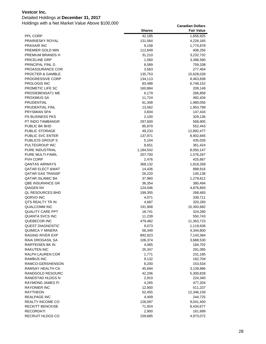## Detailed Holdings at **December 31, 2017**

|                                      | <b>Shares</b>    | <b>Fair Value</b>    |
|--------------------------------------|------------------|----------------------|
| PPL CORP                             | 42,185           | 1,656,925            |
| <b>PRAIRIESKY ROYAL</b>              | 131,564          | 4,226,165            |
| PRAXAIR INC                          | 9,158            | 1,774,878            |
| PREMIER GOLD MIN                     | 112,849          | 406,256              |
| PREMIUM BRANDS H                     | 31,210           | 3,232,732            |
| PRICELINE GRP                        | 1,560            | 3,396,590            |
| PRINCIPAL FINL G                     | 8,589            | 759,338              |
| PROASSURANCE COR                     | 3,563            | 277,454              |
| PROCTER & GAMBLE                     | 135,753          | 15,628,028           |
| <b>PROGRESSIVE CORP</b>              | 134,113          | 9,463,838            |
| <b>PROLOGIS INC</b>                  | 83,488           | 6,748,152            |
| PROMETIC LIFE SC                     | 160,884          | 209,149              |
| PROSIEBENSAT1 ME                     | 6,179            | 266,858              |
| PROXIMUS SA                          | 11,724           | 482,434              |
| PRUDENTIAL                           | 61,308           | 1,980,056            |
| PRUDENTIAL FINL                      | 13,562           | 1,953,799            |
| <b>PRYSMIAN SPA</b>                  | 3,604            | 147,434              |
| PS BUSINESS PKS                      | 2,100            | 329,136              |
| PT INDO TAMBANGR                     | 297,600          | 568,905              |
| PUBLIC BK BHD                        | 85,870           | 552,443              |
| PUBLIC STORAGE                       | 49,233           | 12,892,477           |
| PUBLIC SVC ENTER                     | 137,971          | 8,902,845            |
| PUBLICIS GROUP S                     | 5,104            | 435,026              |
| PULTEGROUP INC                       | 8,651            | 361,424              |
| PURE INDUSTRIAL                      | 1,184,542        | 8,050,147            |
| PURE MULTI-FAMIL                     | 207,700          | 1,576,267            |
| <b>PVH CORP</b>                      | 2,476            | 425,667              |
| <b>QANTAS AIRWAYS</b>                | 368,132          | 1,818,268            |
| <b>QATAR ELECT &amp;WAT</b>          | 14,436           | 898,916              |
| QATAR GAS TRANSP                     | 26,220           | 145,138              |
| <b>QATAR ISLAMIC BA</b>              | 37,960           | 1,279,812            |
| <b>QBE INSURANCE GR</b>              | 36,354           | 380,494              |
| QIAGEN NV                            | 124,046          | 4,876,893            |
| QL RESOURCES BHD                     | 199,355          | 268,483              |
| QORVO INC                            | 4,071            | 339,711              |
| QTS REALTY TR IN                     | 4,687            | 320,283              |
| <b>QUALCOMM INC</b>                  | 191,908          | 15,393,682           |
| QUALITY CARE PPT                     | 18,741           | 324,280              |
| <b>QUANTA SVCS INC</b>               | 11,239           | 550,743              |
| QUEBECOR INC                         | 479,482          | 11,363,723           |
| QUEST DIAGNOSTIC<br>QUIMICA Y MINERA | 9,073            | 1,119,636            |
| RAGING RIVER EXP                     | 58,349           | 4,344,800            |
| RAIA DROGASIL SA                     | 892,923          | 7,143,384            |
| <b>RAIFFEISEN BK IN</b>              | 106,374<br>4,065 | 3,688,530<br>184,702 |
| <b>RAKUTEN INC</b>                   | 25,347           | 291,085              |
| RALPH LAUREN COR                     | 1,771            | 231,185              |
| <b>RAMBUS INC</b>                    | 9,132            | 162,704              |
| RAMCO-GERSHENSON                     | 8,200            | 153,534              |
| RAMSAY HEALTH CA                     | 45,694           | 3,139,966            |
| RANDGOLD RESOURC                     | 42,206           | 5,300,828            |
| RANDSTAD HLDGS N                     | 2,910            | 224,340              |
| RAYMOND JAMES FI                     | 4,265            | 477,204              |
| <b>RAYONIER INC</b>                  | 12,900           | 511,237              |
| <b>RAYTHEON</b>                      | 52,455           | 12,346,159           |
| <b>REALPAGE INC</b>                  | 4,409            | 244,725              |
| REALTY INCOME CO                     | 126,097          | 9,041,400            |
| RECKITT BENCKISE                     | 71,924           | 8,434,677            |
| <b>RECORDATI</b>                     | 2,900            | 161,699              |
| <b>RECRUIT HLDGS CO</b>              | 159,685          | 4,973,072            |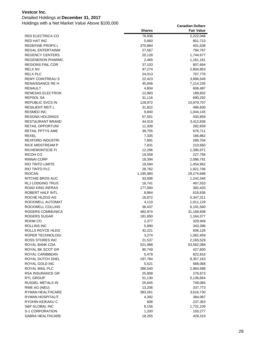### Detailed Holdings at **December 31, 2017**

|                                     | <b>Shares</b>       | Fair Value              |
|-------------------------------------|---------------------|-------------------------|
| <b>RED ELECTRICA CO</b>             | 78,936              | 2,222,048               |
| <b>RED HAT INC</b>                  | 5,660               | 851,713                 |
| REDEFINE PROPS L                    | 370,884             | 401,638                 |
| <b>REGAL ENTERTAINM</b>             | 27,567              | 794,767                 |
| <b>REGENCY CENTERS</b>              | 20,128              | 1,744,677               |
| <b>REGENERON PHARMC</b>             | 2,465               | 1,161,161               |
| <b>REGIONS FINL COR</b>             | 37,103              | 807,694                 |
| RELX NV                             | 97,274              | 2,804,853               |
| <b>RELX PLC</b>                     | 24,013              | 707,778                 |
| <b>REMY COINTREAU S</b>             | 22,423              | 3,896,549               |
| RENAISSANCE RE H                    | 45,846              | 7,214,235               |
| RENAULT                             | 4,804               | 606,487                 |
| RENESAS ELECTRON                    | 12,983              | 189,602                 |
| REPSOL SA                           | 31,116              | 690,292                 |
| REPUBLIC SVCS IN                    | 128,972             | 10,979,707              |
| <b>RESILIENT REIT L</b>             | 31,822              | 486,830                 |
| <b>RESMED INC</b>                   | 9,840               | 1,044,145               |
| <b>RESONA HOLDINGS</b>              | 57,551              | 430,859                 |
| <b>RESTAURANT BRAND</b>             | 44,019              | 3,412,838               |
| <b>RETAIL OPPORTUNI</b>             | 11,308              | 282,659                 |
| RETAIL PPTYS AME                    | 39,705              | 676,711                 |
| REXEL                               | 7,335               | 166,862                 |
| <b>REXFORD INDUSTRI</b>             | 7,891               | 289,704                 |
| RICE MIDSTREAM P                    | 7,831               | 210,660                 |
| <b>RICHEMONT(CIE FI</b>             | 12,296              | 1,395,971               |
| RICOH CO                            | 19,558              | 227,758                 |
| <b>RINNAI CORP</b>                  | 18,394              | 2,086,791               |
| RIO TINTO LIMITE                    | 19,584              | 1,454,962               |
| RIO TINTO PLC<br><b>RIOCAN</b>      | 28,762<br>1,195,984 | 1,921,706               |
| RITCHIE BROS AUC                    | 33,006              | 29,274,698<br>1,242,346 |
| RLJ LODGING TRUS                    | 16,741              | 467,553                 |
| ROAD KING INFRAS                    | 177,000             | 382,420                 |
| ROBERT HALF INTL                    | 8,864               | 616,836                 |
| ROCHE HLDGS AG                      | 16,872              | 5,347,311               |
| ROCKWELL AUTOMAT                    | 4,110               | 1,011,129               |
| ROCKWELL COLLINS                    | 36,437              | 6,191,560               |
| ROGERS COMMUNICA                    | 482,974             | 31,168,608              |
| ROGERS SUGAR                        | 181,650             | 1,164,377               |
| ROHM CO                             | 2,377               | 329,949                 |
| ROLLINS INC                         | 5,890               | 343,386                 |
| ROLLS ROYCE HLDG                    | 42,221              | 606,126                 |
| ROPER TECHNOLOGI                    | 3,274               | 1,062,459               |
| ROSS STORES INC                     | 21,537              | 2,165,529               |
| ROYAL BANK CDA                      | 521,988             | 53,582,068              |
| ROYAL BK SCOT GR                    | 90,749              | 427,600                 |
| ROYAL CARIBBEAN                     | 5,478               | 822,816                 |
| ROYAL DUTCH SHEL                    | 197,784             | 8,357,163               |
| ROYAL GOLD INC                      | 5,521               | 568,068                 |
| ROYAL MAIL PLC                      | 386,540             | 2,964,588               |
| RSA INSURANCE GR                    | 25,808              | 276,673                 |
| RTL GROUP                           | 51,130              | 5,136,664               |
| RUSSEL METALS IN                    | 25,645              | 748,065                 |
| RWE AG (NEU)                        | 13,206              | 337,773                 |
| RYMAN HEALTHCARE                    | 383,261             | 3,616,730               |
| RYMAN HOSPITALIT                    | 4,392               | 384,087                 |
| RYOHIN KEIKAKU C                    | 608                 | 237,363                 |
| S&P GLOBAL INC                      | 8,156               | 1,731,109               |
| S-1 CORPORATION<br>SABRA HEALTHCARE | 1,200<br>18,255     | 150,277<br>429,319      |
|                                     |                     |                         |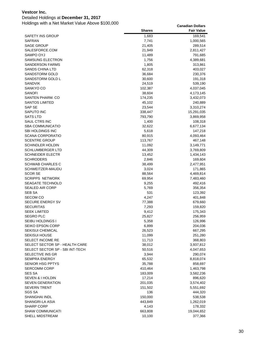### Detailed Holdings at **December 31, 2017**

|                                         | <b>Shares</b>  | <b>Fair Value</b>  |
|-----------------------------------------|----------------|--------------------|
| SAFETY INS GROUP                        | 1,683          | 169,541            |
| <b>SAFRAN</b>                           | 7,741          | 1,000,565          |
| SAGE GROUP                              | 21,405         | 289,514            |
| SALESFORCE.COM                          | 21,949         | 2,811,427          |
| SAMPO OYJ                               | 11,489         | 791,685            |
| <b>SAMSUNG ELECTRON</b>                 | 1,756          | 4,389,681          |
| SANDERSON FARMS                         | 1,805          | 313,861            |
| <b>SANDS CHINA LTD</b>                  | 62,318         | 403,027            |
| SANDSTORM GOLD                          | 36,684         | 230,376            |
| SANDSTORM GOLD L                        | 30,600         | 191,318            |
| <b>SANDVIK</b>                          | 24,519         | 539,190            |
| SANKYO CO                               | 102,387        | 4,037,045          |
| SANOFI                                  | 38,604         | 4,173,145          |
| SANTEN PHARM. CO                        | 174,235        | 3,432,073          |
| <b>SANTOS LIMITED</b>                   | 45,102         | 240,889            |
| SAP SE                                  | 23,544         | 3,310,274          |
| SAPUTO INC                              | 338,447        | 15,291,035         |
| SATS LTD                                | 793,790        | 3,869,958          |
| SAUL CTRS INC                           | 1,400          | 108,318            |
| <b>SBA COMMUNICATIO</b>                 | 32,622         | 6,677,134          |
| SBI HOLDINGS INC                        | 5,618          | 147,218            |
| <b>SCANA CORPORATIO</b>                 | 80,915         | 4,093,464          |
| <b>SCENTRE GROUP</b>                    | 113,767        | 467,148            |
| SCHINDLER HOLDIN                        | 11,092         | 3,149,771          |
| <b>SCHLUMBERGER LTD</b>                 | 44,309         | 3,769,809          |
| <b>SCHNEIDER ELECTR</b>                 | 13,452         | 1,434,143          |
| <b>SCHRODERS</b>                        | 2,846          | 169,604            |
| <b>SCHWAB CHARLES C</b>                 | 38,499         | 2,477,951          |
| SCHWEITZER-MAUDU                        | 3,024          | 171,865            |
| <b>SCOR SE</b>                          | 88,564         | 4,469,814          |
| <b>SCRIPPS NETWORK</b>                  | 69,954         | 7,483,460          |
| <b>SEAGATE TECHNOLO</b>                 | 9,255          | 492,416            |
| <b>SEALED AIR CORP</b>                  | 5,769          | 356,354            |
| SEB SA                                  | 531            | 123,392            |
| <b>SECOM CO</b>                         | 4,247          | 401,848            |
| <b>SECURE ENERGY SV</b>                 | 77,388         | 679,660            |
| <b>SECURITAS</b><br><b>SEEK LIMITED</b> | 7,293          | 159,820            |
| <b>SEGRO PLC</b>                        | 9,412          | 175,343            |
|                                         | 25,827         | 256,959            |
| SEIBU HOLDINGS I<br>SEIKO EPSON CORP    | 5,358<br>6,899 | 126,996<br>204,036 |
| <b>SEKISUI CHEMICAL</b>                 | 26,523         | 667,295            |
| <b>SEKISUI HOUSE</b>                    | 11,099         | 251,280            |
| <b>SELECT INCOME RE</b>                 | 11,713         | 368,803            |
| SELECT SECTOR SP - HEALTH CARE          | 38,012         | 3,937,812          |
| SELECT SECTOR SP - SBI INT-TECH         | 50,516         | 4,047,653          |
| SELECTIVE INS GR                        | 3,944          | 290,074            |
| <b>SEMPRA ENERGY</b>                    | 65,532         | 8,818,074          |
| SENIOR HSG PPTYS                        | 35,788         | 858,697            |
| <b>SERCOMM CORP</b>                     | 410,464        | 1,463,798          |
| SES SA                                  | 183,009        | 3,582,236          |
| <b>SEVEN &amp; I HOLDIN</b>             | 17,214         | 896,620            |
| <b>SEVEN GENERATION</b>                 | 201,035        | 3,574,402          |
| <b>SEVERN TRENT</b>                     | 151,502        | 5,551,692          |
| SGS SA                                  | 136            | 444,320            |
| <b>SHANGHAI INDL</b>                    | 150,000        | 538,538            |
| SHANGRI-LA ASIA                         | 443,849        | 1,262,019          |
| <b>SHARP CORP</b>                       | 4,143          | 178,332            |
| <b>SHAW COMMUNICATI</b>                 | 663,808        | 19,044,652         |
| SHELL MIDSTREAM                         | 10,100         | 377,366            |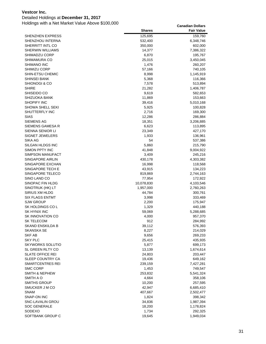### Detailed Holdings at **December 31, 2017**

| <b>SHENZHEN EXPRESS</b><br>125,695<br>159,760<br>SHENZHOU INTERNA<br>532,400<br>6,348,746<br>SHERRITT INTL CO<br>350,000<br>602,000<br><b>SHERWIN WILLIAMS</b><br>14,377<br>7,386,322<br>SHIMADZU CORP<br>6,870<br>195,767<br>SHIMAMURA CO<br>25,015<br>3,450,045<br>SHIMANO INC<br>1,476<br>260,207<br>SHIMIZU CORP<br>57,166<br>740,105<br>SHIN-ETSU CHEMIC<br>8,998<br>1,145,919<br>SHINSEI BANK<br>5,368<br>116,366<br>SHIONOGI & CO<br>7,578<br>513,894<br><b>SHIRE</b><br>21,282<br>1,406,787<br>SHISEIDO CO<br>9,619<br>582,653<br>SHIZUOKA BANK<br>11,869<br>153,663<br><b>SHOPIFY INC</b><br>5,010,168<br>39,416<br>SHOWA SHELL SEKI<br>5,925<br>100,828<br>SHUTTERFLY INC<br>2,716<br>169,300<br><b>SIAS</b><br>12,286<br>286,884<br><b>SIEMENS AG</b><br>18,351<br>3,206,885<br>SIEMENS GAMESA R<br>6,623<br>113,895<br>SIENNA SENIOR LI<br>23,349<br>427,170<br><b>SIGNET JEWELERS</b><br>1,933<br>136,961<br>SIKA AG<br>54<br>537,386<br>5,860<br>SILGAN HLDGS INC<br>215,790<br>SIMON PPTY INC<br>41,848<br>9,004,922<br>SIMPSON MANUFACT<br>3,409<br>245,216<br>SINGAPORE AIRLIN<br>430,178<br>4,303,382<br>SINGAPORE EXCHAN<br>16,998<br>118,568<br>SINGAPORE TECH E<br>43,915<br>134,223<br>SINGAPORE TELECO<br>819,869<br>2,744,163<br>SINO LAND CO<br>77,954<br>172,922<br>SINOPAC FIN HLDG<br>10,078,830<br>4,103,546<br>SINOTRUK (HK) LT<br>1,957,000<br>2,760,263<br>SIRIUS XM HLDG<br>44,784<br>300,761<br><b>SIX FLAGS ENTMT</b><br>3,998<br>333,469<br><b>SJW GROUP</b><br>2,200<br>175,947<br>SK HOLDINGS COL<br>1,329<br>440,188<br><b>SK HYNIX INC</b><br>59,069<br>5,288,685<br><b>SK INNOVATION CO</b><br>4,000<br>957,370<br>SK TELECOM<br>912<br>284,992<br><b>SKAND ENSKILDA B</b><br>39,112<br>576,393<br><b>SKANSKA SE</b><br>8,227<br>214,029<br>SKF AB<br>9,656<br>269,233<br><b>SKY PLC</b><br>25,415<br>435,935<br><b>SKYWORKS SOLUTIO</b><br>5,877<br>699,173<br>SL GREEN RLTY CO<br>13,139<br>1,674,614<br><b>SLATE OFFICE REI</b><br>24,803<br>203,447<br>SLEEP COUNTRY CA<br>19,436<br>649,162<br>SMARTCENTRES REI<br>239,159<br>7,427,281<br>SMC CORP<br>1,453<br>749,547<br><b>SMITH &amp; NEPHEW</b><br>253,832<br>5,541,324<br>SMITH A O<br>4,664<br>358,106<br><b>SMITHS GROUP</b><br>10,200<br>257,595<br>SMUCKER J M CO<br>42,947<br>6,685,410<br><b>SNAM</b><br>407,667<br>2,502,477<br>SNAP-ON INC<br>1,824<br>398,342<br>SNC-LAVALIN GROU<br>34,836<br>1,987,394<br><b>SOC GENERALE</b><br>18,200<br>1,178,824<br>SODEXO<br>1,734<br>292,325 |                  | <b>Shares</b> | <b>Fair Value</b> |
|---------------------------------------------------------------------------------------------------------------------------------------------------------------------------------------------------------------------------------------------------------------------------------------------------------------------------------------------------------------------------------------------------------------------------------------------------------------------------------------------------------------------------------------------------------------------------------------------------------------------------------------------------------------------------------------------------------------------------------------------------------------------------------------------------------------------------------------------------------------------------------------------------------------------------------------------------------------------------------------------------------------------------------------------------------------------------------------------------------------------------------------------------------------------------------------------------------------------------------------------------------------------------------------------------------------------------------------------------------------------------------------------------------------------------------------------------------------------------------------------------------------------------------------------------------------------------------------------------------------------------------------------------------------------------------------------------------------------------------------------------------------------------------------------------------------------------------------------------------------------------------------------------------------------------------------------------------------------------------------------------------------------------------------------------------------------------------------------------------------------------------------------------------------------------------------------------------------------------------------------------------------------------------------------------------------------------------------------------------------------------------------------------------------------------------------------------------------------------------------------------|------------------|---------------|-------------------|
|                                                                                                                                                                                                                                                                                                                                                                                                                                                                                                                                                                                                                                                                                                                                                                                                                                                                                                                                                                                                                                                                                                                                                                                                                                                                                                                                                                                                                                                                                                                                                                                                                                                                                                                                                                                                                                                                                                                                                                                                                                                                                                                                                                                                                                                                                                                                                                                                                                                                                                   |                  |               |                   |
|                                                                                                                                                                                                                                                                                                                                                                                                                                                                                                                                                                                                                                                                                                                                                                                                                                                                                                                                                                                                                                                                                                                                                                                                                                                                                                                                                                                                                                                                                                                                                                                                                                                                                                                                                                                                                                                                                                                                                                                                                                                                                                                                                                                                                                                                                                                                                                                                                                                                                                   |                  |               |                   |
|                                                                                                                                                                                                                                                                                                                                                                                                                                                                                                                                                                                                                                                                                                                                                                                                                                                                                                                                                                                                                                                                                                                                                                                                                                                                                                                                                                                                                                                                                                                                                                                                                                                                                                                                                                                                                                                                                                                                                                                                                                                                                                                                                                                                                                                                                                                                                                                                                                                                                                   |                  |               |                   |
|                                                                                                                                                                                                                                                                                                                                                                                                                                                                                                                                                                                                                                                                                                                                                                                                                                                                                                                                                                                                                                                                                                                                                                                                                                                                                                                                                                                                                                                                                                                                                                                                                                                                                                                                                                                                                                                                                                                                                                                                                                                                                                                                                                                                                                                                                                                                                                                                                                                                                                   |                  |               |                   |
|                                                                                                                                                                                                                                                                                                                                                                                                                                                                                                                                                                                                                                                                                                                                                                                                                                                                                                                                                                                                                                                                                                                                                                                                                                                                                                                                                                                                                                                                                                                                                                                                                                                                                                                                                                                                                                                                                                                                                                                                                                                                                                                                                                                                                                                                                                                                                                                                                                                                                                   |                  |               |                   |
|                                                                                                                                                                                                                                                                                                                                                                                                                                                                                                                                                                                                                                                                                                                                                                                                                                                                                                                                                                                                                                                                                                                                                                                                                                                                                                                                                                                                                                                                                                                                                                                                                                                                                                                                                                                                                                                                                                                                                                                                                                                                                                                                                                                                                                                                                                                                                                                                                                                                                                   |                  |               |                   |
|                                                                                                                                                                                                                                                                                                                                                                                                                                                                                                                                                                                                                                                                                                                                                                                                                                                                                                                                                                                                                                                                                                                                                                                                                                                                                                                                                                                                                                                                                                                                                                                                                                                                                                                                                                                                                                                                                                                                                                                                                                                                                                                                                                                                                                                                                                                                                                                                                                                                                                   |                  |               |                   |
|                                                                                                                                                                                                                                                                                                                                                                                                                                                                                                                                                                                                                                                                                                                                                                                                                                                                                                                                                                                                                                                                                                                                                                                                                                                                                                                                                                                                                                                                                                                                                                                                                                                                                                                                                                                                                                                                                                                                                                                                                                                                                                                                                                                                                                                                                                                                                                                                                                                                                                   |                  |               |                   |
|                                                                                                                                                                                                                                                                                                                                                                                                                                                                                                                                                                                                                                                                                                                                                                                                                                                                                                                                                                                                                                                                                                                                                                                                                                                                                                                                                                                                                                                                                                                                                                                                                                                                                                                                                                                                                                                                                                                                                                                                                                                                                                                                                                                                                                                                                                                                                                                                                                                                                                   |                  |               |                   |
|                                                                                                                                                                                                                                                                                                                                                                                                                                                                                                                                                                                                                                                                                                                                                                                                                                                                                                                                                                                                                                                                                                                                                                                                                                                                                                                                                                                                                                                                                                                                                                                                                                                                                                                                                                                                                                                                                                                                                                                                                                                                                                                                                                                                                                                                                                                                                                                                                                                                                                   |                  |               |                   |
|                                                                                                                                                                                                                                                                                                                                                                                                                                                                                                                                                                                                                                                                                                                                                                                                                                                                                                                                                                                                                                                                                                                                                                                                                                                                                                                                                                                                                                                                                                                                                                                                                                                                                                                                                                                                                                                                                                                                                                                                                                                                                                                                                                                                                                                                                                                                                                                                                                                                                                   |                  |               |                   |
|                                                                                                                                                                                                                                                                                                                                                                                                                                                                                                                                                                                                                                                                                                                                                                                                                                                                                                                                                                                                                                                                                                                                                                                                                                                                                                                                                                                                                                                                                                                                                                                                                                                                                                                                                                                                                                                                                                                                                                                                                                                                                                                                                                                                                                                                                                                                                                                                                                                                                                   |                  |               |                   |
|                                                                                                                                                                                                                                                                                                                                                                                                                                                                                                                                                                                                                                                                                                                                                                                                                                                                                                                                                                                                                                                                                                                                                                                                                                                                                                                                                                                                                                                                                                                                                                                                                                                                                                                                                                                                                                                                                                                                                                                                                                                                                                                                                                                                                                                                                                                                                                                                                                                                                                   |                  |               |                   |
|                                                                                                                                                                                                                                                                                                                                                                                                                                                                                                                                                                                                                                                                                                                                                                                                                                                                                                                                                                                                                                                                                                                                                                                                                                                                                                                                                                                                                                                                                                                                                                                                                                                                                                                                                                                                                                                                                                                                                                                                                                                                                                                                                                                                                                                                                                                                                                                                                                                                                                   |                  |               |                   |
|                                                                                                                                                                                                                                                                                                                                                                                                                                                                                                                                                                                                                                                                                                                                                                                                                                                                                                                                                                                                                                                                                                                                                                                                                                                                                                                                                                                                                                                                                                                                                                                                                                                                                                                                                                                                                                                                                                                                                                                                                                                                                                                                                                                                                                                                                                                                                                                                                                                                                                   |                  |               |                   |
|                                                                                                                                                                                                                                                                                                                                                                                                                                                                                                                                                                                                                                                                                                                                                                                                                                                                                                                                                                                                                                                                                                                                                                                                                                                                                                                                                                                                                                                                                                                                                                                                                                                                                                                                                                                                                                                                                                                                                                                                                                                                                                                                                                                                                                                                                                                                                                                                                                                                                                   |                  |               |                   |
|                                                                                                                                                                                                                                                                                                                                                                                                                                                                                                                                                                                                                                                                                                                                                                                                                                                                                                                                                                                                                                                                                                                                                                                                                                                                                                                                                                                                                                                                                                                                                                                                                                                                                                                                                                                                                                                                                                                                                                                                                                                                                                                                                                                                                                                                                                                                                                                                                                                                                                   |                  |               |                   |
|                                                                                                                                                                                                                                                                                                                                                                                                                                                                                                                                                                                                                                                                                                                                                                                                                                                                                                                                                                                                                                                                                                                                                                                                                                                                                                                                                                                                                                                                                                                                                                                                                                                                                                                                                                                                                                                                                                                                                                                                                                                                                                                                                                                                                                                                                                                                                                                                                                                                                                   |                  |               |                   |
|                                                                                                                                                                                                                                                                                                                                                                                                                                                                                                                                                                                                                                                                                                                                                                                                                                                                                                                                                                                                                                                                                                                                                                                                                                                                                                                                                                                                                                                                                                                                                                                                                                                                                                                                                                                                                                                                                                                                                                                                                                                                                                                                                                                                                                                                                                                                                                                                                                                                                                   |                  |               |                   |
|                                                                                                                                                                                                                                                                                                                                                                                                                                                                                                                                                                                                                                                                                                                                                                                                                                                                                                                                                                                                                                                                                                                                                                                                                                                                                                                                                                                                                                                                                                                                                                                                                                                                                                                                                                                                                                                                                                                                                                                                                                                                                                                                                                                                                                                                                                                                                                                                                                                                                                   |                  |               |                   |
|                                                                                                                                                                                                                                                                                                                                                                                                                                                                                                                                                                                                                                                                                                                                                                                                                                                                                                                                                                                                                                                                                                                                                                                                                                                                                                                                                                                                                                                                                                                                                                                                                                                                                                                                                                                                                                                                                                                                                                                                                                                                                                                                                                                                                                                                                                                                                                                                                                                                                                   |                  |               |                   |
|                                                                                                                                                                                                                                                                                                                                                                                                                                                                                                                                                                                                                                                                                                                                                                                                                                                                                                                                                                                                                                                                                                                                                                                                                                                                                                                                                                                                                                                                                                                                                                                                                                                                                                                                                                                                                                                                                                                                                                                                                                                                                                                                                                                                                                                                                                                                                                                                                                                                                                   |                  |               |                   |
|                                                                                                                                                                                                                                                                                                                                                                                                                                                                                                                                                                                                                                                                                                                                                                                                                                                                                                                                                                                                                                                                                                                                                                                                                                                                                                                                                                                                                                                                                                                                                                                                                                                                                                                                                                                                                                                                                                                                                                                                                                                                                                                                                                                                                                                                                                                                                                                                                                                                                                   |                  |               |                   |
|                                                                                                                                                                                                                                                                                                                                                                                                                                                                                                                                                                                                                                                                                                                                                                                                                                                                                                                                                                                                                                                                                                                                                                                                                                                                                                                                                                                                                                                                                                                                                                                                                                                                                                                                                                                                                                                                                                                                                                                                                                                                                                                                                                                                                                                                                                                                                                                                                                                                                                   |                  |               |                   |
|                                                                                                                                                                                                                                                                                                                                                                                                                                                                                                                                                                                                                                                                                                                                                                                                                                                                                                                                                                                                                                                                                                                                                                                                                                                                                                                                                                                                                                                                                                                                                                                                                                                                                                                                                                                                                                                                                                                                                                                                                                                                                                                                                                                                                                                                                                                                                                                                                                                                                                   |                  |               |                   |
|                                                                                                                                                                                                                                                                                                                                                                                                                                                                                                                                                                                                                                                                                                                                                                                                                                                                                                                                                                                                                                                                                                                                                                                                                                                                                                                                                                                                                                                                                                                                                                                                                                                                                                                                                                                                                                                                                                                                                                                                                                                                                                                                                                                                                                                                                                                                                                                                                                                                                                   |                  |               |                   |
|                                                                                                                                                                                                                                                                                                                                                                                                                                                                                                                                                                                                                                                                                                                                                                                                                                                                                                                                                                                                                                                                                                                                                                                                                                                                                                                                                                                                                                                                                                                                                                                                                                                                                                                                                                                                                                                                                                                                                                                                                                                                                                                                                                                                                                                                                                                                                                                                                                                                                                   |                  |               |                   |
|                                                                                                                                                                                                                                                                                                                                                                                                                                                                                                                                                                                                                                                                                                                                                                                                                                                                                                                                                                                                                                                                                                                                                                                                                                                                                                                                                                                                                                                                                                                                                                                                                                                                                                                                                                                                                                                                                                                                                                                                                                                                                                                                                                                                                                                                                                                                                                                                                                                                                                   |                  |               |                   |
|                                                                                                                                                                                                                                                                                                                                                                                                                                                                                                                                                                                                                                                                                                                                                                                                                                                                                                                                                                                                                                                                                                                                                                                                                                                                                                                                                                                                                                                                                                                                                                                                                                                                                                                                                                                                                                                                                                                                                                                                                                                                                                                                                                                                                                                                                                                                                                                                                                                                                                   |                  |               |                   |
|                                                                                                                                                                                                                                                                                                                                                                                                                                                                                                                                                                                                                                                                                                                                                                                                                                                                                                                                                                                                                                                                                                                                                                                                                                                                                                                                                                                                                                                                                                                                                                                                                                                                                                                                                                                                                                                                                                                                                                                                                                                                                                                                                                                                                                                                                                                                                                                                                                                                                                   |                  |               |                   |
|                                                                                                                                                                                                                                                                                                                                                                                                                                                                                                                                                                                                                                                                                                                                                                                                                                                                                                                                                                                                                                                                                                                                                                                                                                                                                                                                                                                                                                                                                                                                                                                                                                                                                                                                                                                                                                                                                                                                                                                                                                                                                                                                                                                                                                                                                                                                                                                                                                                                                                   |                  |               |                   |
|                                                                                                                                                                                                                                                                                                                                                                                                                                                                                                                                                                                                                                                                                                                                                                                                                                                                                                                                                                                                                                                                                                                                                                                                                                                                                                                                                                                                                                                                                                                                                                                                                                                                                                                                                                                                                                                                                                                                                                                                                                                                                                                                                                                                                                                                                                                                                                                                                                                                                                   |                  |               |                   |
|                                                                                                                                                                                                                                                                                                                                                                                                                                                                                                                                                                                                                                                                                                                                                                                                                                                                                                                                                                                                                                                                                                                                                                                                                                                                                                                                                                                                                                                                                                                                                                                                                                                                                                                                                                                                                                                                                                                                                                                                                                                                                                                                                                                                                                                                                                                                                                                                                                                                                                   |                  |               |                   |
|                                                                                                                                                                                                                                                                                                                                                                                                                                                                                                                                                                                                                                                                                                                                                                                                                                                                                                                                                                                                                                                                                                                                                                                                                                                                                                                                                                                                                                                                                                                                                                                                                                                                                                                                                                                                                                                                                                                                                                                                                                                                                                                                                                                                                                                                                                                                                                                                                                                                                                   |                  |               |                   |
|                                                                                                                                                                                                                                                                                                                                                                                                                                                                                                                                                                                                                                                                                                                                                                                                                                                                                                                                                                                                                                                                                                                                                                                                                                                                                                                                                                                                                                                                                                                                                                                                                                                                                                                                                                                                                                                                                                                                                                                                                                                                                                                                                                                                                                                                                                                                                                                                                                                                                                   |                  |               |                   |
|                                                                                                                                                                                                                                                                                                                                                                                                                                                                                                                                                                                                                                                                                                                                                                                                                                                                                                                                                                                                                                                                                                                                                                                                                                                                                                                                                                                                                                                                                                                                                                                                                                                                                                                                                                                                                                                                                                                                                                                                                                                                                                                                                                                                                                                                                                                                                                                                                                                                                                   |                  |               |                   |
|                                                                                                                                                                                                                                                                                                                                                                                                                                                                                                                                                                                                                                                                                                                                                                                                                                                                                                                                                                                                                                                                                                                                                                                                                                                                                                                                                                                                                                                                                                                                                                                                                                                                                                                                                                                                                                                                                                                                                                                                                                                                                                                                                                                                                                                                                                                                                                                                                                                                                                   |                  |               |                   |
|                                                                                                                                                                                                                                                                                                                                                                                                                                                                                                                                                                                                                                                                                                                                                                                                                                                                                                                                                                                                                                                                                                                                                                                                                                                                                                                                                                                                                                                                                                                                                                                                                                                                                                                                                                                                                                                                                                                                                                                                                                                                                                                                                                                                                                                                                                                                                                                                                                                                                                   |                  |               |                   |
|                                                                                                                                                                                                                                                                                                                                                                                                                                                                                                                                                                                                                                                                                                                                                                                                                                                                                                                                                                                                                                                                                                                                                                                                                                                                                                                                                                                                                                                                                                                                                                                                                                                                                                                                                                                                                                                                                                                                                                                                                                                                                                                                                                                                                                                                                                                                                                                                                                                                                                   |                  |               |                   |
|                                                                                                                                                                                                                                                                                                                                                                                                                                                                                                                                                                                                                                                                                                                                                                                                                                                                                                                                                                                                                                                                                                                                                                                                                                                                                                                                                                                                                                                                                                                                                                                                                                                                                                                                                                                                                                                                                                                                                                                                                                                                                                                                                                                                                                                                                                                                                                                                                                                                                                   |                  |               |                   |
|                                                                                                                                                                                                                                                                                                                                                                                                                                                                                                                                                                                                                                                                                                                                                                                                                                                                                                                                                                                                                                                                                                                                                                                                                                                                                                                                                                                                                                                                                                                                                                                                                                                                                                                                                                                                                                                                                                                                                                                                                                                                                                                                                                                                                                                                                                                                                                                                                                                                                                   |                  |               |                   |
|                                                                                                                                                                                                                                                                                                                                                                                                                                                                                                                                                                                                                                                                                                                                                                                                                                                                                                                                                                                                                                                                                                                                                                                                                                                                                                                                                                                                                                                                                                                                                                                                                                                                                                                                                                                                                                                                                                                                                                                                                                                                                                                                                                                                                                                                                                                                                                                                                                                                                                   |                  |               |                   |
|                                                                                                                                                                                                                                                                                                                                                                                                                                                                                                                                                                                                                                                                                                                                                                                                                                                                                                                                                                                                                                                                                                                                                                                                                                                                                                                                                                                                                                                                                                                                                                                                                                                                                                                                                                                                                                                                                                                                                                                                                                                                                                                                                                                                                                                                                                                                                                                                                                                                                                   |                  |               |                   |
|                                                                                                                                                                                                                                                                                                                                                                                                                                                                                                                                                                                                                                                                                                                                                                                                                                                                                                                                                                                                                                                                                                                                                                                                                                                                                                                                                                                                                                                                                                                                                                                                                                                                                                                                                                                                                                                                                                                                                                                                                                                                                                                                                                                                                                                                                                                                                                                                                                                                                                   |                  |               |                   |
|                                                                                                                                                                                                                                                                                                                                                                                                                                                                                                                                                                                                                                                                                                                                                                                                                                                                                                                                                                                                                                                                                                                                                                                                                                                                                                                                                                                                                                                                                                                                                                                                                                                                                                                                                                                                                                                                                                                                                                                                                                                                                                                                                                                                                                                                                                                                                                                                                                                                                                   |                  |               |                   |
|                                                                                                                                                                                                                                                                                                                                                                                                                                                                                                                                                                                                                                                                                                                                                                                                                                                                                                                                                                                                                                                                                                                                                                                                                                                                                                                                                                                                                                                                                                                                                                                                                                                                                                                                                                                                                                                                                                                                                                                                                                                                                                                                                                                                                                                                                                                                                                                                                                                                                                   |                  |               |                   |
|                                                                                                                                                                                                                                                                                                                                                                                                                                                                                                                                                                                                                                                                                                                                                                                                                                                                                                                                                                                                                                                                                                                                                                                                                                                                                                                                                                                                                                                                                                                                                                                                                                                                                                                                                                                                                                                                                                                                                                                                                                                                                                                                                                                                                                                                                                                                                                                                                                                                                                   |                  |               |                   |
|                                                                                                                                                                                                                                                                                                                                                                                                                                                                                                                                                                                                                                                                                                                                                                                                                                                                                                                                                                                                                                                                                                                                                                                                                                                                                                                                                                                                                                                                                                                                                                                                                                                                                                                                                                                                                                                                                                                                                                                                                                                                                                                                                                                                                                                                                                                                                                                                                                                                                                   |                  |               |                   |
|                                                                                                                                                                                                                                                                                                                                                                                                                                                                                                                                                                                                                                                                                                                                                                                                                                                                                                                                                                                                                                                                                                                                                                                                                                                                                                                                                                                                                                                                                                                                                                                                                                                                                                                                                                                                                                                                                                                                                                                                                                                                                                                                                                                                                                                                                                                                                                                                                                                                                                   |                  |               |                   |
|                                                                                                                                                                                                                                                                                                                                                                                                                                                                                                                                                                                                                                                                                                                                                                                                                                                                                                                                                                                                                                                                                                                                                                                                                                                                                                                                                                                                                                                                                                                                                                                                                                                                                                                                                                                                                                                                                                                                                                                                                                                                                                                                                                                                                                                                                                                                                                                                                                                                                                   |                  |               |                   |
|                                                                                                                                                                                                                                                                                                                                                                                                                                                                                                                                                                                                                                                                                                                                                                                                                                                                                                                                                                                                                                                                                                                                                                                                                                                                                                                                                                                                                                                                                                                                                                                                                                                                                                                                                                                                                                                                                                                                                                                                                                                                                                                                                                                                                                                                                                                                                                                                                                                                                                   |                  |               |                   |
|                                                                                                                                                                                                                                                                                                                                                                                                                                                                                                                                                                                                                                                                                                                                                                                                                                                                                                                                                                                                                                                                                                                                                                                                                                                                                                                                                                                                                                                                                                                                                                                                                                                                                                                                                                                                                                                                                                                                                                                                                                                                                                                                                                                                                                                                                                                                                                                                                                                                                                   |                  |               |                   |
|                                                                                                                                                                                                                                                                                                                                                                                                                                                                                                                                                                                                                                                                                                                                                                                                                                                                                                                                                                                                                                                                                                                                                                                                                                                                                                                                                                                                                                                                                                                                                                                                                                                                                                                                                                                                                                                                                                                                                                                                                                                                                                                                                                                                                                                                                                                                                                                                                                                                                                   |                  |               |                   |
|                                                                                                                                                                                                                                                                                                                                                                                                                                                                                                                                                                                                                                                                                                                                                                                                                                                                                                                                                                                                                                                                                                                                                                                                                                                                                                                                                                                                                                                                                                                                                                                                                                                                                                                                                                                                                                                                                                                                                                                                                                                                                                                                                                                                                                                                                                                                                                                                                                                                                                   |                  |               |                   |
|                                                                                                                                                                                                                                                                                                                                                                                                                                                                                                                                                                                                                                                                                                                                                                                                                                                                                                                                                                                                                                                                                                                                                                                                                                                                                                                                                                                                                                                                                                                                                                                                                                                                                                                                                                                                                                                                                                                                                                                                                                                                                                                                                                                                                                                                                                                                                                                                                                                                                                   |                  |               |                   |
|                                                                                                                                                                                                                                                                                                                                                                                                                                                                                                                                                                                                                                                                                                                                                                                                                                                                                                                                                                                                                                                                                                                                                                                                                                                                                                                                                                                                                                                                                                                                                                                                                                                                                                                                                                                                                                                                                                                                                                                                                                                                                                                                                                                                                                                                                                                                                                                                                                                                                                   |                  |               |                   |
|                                                                                                                                                                                                                                                                                                                                                                                                                                                                                                                                                                                                                                                                                                                                                                                                                                                                                                                                                                                                                                                                                                                                                                                                                                                                                                                                                                                                                                                                                                                                                                                                                                                                                                                                                                                                                                                                                                                                                                                                                                                                                                                                                                                                                                                                                                                                                                                                                                                                                                   |                  |               |                   |
|                                                                                                                                                                                                                                                                                                                                                                                                                                                                                                                                                                                                                                                                                                                                                                                                                                                                                                                                                                                                                                                                                                                                                                                                                                                                                                                                                                                                                                                                                                                                                                                                                                                                                                                                                                                                                                                                                                                                                                                                                                                                                                                                                                                                                                                                                                                                                                                                                                                                                                   |                  |               |                   |
|                                                                                                                                                                                                                                                                                                                                                                                                                                                                                                                                                                                                                                                                                                                                                                                                                                                                                                                                                                                                                                                                                                                                                                                                                                                                                                                                                                                                                                                                                                                                                                                                                                                                                                                                                                                                                                                                                                                                                                                                                                                                                                                                                                                                                                                                                                                                                                                                                                                                                                   | SOFTBANK GROUP C | 19,645        | 1,949,034         |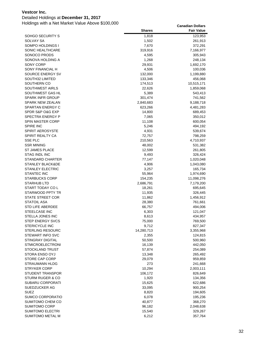### Detailed Holdings at **December 31, 2017**

|                                             | <b>Shares</b>    | <b>Fair Value</b>    |
|---------------------------------------------|------------------|----------------------|
| SOHGO SECURITY S                            | 1,818            | 123,953              |
| SOLVAY SA                                   | 1,502            | 261,913              |
| SOMPO HOLDINGS I                            | 7,670            | 372,291              |
| SONIC HEALTHCARE                            | 319,916          | 7,166,977            |
| SONOCO PRODS                                | 4,595            | 305,943              |
| SONOVA HOLDING A                            | 1,268            | 248,134              |
| SONY CORP                                   | 29,931           | 1,692,170            |
| SONY FINANCIAL H                            | 4,506            | 100,036              |
| SOURCE ENERGY SV                            | 132,000          | 1,199,880            |
| SOUTH32 LIMITED                             | 133,346          | 456,068              |
| SOUTHERN CO                                 | 174,513          | 10,515,171           |
| <b>SOUTHWEST AIRLS</b>                      | 22,626           | 1,859,068            |
| SOUTHWEST GAS HL                            | 5,389            | 543,413              |
| <b>SPARK INFR GROUP</b>                     | 301,474          | 741,562              |
| <b>SPARK NEW ZEALAN</b>                     | 2,840,683        | 9,188,718            |
| SPARTAN ENERGY C                            | 623,266          | 4,481,283            |
| SPDR S&P O&G EXP                            | 14,800           | 689,453              |
| <b>SPECTRA ENERGY P</b>                     | 7,065            | 350,012              |
| <b>SPIN MASTER CORP</b>                     | 11,108           | 600,054              |
| <b>SPIRE INC</b><br><b>SPIRIT AEROSYSTE</b> | 5,246            | 494,192              |
| <b>SPIRIT REALTY CA</b>                     | 4,931<br>72,757  | 539,674              |
| <b>SSE PLC</b>                              | 210,563          | 798,259<br>4,710,937 |
| <b>SSR MINING</b>                           | 48,002           | 531,382              |
| <b>ST JAMES PLACE</b>                       | 12,599           | 261,805              |
| <b>STAG INDL INC</b>                        | 9,493            | 326,424              |
| <b>STANDARD CHARTER</b>                     | 77,147           | 1,020,048            |
| STANLEY BLACK&DE                            | 4,906            | 1,043,080            |
| <b>STANLEY ELECTRIC</b>                     | 3,257            | 165,734              |
| <b>STANTEC INC</b>                          | 55,964           | 1,974,690            |
| <b>STARBUCKS CORP</b>                       | 154,235          | 11,098,276           |
| <b>STARHUB LTD</b>                          | 2,686,791        | 7,179,200            |
| START TODAY CO L                            | 18,261           | 695,645              |
| STARWOOD PPTY TR                            | 11,935           | 326,445              |
| STATE STREET COR                            | 11,862           | 1,456,912            |
| <b>STATOIL ASA</b>                          | 28,380           | 761,661              |
| <b>STD LIFE ABERDEE</b>                     | 66,757           | 494,006              |
| STEELCASE INC                               | 6,303            | 121,047              |
| STELLA JONES INC                            | 8,613            | 434,957              |
| <b>STEP ENERGY SVCS</b>                     | 75,000           | 769,500              |
| <b>STERICYCLE INC</b>                       | 9,712            | 827,347              |
| <b>STERLING RESOURC</b>                     | 14,280,713       | 3,355,968            |
| STEWART INFO SVC                            | 2,355            | 124,815              |
| <b>STINGRAY DIGITAL</b>                     | 50,500           | 500,960              |
| <b>STMICROELECTRONI</b>                     | 16,139           | 442,050              |
| STOCKLAND TRUST                             | 57,874           | 254,089              |
| STORA ENSO OYJ                              | 13,348           | 265,492              |
| STORE CAP CORP                              | 29,079           | 959,859              |
| <b>STRAUMANN HLDG</b>                       | 273              | 241,668              |
| <b>STRYKER CORP</b>                         | 10,294           | 2,003,111            |
| <b>STUDENT TRANSPOR</b>                     | 106,172          | 826,649              |
| <b>STURM RUGER &amp; CO</b>                 | 1,920            | 134,356              |
| SUBARU CORPORATI                            | 15,625           | 622,686              |
| SUEDZUCKER AG                               | 33,095           | 900,254              |
| <b>SUEZ</b>                                 | 8,820            | 194,605              |
| SUMCO CORPORATIO                            | 6,078            | 195,236              |
| SUMITOMO CHEM CO<br>SUMITOMO CORP           | 40,877<br>96,182 | 368,270              |
| <b>SUMITOMO ELECTRI</b>                     | 15,540           | 2,048,638<br>329,267 |
| SUMITOMO METAL M                            | 6,212            | 357,764              |
|                                             |                  |                      |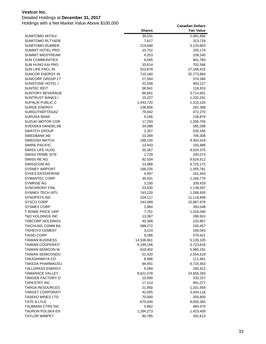Detailed Holdings at **December 31, 2017**

|                                                | <b>Shares</b>      | <b>Fair Value</b>     |
|------------------------------------------------|--------------------|-----------------------|
| SUMITOMO MITSUI                                | 39,031             | 2,081,856             |
| <b>SUMITOMO RLTY&amp;DE</b>                    | 7,617              | 313,719               |
| <b>SUMITOMO RUBBER</b>                         | 219,648            | 5,120,603             |
| SUMMIT HOTEL PRO                               | 10,752             | 205,174               |
| <b>SUMMIT MIDSTREAM</b>                        | 4,253              | 109,240               |
| <b>SUN COMMUNITIES</b>                         | 8,045              | 941,783               |
| <b>SUN HUNG KAI PRO</b>                        | 33,614             | 702,546               |
| SUN LIFE FNCL IN                               | 523,678            | 27,168,415            |
| SUNCOR ENERGY IN                               | 710,160            | 32,773,884            |
| SUNCORP GROUP LT                               | 27,564             | 374,394               |
| SUNSTONE HOTEL I                               | 22,558             | 483,127               |
| <b>SUNTEC REIT</b>                             | 58,941             | 118,810               |
| <b>SUNTORY BEVERAGE</b>                        | 66,661             | 3,714,601             |
| <b>SUNTRUST BANKS I</b>                        | 15,227             | 1,232,291             |
| SUPALAI PUBLIC C                               | 1,443,720          | 1,315,126             |
| <b>SURGE ENERGY</b>                            | 138,856            | 291,308               |
| <b>SURGUTNEFTEGAZ</b>                          | 79,942             | 472,270               |
| <b>SURUGA BANK</b>                             | 5,166              | 138,878               |
| <b>SUZUKI MOTOR COR</b>                        | 17,293             | 1,256,759             |
| <b>SVENSKA HANDELSB</b>                        | 34,088             | 585,298               |
| <b>SWATCH GROUP</b>                            | 2,267              | 535,166               |
| SWEDBANK AB                                    | 23,289             | 705,308               |
| <b>SWEDISH MATCH</b>                           | 188,100            | 9,303,419             |
| <b>SWIRE PACIFIC</b>                           | 13,443             | 155,888               |
| <b>SWISS LIFE HLDG</b>                         | 20,367             | 9,034,375             |
| <b>SWISS PRIME SITE</b>                        | 1,729              | 200,073               |
| SWISS RE AG                                    | 82,034             | 9,624,512             |
| SWISSCOM AG                                    | 13,088             | 8,725,172             |
| <b>SYDNEY AIRPORT</b>                          | 196,235            | 1,355,781             |
| <b>SYKES ENTERPRISE</b>                        | 4,097              | 161,443               |
| <b>SYMANTEC CORP</b>                           | 36,031             | 1,266,770             |
| SYMRISE AG                                     | 3,150              | 339,429               |
| <b>SYNCHRONY FINL</b>                          | 23,530             | 1,138,297             |
| <b>SYNNEX TECH INTL</b><br><b>SYNOPSYS INC</b> | 743,229            | 1,268,926             |
| <b>SYSCO CORP</b>                              | 104,117<br>143,089 | 11,119,848            |
| <b>SYSMEX CORP</b>                             | 3,984              | 10,887,879<br>393,048 |
| <b>T ROWE PRICE GRP</b>                        | 7,751              | 1,019,040             |
| T&D HOLDINGS INC                               | 13,387             | 286,924               |
| <b>TABCORP HOLDINGS</b>                        | 40,388             | 220,857               |
| TAICHUNG COMM BA                               | 588,272            | 245,457               |
| <b>TAIHEIYO CEMENT</b>                         | 3,124              | 169,043               |
| <b>TAISEI CORP</b>                             | 9,286              | 579,421               |
| <b>TAIWAN BUSINESS</b>                         | 14,536,661         | 5,135,105             |
| <b>TAIWAN COOPERATI</b>                        | 8,189,166          | 5,723,616             |
| TAIWAN SEMICON M                               | 619,402            | 5,985,191             |
| <b>TAIWAN SEMICONDU</b>                        | 51,420             | 2,554,518             |
| TAKASHIMAYA CO                                 | 8,486              | 111,941               |
| TAKEDA PHARMACEU                               | 94,451             | 6,724,453             |
| <b>TALLGRASS ENERGY</b>                        | 5,594              | 180,412               |
| <b>TAMARACK VALLEY</b>                         | 8,621,078          | 24,656,283            |
| TANGER FACTORY O                               | 10,000             | 332,157               |
| <b>TAPESTRY INC</b>                            | 17,214             | 961,277               |
| <b>TARGA RESOURCES</b>                         | 21,950             | 1,331,659             |
| TARGET CORPORATI                               | 42,005             | 3,434,118             |
| <b>TASEKO MINES LTD</b>                        | 70,000             | 205,800               |
| TATE & LYLE                                    | 675,630            | 8,050,365             |
| TAUBMAN CTRS INC                               | 5,862              | 480,570               |
| TAURON POLSKA EN                               | 1,294,273          | 1,423,409             |
| <b>TAYLOR WIMPEY</b>                           | 80,785             | 282,613               |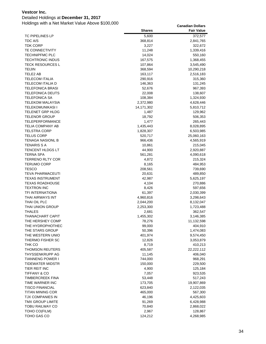### Detailed Holdings at **December 31, 2017**

|                                                    | <b>Shares</b>      | <b>Fair Value</b>    |
|----------------------------------------------------|--------------------|----------------------|
| <b>TC PIPELINES LP</b>                             | 5,600              | 372,577              |
| <b>TDC A/S</b>                                     | 368,814            | 2,841,765            |
| <b>TDK CORP</b>                                    | 3,227              | 322,672              |
| <b>TE CONNECTIVITY</b>                             | 11,248             | 1,339,416            |
| <b>TECHNIPFMC PLC</b>                              | 14,024             | 550,160              |
| <b>TECHTRONIC INDUS</b>                            | 167,575            | 1,368,455            |
| <b>TECK RESOURCES L</b>                            | 107,864            | 3,545,490            |
| TEIJIN                                             | 368,594            | 10,290,218           |
| TELE2 AB                                           | 163,117            | 2,516,183            |
| <b>TELECOM ITALIA</b>                              | 290,916            | 315,360              |
| TELECOM ITALIA D                                   | 146,363            | 131,245              |
| <b>TELEFONICA BRASI</b><br><b>TELEFONICA DEUTS</b> | 52,676             | 967,393              |
| <b>TELEFONICA SA</b>                               | 22,008<br>108,384  | 138,607<br>1,324,930 |
| TELEKOM MALAYSIA                                   | 2,372,980          | 4,628,446            |
| <b>TELEKOMUNIKASI I</b>                            | 14,171,302         | 5,810,712            |
| TELENET GRP HLDG                                   | 1,487              | 129,962              |
| <b>TELENOR GROUP</b>                               | 18,792             | 506,353              |
| <b>TELEPERFORMANCE</b>                             | 1,477              | 265,443              |
| TELIA COMPANY AB                                   | 1,435,443          | 8,028,895            |
| <b>TELSTRA CORP</b>                                | 1,828,307          | 6,503,985            |
| <b>TELUS CORP</b>                                  | 520,717            | 25,060,163           |
| <b>TENAGA NASIONL B</b>                            | 966,436            | 4,565,919            |
| <b>TENARIS S A</b>                                 | 10,861             | 215,045              |
| TENCENT HLDGS LT                                   | 44,900             | 2,920,887            |
| <b>TERNA SPA</b>                                   | 561,281            | 4,090,618            |
| <b>TERRENO RLTY COR</b>                            | 4,872              | 215,324              |
| <b>TERUMO CORP</b>                                 | 8,165              | 484,953              |
| <b>TESCO</b>                                       | 208,561            | 739,690              |
| <b>TEVA PHARMACEUTI</b>                            | 20,631             | 489,850              |
| <b>TEXAS INSTRUMENT</b>                            | 42,987             | 5,625,197            |
| <b>TEXAS ROADHOUSE</b>                             | 4,104              | 270,886              |
| <b>TEXTRON INC</b>                                 | 8,426              | 597,656              |
| TFI INTERNATIONA                                   | 61,397             | 2,030,399            |
| THAI AIRWAYS INT<br>THAI OIL PLC                   | 4,960,816          | 3,298,643            |
| THAI UNION GROUP                                   | 2,044,200          | 8,132,047            |
| THALES                                             | 2,253,300<br>2,681 | 1,723,488<br>362,547 |
| THANACHART CAPIT                                   | 1,455,302          | 3,146,385            |
| THE HERSHEY COMP                                   | 78,276             | 11,132,598           |
| THE HYDROPHOTHEC                                   | 99,000             | 404,910              |
| THE STARS GROUP                                    | 50,396             | 1,474,083            |
| THE WESTERN UNIO                                   | 401,974            | 9,574,450            |
| THERMO FISHER SC                                   | 12,826             | 3,053,879            |
| THK CO                                             | 8,719              | 410,213              |
| THOMSON REUTERS                                    | 405,587            | 22,222,112           |
| THYSSENKRUPP AG                                    | 11,145             | 406,040              |
| <b>TIANNENG POWER I</b>                            | 744,000            | 968,291              |
| <b>TIDEWATER MIDSTR</b>                            | 150,000            | 229,500              |
| TIER REIT INC                                      | 4,900              | 125,184              |
| <b>TIFFANY &amp; CO</b>                            | 7,057              | 923,535              |
| <b>TIMBERCREEK FINA</b>                            | 53,448             | 517,243              |
| TIME WARNER INC                                    | 173,705            | 19,907,869           |
| <b>TISCO FINANCIAL</b>                             | 623,840            | 2,122,035            |
| <b>TITAN MINING COR</b>                            | 465,000            | 567,300              |
| TJX COMPANIES IN                                   | 46,196             | 4,425,603            |
| TMX GROUP LIMITE                                   | 91,269             | 6,428,988            |
| <b>TOBU RAILWAY CO</b>                             | 70,840             | 2,868,022            |
| TOHO CO(FILM)                                      | 2,967              | 128,867              |
| TOHO GAS CO                                        | 124,212            | 4,268,985            |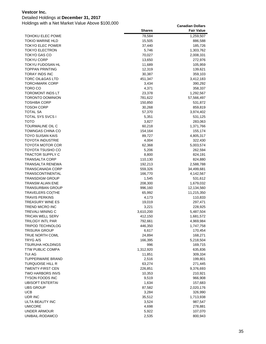### Detailed Holdings at **December 31, 2017**

|                         | <b>Shares</b> | <b>Fair Value</b> |
|-------------------------|---------------|-------------------|
| TOHOKU ELEC POWE        | 78,584        | 1,259,507         |
| <b>TOKIO MARINE HLD</b> | 15,505        | 886,588           |
| <b>TOKYO ELEC POWER</b> | 37,440        | 185,726           |
| <b>TOKYO ELECTRON</b>   | 5,746         | 1,303,762         |
| <b>TOKYO GAS CO</b>     | 70,027        | 2,008,331         |
| TOKYU CORP              | 13,650        | 272,976           |
| TOKYU FUDOSAN HL        | 11,689        | 105,959           |
| <b>TOPPAN PRINTING</b>  | 12,319        | 139,621           |
| TORAY INDS INC          | 30,387        | 359,103           |
| TORC OIL&GAS LTD        | 451,347       | 3,412,183         |
| <b>TORCHMARK CORP</b>   | 3,434         | 390,292           |
| TORO CO                 | 4,371         | 358,337           |
| TOROMONT INDS LT        | 23,378        | 1,292,567         |
| <b>TORONTO DOMINION</b> | 781,622       | 57,566,497        |
| <b>TOSHIBA CORP</b>     | 150,850       | 531,872           |
| TOSOH CORP              | 30,268        | 859,819           |
| <b>TOTAL SA</b>         | 57,370        | 3,974,402         |
| <b>TOTAL SYS SVCS I</b> | 5,351         | 531,125           |
| тото                    | 3,827         | 283,063           |
| TOURMALINE OIL C        | 60,218        | 1,371,766         |
| TOWNGAS CHINA CO        | 154,164       | 155,174           |
| TOYO SUISAN KAIS        | 89,727        | 4,805,317         |
| TOYOTA INDUSTRIE        | 4,004         | 322,430           |
| <b>TOYOTA MOTOR COR</b> | 62,368        | 5,003,574         |
| TOYOTA TSUSHO CO        | 5,206         | 262,594           |
| <b>TRACTOR SUPPLY C</b> | 8,800         | 824,191           |
| <b>TRANSALTA CORP</b>   | 110,130       | 824,880           |
| TRANSALTA RENEWA        | 192,213       | 2,588,788         |
| TRANSCANADA CORP        | 559,326       | 34,499,681        |
| TRANSCONTINENTAL        | 166,770       | 4,142,567         |
| <b>TRANSDIGM GROUP</b>  | 1,545         | 531,612           |
| TRANSM ALIAN ENE        | 208,300       | 1,679,032         |
| TRANSURBAN GROUP        | 996,160       | 12,134,560        |
| <b>TRAVELERS CO(THE</b> | 65,992        | 11,215,350        |
| <b>TRAVIS PERKINS</b>   | 4,173         | 110,833           |
| TREASURY WINE ES        | 19,019        | 297,471           |
| <b>TREND MICRO INC</b>  | 3,221         | 228,925           |
| TREVALI MINING C        | 3,610,200     | 5,487,504         |
| TRICAN WELL SERV        | 412,150       | 1,681,572         |
| <b>TRILOGY INTL PAR</b> | 792,661       | 4,969,984         |
| <b>TRIPOD TECHNOLOG</b> | 446,350       | 1,747,758         |
| <b>TRISURA GROUP</b>    | 6,617         | 170,454           |
| TRUE NORTH COML         | 24,894        | 168,271           |
| <b>TRYG A/S</b>         | 166,395       | 5,218,504         |
| <b>TSURUHA HOLDINGS</b> | 996           | 169,715           |
| <b>TTW PUBLIC COMPA</b> | 1,312,920     | 635,836           |
| TUI AG                  | 11,851        | 309,334           |
| <b>TUPPERWARE BRAND</b> | 2,516         | 199,801           |
| TURQUOISE HILL R        | 63,274        | 271,445           |
| TWENTY-FIRST CEN        | 226,851       | 9,376,693         |
| <b>TWO HARBORS INVS</b> | 10,353        | 210,921           |
| <b>TYSON FOODS INC</b>  | 9,519         | 966,908           |
| <b>UBISOFT ENTERTAI</b> | 1,634         | 157,683           |
| <b>UBS GROUP</b>        | 87,582        | 2,020,176         |
| <b>UCB</b>              | 3,284         | 326,990           |
| UDR INC                 | 35,512        | 1,713,938         |
| ULTA BEAUTY INC         | 3,524         | 987,547           |
| <b>UMICORE</b>          | 4,698         | 278,881           |
| <b>UNDER ARMOUR</b>     | 5,922         | 107,070           |
| UNIBAIL-RODAMCO         | 2,535         | 800,943           |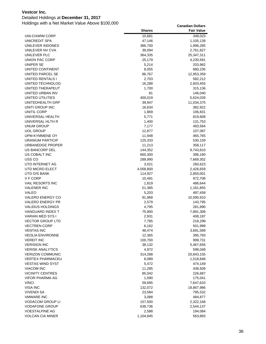### Detailed Holdings at **December 31, 2017**

|                                   | <b>Shares</b>   | <b>Fair Value</b>    |
|-----------------------------------|-----------------|----------------------|
| UNI-CHARM CORP                    | 10,681          | 348,023              |
| UNICREDIT SPA                     | 47,146          | 1,105,139            |
| UNILEVER INDONES                  | 386,700         | 1,996,285            |
| UNILEVER NV CVA                   | 39,094          | 2,761,827            |
| UNILEVER PLC                      | 364,335         | 25,347,311           |
| UNION PAC CORP                    | 25,179          | 4,230,591            |
| UNIPER SE                         | 5,214           | 203,962              |
| UNITED CONTINENT                  | 8,055           | 680,235              |
| UNITED PARCEL SE                  | 86,767          | 12,953,359           |
| UNITED RENTALS I                  | 2,703           | 582,212              |
| UNITED TECHNOLOG                  | 16,288          | 2,603,455            |
| UNITED THERAPEUT                  | 1,700           | 315,136              |
| UNITED URBAN INV                  | 81              | 146,040              |
| UNITED UTILITIES                  | 400,019         | 5,624,039            |
| UNITEDHEALTH GRP                  | 39,947          | 11,034,375           |
| UNITI GROUP INC                   | 16,634          | 382,922              |
| UNITIL CORP                       | 1,869           | 106,831              |
| UNIVERSAL HEALTH                  | 5,771           | 819,608              |
| UNIVERSAL HLTH R                  | 1,400           | 131,753              |
| UNUM GROUP                        | 7,177           | 493,594              |
| <b>UOL GROUP</b>                  | 12,877          | 107,087              |
| UPM-KYMMENE OY                    | 11,948          | 465,765              |
| URANIUM PARTICIP                  | 125,333         | 530,159              |
| URBANEDGE PROPER                  | 11,213          | 358,117              |
| <b>US BANCORP DEL</b>             | 144,352         | 9,743,810            |
| US COBALT INC                     | 660,300         | 396,180              |
| USS CO                            | 288,990         | 7,669,302            |
| UTD INTERNET AG                   | 3,021           | 260,623              |
| UTD MICRO ELECT                   | 4,058,800       | 2,426,659            |
| UTD O/S BANK                      | 114,927         | 2,850,001            |
| V F CORP                          | 10,491          | 972,708              |
| VAIL RESORTS INC                  | 1,819           | 486,644              |
| <b>VALENER INC</b>                | 51,385          | 1,181,855            |
| VALEO                             | 5,203           | 487,458              |
| VALERO ENERGY CO                  | 91,968          | 10,590,910           |
| <b>VALERO ENERGY PR</b>           | 2,579           | 143,795              |
| <b>VALIDUS HOLDINGS</b>           | 4,795           | 281,890              |
| VANGUARD INDEX T                  | 75,900          | 7,891,308            |
| VARIAN MED SYS I                  | 2,931           | 408,187              |
| <b>VECTOR GROUP LTD</b>           | 7,785           | 218,299              |
| VECTREN CORP<br><b>VENTAS INC</b> | 6,162<br>48,474 | 501,999              |
| <b>VEOLIA ENVIRONNE</b>           | 12,365          | 3,691,589<br>395,793 |
| <b>VEREIT INC</b>                 | 100,700         | 999,731              |
| <b>VERISIGN INC</b>               | 38,132          | 5,467,656            |
| VERISK ANALYTICS                  | 4,972           | 598,048              |
| <b>VERIZON COMMUNIC</b>           | 314,288         | 20,843,155           |
| <b>VERTEX PHARMACEU</b>           | 8,089           | 1,518,848            |
| <b>VESTAS WIND SYST</b>           | 5,472           | 474,149              |
| VIACOM INC                        | 11,285          | 438,509              |
| <b>VICINITY CENTRES</b>           | 85,042          | 226,687              |
| VIFOR PHARMA AG                   | 1,090           | 175,041              |
| <b>VINCI</b>                      | 59,695          | 7,647,633            |
| VISA INC                          | 132,072         | 18,867,986           |
| VIVENDI SA                        | 23,584          | 795,532              |
| <b>VMWARE INC</b>                 | 3,088           | 484,877              |
| VODACOM GROUP LI                  | 157,500         | 2,322,168            |
| <b>VODAFONE GROUP</b>             | 638,736         | 2,544,137            |
| <b>VOESTALPINE AG</b>             | 2,588           | 194,084              |
| <b>VOLCAN CIA MINER</b>           | 1,104,845       | 563,893              |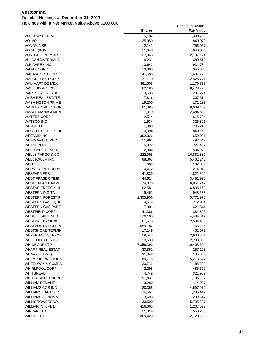### Detailed Holdings at **December 31, 2017**

|                                       | <b>Shares</b>     | <b>Fair Value</b>    |
|---------------------------------------|-------------------|----------------------|
| <b>VOLKSWAGEN AG</b>                  | 5,182             | 1,300,733            |
| <b>VOLVO</b>                          | 35,950            | 840,079              |
| <b>VONOVIA SE</b>                     | 12,141            | 756,057              |
| VOPAK (KON)                           | 11,648            | 640,886              |
| <b>VORNADO RLTY TR</b>                | 27,943            | 2,737,174            |
| <b>VULCAN MATERIALS</b>               | 4,231             | 680,519              |
| W.P CAREY INC                         | 10,642            | 931,784              |
| <b>WAJAX CORP</b>                     | 13,900            | 346,388              |
| WAL MART STORES                       | 141,586           | 17,607,720           |
| <b>WALGREENS BOOTS</b>                | 27,770            | 2,526,771            |
| WAL-MART DE MEXI                      | 381,308           | 1,176,727            |
| <b>WALT DISNEY CO</b>                 | 62,180            | 8,478,798            |
| WARTSILA OYJ ABP                      | 3,630             | 287,274              |
| <b>WASH REAL ESTATE</b>               | 7,816             | 307,614              |
| <b>WASHINGTON PRIME</b>               | 19,200            | 171,283              |
| <b>WASTE CONNECTION</b>               | 101,385           | 9,039,487            |
| <b>WASTE MANAGEMENT</b>               | 117,310           | 12,684,682           |
| <b>WATERS CORP</b>                    | 2,544             | 615,794              |
| <b>WATSCO INC</b>                     | 1,534             | 326,821              |
| <b>WD-40 CO</b>                       | 1,388             | 205,213              |
| <b>WEC ENERGY GROUP</b>               | 10,094            | 840,159              |
| <b>WEEDMD INC</b>                     | 302,326           | 650,001              |
| <b>WEINGARTEN RLTY</b>                | 11,962            | 492,649              |
| <b>WEIR GROUP</b>                     | 6,322             | 227,487              |
| <b>WELLCARE HEALTH</b>                | 2,004             | 504,970              |
| <b>WELLS FARGO &amp; CO</b>           | 222,095           | 16,882,880           |
| <b>WELLTOWER INC</b>                  | 68,363            | 5,462,246            |
| WENDEL                                | 609               | 132,309              |
| <b>WERNER ENTERPRIS</b>               | 4,412             | 214,045              |
| <b>WESFARMERS</b>                     | 41,839            | 1,821,309            |
| <b>WEST FRASER TIMB</b>               | 44,824            | 3,481,928            |
| WEST JAPAN RAILW                      | 74,873            | 6,851,242            |
| <b>WESTAR ENERGY IN</b>               | 102,581           | 6,836,153            |
| <b>WESTERN DIGITAL</b>                | 9,461             | 948,633              |
| <b>WESTERN FOREST P</b>               | 2,355,906         | 5,771,970            |
| <b>WESTERN GAS EQUI</b>               | 4,574             | 212,964              |
| <b>WESTERN GAS PART</b>               | 7,001             | 421,841              |
| <b>WESTFIELD CORP</b>                 | 41,386            | 384,896              |
| <b>WESTJET AIRLINES</b>               | 170,108           | 4,484,047            |
| <b>WESTPAC BANKING</b>                | 81,516            | 2,504,403            |
| <b>WESTPORTS HOLDIN</b>               | 659,182           | 755,105              |
| <b>WESTSHORE TERMIN</b>               | 17,149            | 452,079              |
| <b>WEYERHAEUSER CO</b>                | 59,543            | 2,630,551            |
| WGL HOLDINGS INC                      | 20,530            | 2,208,068            |
| WH GROUP LTD                          | 7,359,393         | 10,403,694           |
| <b>WHARF REAL ESTAT</b>               | 30,851            | 257,128              |
| WHARF(HLDGS)                          | 31,348            | 135,660              |
| <b>WHEATON PRECIOUS</b>               | 189,775           | 5,273,847            |
| <b>WHEELOCK &amp; COMPA</b>           | 20,712            | 185,239              |
| <b>WHIRLPOOL CORP</b>                 | 2,298             | 485,562              |
| WHITBREAD                             | 4,749             | 321,969              |
| <b>WHITECAP RESOURC</b>               | 791,831           | 7,106,287            |
| WILLIAM DEMANT H                      | 3,280             | 114,997              |
| WILLIAMS COS INC                      | 120,358           | 4,597,970            |
| <b>WILLIAMS PARTNER</b>               | 26,661            | 1,295,442            |
| <b>WILLIAMS SONOMA</b>                | 3,698             | 239,547              |
| <b>WILLIS TOWERS WA</b>               | 30,590            | 5,795,387            |
| WILMAR INTERL LT<br><b>WINPAK LTD</b> | 416,665<br>11,814 | 1,207,099<br>553,250 |
| <b>WIPRO LTD</b>                      |                   |                      |
|                                       | 309,420           | 2,120,652            |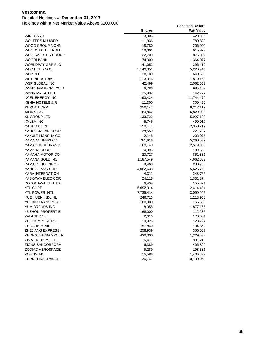### Detailed Holdings at **December 31, 2017**

|                         | <b>Shares</b> | <b>Fair Value</b> |
|-------------------------|---------------|-------------------|
| <b>WIRECARD</b>         | 3,006         | 420,923           |
| <b>WOLTERS KLUWER</b>   | 11,936        | 780,823           |
| WOOD GROUP (JOHN        | 18,780        | 206,900           |
| <b>WOODSIDE PETROLE</b> | 19,001        | 615,979           |
| WOOLWORTHS GROUP        | 32,709        | 875,092           |
| <b>WOORI BANK</b>       | 74,000        | 1,364,077         |
| <b>WORLDPAY GRP PLC</b> | 41,052        | 296,412           |
| WPG HOLDINGS            | 3,149,051     | 5,223,946         |
| WPP PLC                 | 28,180        | 640,503           |
| <b>WPT INDUSTRIAL</b>   | 113,016       | 1,810,159         |
| <b>WSP GLOBAL INC</b>   | 42,499        | 2,562,052         |
| WYNDHAM WORLDWID        | 6,786         | 985,187           |
| WYNN MACAU LTD          | 35,992        | 142,777           |
| <b>XCEL ENERGY INC</b>  | 193,424       | 11,744,479        |
| XENIA HOTELS & R        | 11,300        | 309,460           |
| <b>XEROX CORP</b>       | 250,142       | 9,212,119         |
| XILINX INC              | 80,842        | 6,829,039         |
| XL GROUP LTD            | 133,722       | 5,927,190         |
| <b>XYLEM INC</b>        | 5,745         | 490,917           |
| YAGEO CORP              | 199,171       | 2,960,217         |
| YAHOO JAPAN CORP        | 38,559        | 221,727           |
| YAKULT HONSHA CO        | 2,148         | 203,075           |
| YAMADA DENKI CO         | 761,616       | 5,260,539         |
| YAMAGUCHI FINANC        | 169,140       | 2,519,008         |
| YAMAHA CORP             | 4,096         | 189,520           |
| YAMAHA MOTOR CO         | 20,727        | 851,831           |
| YAMANA GOLD INC         | 1,187,549     | 4,662,632         |
| YAMATO HOLDINGS         | 9,468         | 238,786           |
| YANGZIJIANG SHIP        | 4,082,638     | 5,626,723         |
| YARA INTERNATION        | 4,311         | 248,765           |
| YASKAWA ELEC COR        | 24,118        | 1,331,874         |
| YOKOGAWA ELECTRI        | 6,494         | 155,871           |
| YTL CORP                | 5,692,314     | 2,414,404         |
| YTL POWER INTL          | 7,739,414     | 3,090,995         |
| YUE YUEN INDL HL        | 246,713       | 1,213,968         |
| <b>YUEXIU TRANSPORT</b> | 180,000       | 165,600           |
| YUM BRANDS INC          | 18,358        | 1,877,165         |
| <b>YUZHOU PROPERTIE</b> | 168,000       | 112,285           |
| ZALANDO SE              | 2,616         | 173,631           |
| <b>ZCL COMPOSITES I</b> | 10,926        | 123,792           |
| ZHAOJIN MINING I        | 757,840       | 734,869           |
| ZHEJIANG EXPRESS        | 258,939       | 356,507           |
| ZHONGSHENG GROUP        | 430,000       | 1,229,533         |
| ZIMMER BIOMET HL        | 6,477         | 981,210           |
| ZIONS BANCORPORA        | 6,389         | 406,899           |
| ZODIAC AEROSPACE        | 5,289         | 198,381           |
| ZOETIS INC              | 15,586        | 1,406,832         |
| <b>ZURICH INSURANCE</b> | 26,747        | 10,199,953        |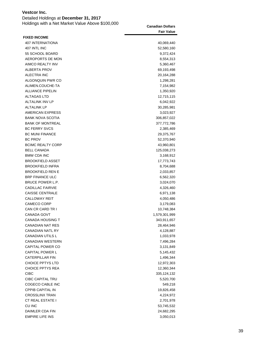| VGJLVUI IIIV. |                                        |  |
|---------------|----------------------------------------|--|
|               | Detailed Holdings at December 31, 2017 |  |

| Holdings with a Net Market Value Above \$100,000 | <b>Canadian Dollars</b><br><b>Fair Value</b> |
|--------------------------------------------------|----------------------------------------------|
| <b>FIXED INCOME</b>                              |                                              |
| 407 INTERNATIONA                                 | 40,069,440                                   |
| 407 INTL INC                                     | 52,580,160                                   |
| 55 SCHOOL BOARD                                  | 9,372,424                                    |
| AEROPORTS DE MON                                 | 8,554,313                                    |
| <b>AIMCO REALTY INV</b>                          | 5,360,467                                    |
| <b>ALBERTA PROV</b>                              | 69,193,498                                   |
| <b>ALECTRA INC</b>                               | 20,164,288                                   |
| ALGONQUIN PWR CO                                 | 1,298,281                                    |
| ALIMEN.COUCHE-TA                                 | 7,154,982                                    |
| <b>ALLIANCE PIPELIN</b>                          | 1,350,920                                    |
| <b>ALTAGAS LTD</b>                               | 12,715,115                                   |
| <b>ALTALINK INV LP</b>                           | 6,042,922                                    |
| <b>ALTALINK LP</b>                               | 30,285,981                                   |
| <b>AMERICAN EXPRESS</b>                          | 3,023,927                                    |
| <b>BANK NOVA SCOTIA</b>                          | 306,857,022                                  |
| <b>BANK OF MONTREAL</b>                          | 377,772,786                                  |
| <b>BC FERRY SVCS</b>                             | 2,385,469                                    |
| <b>BC MUNI FINANCE</b>                           | 29,375,767                                   |
| <b>BC PROV</b>                                   | 52,370,940                                   |
| <b>BCIMC REALTY CORP</b>                         | 43,960,801                                   |
| <b>BELL CANADA</b>                               | 125,038,273                                  |
| <b>BMW CDA INC</b>                               | 3,168,912                                    |
| <b>BROOKFIELD ASSET</b>                          | 17,773,743                                   |
| <b>BROOKFIELD INFRA</b>                          | 8,704,688                                    |
| <b>BROOKFIELD REN E</b>                          | 2,033,857                                    |
| <b>BRP FINANCE ULC</b>                           | 6,562,320                                    |
| BRUCE POWER L.P.                                 | 3,024,070                                    |
| <b>CADILLAC FAIRVIE</b>                          | 4,326,460                                    |
| <b>CAISSE CENTRALE</b>                           | 6,971,138                                    |
| <b>CALLOWAY REIT</b>                             | 4,050,486                                    |
| CAMECO CORP                                      | 3,179,083                                    |
| CAN CR CARD TR I                                 | 10,748,384                                   |
| CANADA GOVT                                      | 1,579,301,999                                |
| CANADA HOUSING T                                 | 343,911,657                                  |
| <b>CANADIAN NAT RES</b>                          | 28,464,946                                   |
| <b>CANADIAN NATL RY</b>                          | 4,128,887                                    |
| <b>CANADIAN UTILS L</b>                          | 1,033,978                                    |
| <b>CANADIAN WESTERN</b>                          | 7,496,284                                    |
| <b>CAPITAL POWER CO</b>                          | 3,131,849                                    |
| <b>CAPITAL POWER L</b>                           | 5,145,432                                    |
| <b>CATERPILLAR FIN</b>                           | 1,496,344                                    |
| <b>CHOICE PPTYS LTD</b>                          | 12,972,303                                   |
| <b>CHOICE PPTYS REA</b>                          | 12,360,344                                   |
| <b>CIBC</b>                                      | 335, 124, 132                                |
| <b>CIBC CAPITAL TRU</b>                          | 5,520,700                                    |
| COGECO CABLE INC                                 | 549,218                                      |
| <b>CPPIB CAPITAL IN</b>                          | 19,826,458                                   |
| <b>CROSSLINX TRAN</b>                            | 4,224,972                                    |
| <b>CT REAL ESTATE I</b>                          | 2,701,978                                    |
| CU INC                                           | 53,745,532                                   |
| DAIMLER CDA FIN                                  | 24,682,295                                   |
| <b>EMPIRE LIFE INS</b>                           | 3,050,013                                    |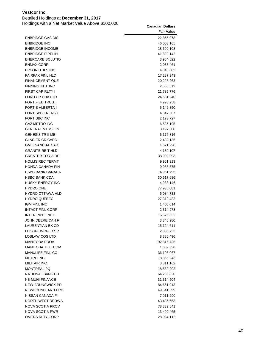Detailed Holdings at **December 31, 2017**

|                         | <b>Fair Value</b> |
|-------------------------|-------------------|
| <b>ENBRIDGE GAS DIS</b> | 22,865,078        |
| <b>ENBRIDGE INC</b>     | 46,003,165        |
| <b>ENBRIDGE INCOME</b>  | 18,692,108        |
| <b>ENBRIDGE PIPELIN</b> | 41,820,142        |
| <b>ENERCARE SOLUTIO</b> | 3,964,822         |
| <b>ENMAX CORP</b>       | 2,033,461         |
| EPCOR UTILS INC         | 4,845,603         |
| <b>FAIRFAX FINL HLD</b> | 17,287,943        |
| <b>FINANCEMENT QUE</b>  | 20,225,263        |
| <b>FINNING INTL INC</b> | 2,558,512         |
| FIRST CAP RLTY I        | 21,735,776        |
| FORD CR CDA LTD         | 24,681,240        |
| <b>FORTIFIED TRUST</b>  | 4,998,258         |
| <b>FORTIS ALBERTA I</b> | 5,146,350         |
| <b>FORTISBC ENERGY</b>  | 4,847,507         |
| <b>FORTISBC INC</b>     | 2,173,727         |
| <b>GAZ METRO INC</b>    | 6,586,195         |
| <b>GENERAL MTRS FIN</b> | 3,197,600         |
| <b>GENESIS TR II ME</b> | 6,176,816         |
| <b>GLACIER CR CARD</b>  | 2,430,135         |
| <b>GM FINANCIAL CAD</b> | 1,621,298         |
| <b>GRANITE REIT HLD</b> | 4,130,107         |
| <b>GREATER TOR AIRP</b> | 38,900,993        |
| <b>HOLLIS REC TERMT</b> | 9,961,913         |
| <b>HONDA CANADA FIN</b> | 9,988,575         |
| <b>HSBC BANK CANADA</b> | 14,951,795        |
| <b>HSBC BANK CDA</b>    | 30,617,686        |
| HUSKY ENERGY INC        | 4,033,146         |
| <b>HYDRO ONE</b>        | 77,938,081        |
| <b>HYDRO OTTAWA HLD</b> | 6,084,733         |
| <b>HYDRO QUEBEC</b>     | 27,319,483        |
| <b>IGM FINL INC</b>     | 1,406,014         |
| <b>INTACT FINL CORP</b> | 2,314,978         |
| <b>INTER PIPELINE L</b> | 15,626,632        |
| JOHN DEERE CAN F        | 3,346,980         |
| LAURENTIAN BK CD        | 15,124,611        |
| LEISUREWORLD SR         | 2,085,733         |
| LOBLAW COS LTD          | 8,386,496         |
| <b>MANITOBA PROV</b>    | 192,816,735       |
| <b>MANITOBA TELECOM</b> | 1,689,338         |
| MANULIFE FINL CO        | 36,106,067        |
| <b>METRO INC</b>        | 18,865,243        |
| MILITAIR INC.           | 3,311,162         |
| <b>MONTREAL PQ</b>      | 18,589,202        |
| NATIONAL BANK CD        | 64,286,820        |
| <b>NB MUNI FINANCE</b>  | 31,314,504        |
| <b>NEW BRUNSWICK PR</b> | 84,661,913        |
| NEWFOUNDLAND PRO        | 49,541,599        |
| NISSAN CANADA FI        | 7,011,290         |
| NORTH WEST REDWA        | 43,486,653        |
| NOVA SCOTIA PROV        | 78,339,841        |
| NOVA SCOTIA PWR         | 13,492,465        |
| OMERS RLTY CORP         | 28,084,112        |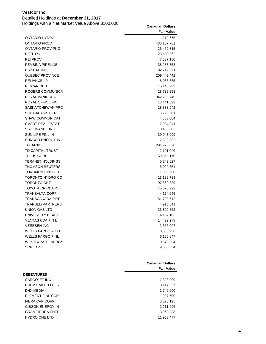Detailed Holdings at **December 31, 2017**

|                             | <b>Fair Value</b> |
|-----------------------------|-------------------|
| ONTARIO HYDRO               | 212,675           |
| ONTARIO PROV                | 435, 107, 761     |
| <b>ONTARIO PROV PKG</b>     | 25,462,815        |
| PEEL ON                     | 23,600,262        |
| PEI PROV                    | 7,537,180         |
| PEMBINA PIPELINE            | 38,283,353        |
| <b>PSP CAP INC</b>          | 92,749,391        |
| <b>QUEBEC PROVINCE</b>      | 209,443,442       |
| <b>RELIANCE LP</b>          | 8,088,665         |
| <b>RIOCAN REIT</b>          | 15,145,933        |
| ROGERS COMMUNICA            | 28,732,258        |
| ROYAL BANK CDA              | 342,293,749       |
| <b>ROYAL OFFICE FIN</b>     | 13,441,522        |
| SASKATCHEWAN PRO            | 28,888,942        |
| <b>SCOTIABANK TIER</b>      | 3,223,301         |
| <b>SHAW COMMUNICATI</b>     | 4,803,084         |
| SMART REAL ESTAT            | 2,984,041         |
| <b>SSL FINANCE INC</b>      | 8,466,003         |
| SUN LIFE FINL IN            | 39,043,099        |
| SUNCOR ENERGY IN            | 12,328,802        |
| <b>TD BANK</b>              | 291,920,828       |
| <b>TD CAPITAL TRUST</b>     | 2,101,040         |
| <b>TELUS CORP</b>           | 69,369,170        |
| <b>TERANET HOLDINGS</b>     | 5,242,627         |
| <b>THOMSON REUTERS</b>      | 5,020,351         |
| <b>TOROMONT INDS LT</b>     | 1,803,588         |
| TORONTO HYDRO CO            | 13,182,788        |
| <b>TORONTO ONT</b>          | 97,560,839        |
| TOYOTA CR CDA IN            | 15,075,992        |
| <b>TRANSALTA CORP</b>       | 4,174,646         |
| <b>TRANSCANADA PIPE</b>     | 51,792,512        |
| <b>TRANSED PARTNERS</b>     | 4,915,841         |
| UNION GAS LTD               | 23,899,562        |
| UNIVERSITY HEALT            | 4,152,103         |
| <b>VENTAS CDA FIN L</b>     | 14,422,278        |
| <b>VERESEN INC</b>          | 2,566,007         |
| <b>WELLS FARGO &amp; CO</b> | 3,088,936         |
| <b>WELLS FARGO FINL</b>     | 6,155,847         |
| <b>WESTCOAST ENERGY</b>     | 10,370,294        |
| YORK ONT                    | 9,666,834         |
|                             |                   |

|                         | <b>Canadian Dollars</b><br><b>Fair Value</b> |
|-------------------------|----------------------------------------------|
| <b>DEBENTURES</b>       |                                              |
| CARGOJET INC            | 2,328,000                                    |
| <b>CHEMTRADE LOGIST</b> | 3,117,637                                    |
| DHX MEDIA               | 1,746,000                                    |
| ELEMENT FINL COR        | 997,500                                      |
| FIERA CAP CORP          | 3,576,125                                    |
| <b>GIBSON ENERGY IN</b> | 2,211,296                                    |
| <b>GRAN TIERRA ENER</b> | 3,962,338                                    |
| <b>HYDRO ONE LTD</b>    | 11.953.477                                   |